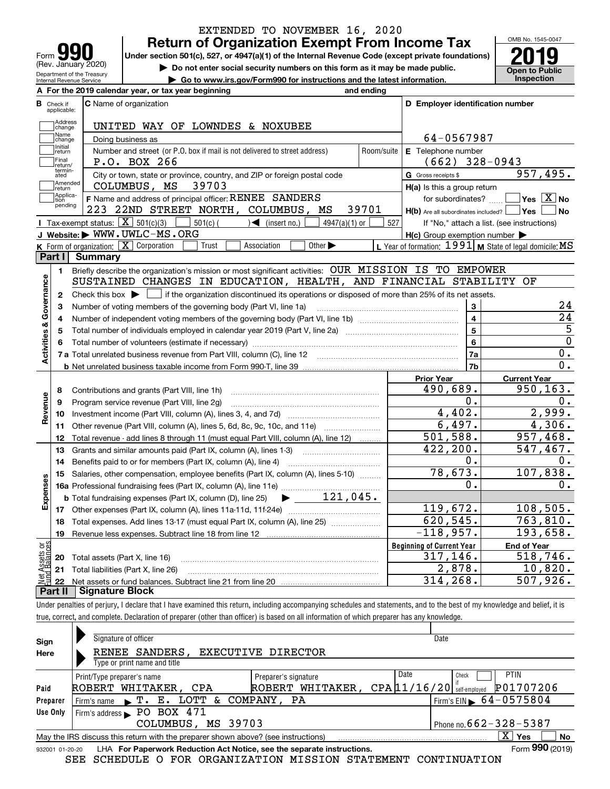| <b>IQU</b><br>Form                                     |
|--------------------------------------------------------|
| (Rev. January 2020)                                    |
| Department of the Treasury<br>Internal Revenue Service |

## **Return of Organization Exempt From Income Tax** EXTENDED TO NOVEMBER 16, 2020

Under section 501(c), 527, or 4947(a)(1) of the Internal Revenue Code (except private foundations) **2019** 

**| Do not enter social security numbers on this form as it may be made public.**

**| Go to www.irs.gov/Form990 for instructions and the latest information. Inspection**

OMB No. 1545-0047 **Open to Public** 

|                         |                         | A For the 2019 calendar year, or tax year beginning                                                                                                 | and ending |                                                     |                                                           |
|-------------------------|-------------------------|-----------------------------------------------------------------------------------------------------------------------------------------------------|------------|-----------------------------------------------------|-----------------------------------------------------------|
| В                       | Check if<br>applicable: | <b>C</b> Name of organization                                                                                                                       |            | D Employer identification number                    |                                                           |
|                         | Address<br>change       | UNITED WAY OF LOWNDES & NOXUBEE                                                                                                                     |            |                                                     |                                                           |
|                         | Name<br>change          | Doing business as                                                                                                                                   |            | 64-0567987                                          |                                                           |
|                         | Initial<br>return       | Number and street (or P.O. box if mail is not delivered to street address)                                                                          |            |                                                     |                                                           |
|                         | Final<br>return/        | P.O. BOX 266                                                                                                                                        | Room/suite | E Telephone number<br>$(662)$ 328-0943              |                                                           |
|                         | termin-<br>ated         | City or town, state or province, country, and ZIP or foreign postal code                                                                            |            | G Gross receipts \$                                 | 957,495.                                                  |
|                         | Amended<br>Ireturn      | 39703<br>COLUMBUS, MS                                                                                                                               |            | H(a) Is this a group return                         |                                                           |
|                         | Applica-<br>tion        | F Name and address of principal officer: RENEE SANDERS                                                                                              |            | for subordinates?                                   | $\sqrt{}$ Yes $\sqrt{}$ X $\sqrt{}$ No                    |
|                         | pending                 | 223 22ND STREET NORTH, COLUMBUS, MS                                                                                                                 | 39701      | $H(b)$ Are all subordinates included? $\Box$ Yes    | No                                                        |
|                         |                         | <b>I</b> Tax-exempt status: $\boxed{\mathbf{X}}$ 501(c)(3)<br>$\sqrt{\frac{1}{1}}$ (insert no.)<br>$501(c)$ (<br>$4947(a)(1)$ or                    | 527        |                                                     | If "No," attach a list. (see instructions)                |
|                         |                         | J Website: WWW.UWLC-MS.ORG                                                                                                                          |            | $H(c)$ Group exemption number $\blacktriangleright$ |                                                           |
|                         |                         | K Form of organization: $\boxed{\mathbf{X}}$ Corporation<br>Trust<br>Other $\blacktriangleright$<br>Association                                     |            |                                                     | L Year of formation: 1991   M State of legal domicile: MS |
|                         | Part I                  | Summary                                                                                                                                             |            |                                                     |                                                           |
|                         | 1.                      | Briefly describe the organization's mission or most significant activities: OUR MISSION IS TO EMPOWER                                               |            |                                                     |                                                           |
|                         |                         | SUSTAINED CHANGES IN EDUCATION, HEALTH, AND FINANCIAL STABILITY OF                                                                                  |            |                                                     |                                                           |
|                         | $\mathbf{2}$            | Check this box $\blacktriangleright$ $\blacksquare$ if the organization discontinued its operations or disposed of more than 25% of its net assets. |            |                                                     |                                                           |
|                         | 3                       | Number of voting members of the governing body (Part VI, line 1a)                                                                                   |            | 3                                                   | 24                                                        |
|                         | 4                       |                                                                                                                                                     |            | $\overline{\mathbf{4}}$                             | $\overline{24}$                                           |
|                         | 5                       |                                                                                                                                                     |            | 5                                                   | $\overline{5}$                                            |
|                         |                         |                                                                                                                                                     |            | $6\phantom{a}$                                      | $\overline{0}$                                            |
| Activities & Governance |                         |                                                                                                                                                     |            | 7a                                                  | $\overline{0}$ .                                          |
|                         |                         |                                                                                                                                                     |            | 7b                                                  | $\overline{0}$ .                                          |
|                         |                         |                                                                                                                                                     |            | <b>Prior Year</b>                                   | <b>Current Year</b>                                       |
|                         | 8                       | Contributions and grants (Part VIII, line 1h)                                                                                                       |            | 490,689.                                            | 950,163.                                                  |
| Revenue                 | 9                       | Program service revenue (Part VIII, line 2g)                                                                                                        |            | 0.                                                  | 0.                                                        |
|                         | 10                      |                                                                                                                                                     |            | 4,402.                                              | 2,999.                                                    |
|                         | 11                      | Other revenue (Part VIII, column (A), lines 5, 6d, 8c, 9c, 10c, and 11e)                                                                            |            | 6,497.                                              | 4,306.                                                    |
|                         | 12                      | Total revenue - add lines 8 through 11 (must equal Part VIII, column (A), line 12)                                                                  |            | 501,588.                                            | 957,468.                                                  |
|                         | 13                      | Grants and similar amounts paid (Part IX, column (A), lines 1-3)                                                                                    |            | 422,200.                                            | 547,467.                                                  |
|                         | 14                      |                                                                                                                                                     |            | 0.                                                  | 0.                                                        |
|                         | 15                      | Salaries, other compensation, employee benefits (Part IX, column (A), lines 5-10)                                                                   |            | 78,673.                                             | 107,838.                                                  |
|                         |                         |                                                                                                                                                     |            | 0.                                                  | 0.                                                        |
| Expenses                |                         | $\blacktriangleright$ 121,045.<br><b>b</b> Total fundraising expenses (Part IX, column (D), line 25)                                                |            |                                                     |                                                           |
|                         |                         |                                                                                                                                                     | 119,672.   | 108, 505.                                           |                                                           |
|                         | 18                      | Total expenses. Add lines 13-17 (must equal Part IX, column (A), line 25) [                                                                         |            | 620, 545.                                           | 763,810.                                                  |
|                         | 19                      |                                                                                                                                                     |            | $\overline{-118}$ , 957.                            | 193,658.                                                  |
| ăğ                      |                         |                                                                                                                                                     |            | <b>Beginning of Current Year</b>                    | <b>End of Year</b>                                        |
| Sets<br>aland           | 20                      | Total assets (Part X, line 16)                                                                                                                      |            | 317,146.                                            | 518,746.                                                  |
|                         |                         | 21 Total liabilities (Part X, line 26)                                                                                                              |            | 2,878.                                              | 10,820.                                                   |
|                         | 22                      |                                                                                                                                                     |            | 314,268.                                            | 507,926.                                                  |
|                         | Part II                 | <b>Signature Block</b>                                                                                                                              |            |                                                     |                                                           |

Under penalties of perjury, I declare that I have examined this return, including accompanying schedules and statements, and to the best of my knowledge and belief, it is true, correct, and complete. Declaration of preparer (other than officer) is based on all information of which preparer has any knowledge.

| Sign            | Signature of officer                                                              | Date                         |                                                           |  |  |  |  |  |  |  |  |  |
|-----------------|-----------------------------------------------------------------------------------|------------------------------|-----------------------------------------------------------|--|--|--|--|--|--|--|--|--|
| Here            | RENEE SANDERS.<br>EXECUTIVE DIRECTOR<br>Type or print name and title              |                              |                                                           |  |  |  |  |  |  |  |  |  |
|                 |                                                                                   |                              |                                                           |  |  |  |  |  |  |  |  |  |
|                 | Print/Type preparer's name                                                        | Date<br><b>PTIN</b><br>Check |                                                           |  |  |  |  |  |  |  |  |  |
| Paid            | ROBERT WHITAKER, CPA                                                              | ROBERT WHITAKER,             | P01707206<br>$CPA$ $11/16/20$ $\frac{1}{8}$ Self-employed |  |  |  |  |  |  |  |  |  |
| Preparer        | Firm's name F. E. LOTT & COMPANY, PA                                              |                              | $1$ Firm's EIN $\triangleright$ 64-0575804                |  |  |  |  |  |  |  |  |  |
| Use Only        | Firm's address $\blacktriangleright$ PO BOX 471                                   |                              |                                                           |  |  |  |  |  |  |  |  |  |
|                 | COLUMBUS, MS 39703                                                                |                              | Phone no. $662 - 328 - 5387$                              |  |  |  |  |  |  |  |  |  |
|                 | May the IRS discuss this return with the preparer shown above? (see instructions) |                              | $X \mid Y$ es<br>No                                       |  |  |  |  |  |  |  |  |  |
| 932001 01-20-20 | LHA For Paperwork Reduction Act Notice, see the separate instructions.            |                              | Form 990 (2019)                                           |  |  |  |  |  |  |  |  |  |

SEE SCHEDULE O FOR ORGANIZATION MISSION STATEMENT CONTINUATION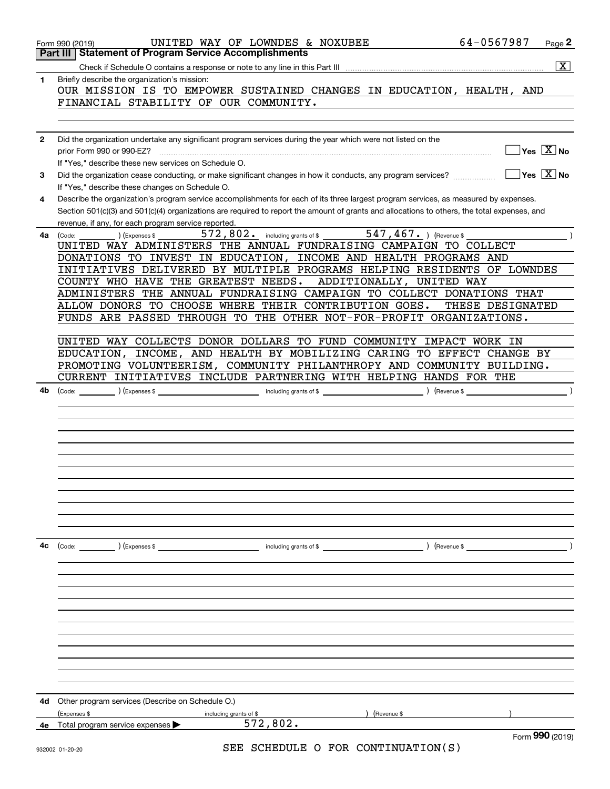|              | 64-0567987<br>UNITED WAY OF LOWNDES & NOXUBEE<br>Page 2<br>Form 990 (2019)                                                                                                                                                                                                           |
|--------------|--------------------------------------------------------------------------------------------------------------------------------------------------------------------------------------------------------------------------------------------------------------------------------------|
|              | <b>Statement of Program Service Accomplishments</b><br>Part III I                                                                                                                                                                                                                    |
|              | $\overline{\mathbf{x}}$                                                                                                                                                                                                                                                              |
| 1            | Briefly describe the organization's mission:<br>OUR MISSION IS TO EMPOWER SUSTAINED CHANGES IN EDUCATION, HEALTH, AND                                                                                                                                                                |
|              | FINANCIAL STABILITY OF OUR COMMUNITY.                                                                                                                                                                                                                                                |
|              |                                                                                                                                                                                                                                                                                      |
| $\mathbf{2}$ | Did the organization undertake any significant program services during the year which were not listed on the<br>$\overline{\mathsf{Yes}}$ $\overline{\mathsf{X}}$ No                                                                                                                 |
| 3            | If "Yes," describe these new services on Schedule O.<br>$\overline{\mathsf{Yes}}$ $\overline{\mathsf{X}}$ No<br>Did the organization cease conducting, or make significant changes in how it conducts, any program services?                                                         |
|              | If "Yes," describe these changes on Schedule O.                                                                                                                                                                                                                                      |
| 4            | Describe the organization's program service accomplishments for each of its three largest program services, as measured by expenses.<br>Section 501(c)(3) and 501(c)(4) organizations are required to report the amount of grants and allocations to others, the total expenses, and |
|              | revenue, if any, for each program service reported.                                                                                                                                                                                                                                  |
| 4a           | 572, 802. including grants of \$ 547, 467. ) (Revenue \$<br>(Expenses \$<br>(Code:<br>UNITED WAY ADMINISTERS THE ANNUAL FUNDRAISING CAMPAIGN TO COLLECT                                                                                                                              |
|              | DONATIONS TO INVEST IN EDUCATION, INCOME AND HEALTH PROGRAMS AND                                                                                                                                                                                                                     |
|              | INITIATIVES DELIVERED BY MULTIPLE PROGRAMS HELPING RESIDENTS OF LOWNDES                                                                                                                                                                                                              |
|              | COUNTY WHO HAVE THE GREATEST NEEDS.<br>ADDITIONALLY, UNITED WAY                                                                                                                                                                                                                      |
|              | ADMINISTERS THE ANNUAL FUNDRAISING CAMPAIGN TO COLLECT DONATIONS THAT                                                                                                                                                                                                                |
|              | ALLOW DONORS TO CHOOSE WHERE THEIR CONTRIBUTION GOES.<br>THESE DESIGNATED                                                                                                                                                                                                            |
|              | FUNDS ARE PASSED THROUGH TO THE OTHER NOT-FOR-PROFIT ORGANIZATIONS.                                                                                                                                                                                                                  |
|              | UNITED WAY COLLECTS DONOR DOLLARS TO FUND COMMUNITY IMPACT WORK IN                                                                                                                                                                                                                   |
|              | INCOME, AND HEALTH BY MOBILIZING CARING TO EFFECT CHANGE BY<br>EDUCATION,                                                                                                                                                                                                            |
|              | PROMOTING VOLUNTEERISM, COMMUNITY PHILANTHROPY AND COMMUNITY BUILDING.                                                                                                                                                                                                               |
|              | CURRENT INITIATIVES INCLUDE PARTNERING WITH HELPING HANDS FOR THE                                                                                                                                                                                                                    |
| 4b           | including grants of \$<br>) (Expenses \$<br>) (Revenue \$<br>(Code:                                                                                                                                                                                                                  |
|              |                                                                                                                                                                                                                                                                                      |
|              |                                                                                                                                                                                                                                                                                      |
|              |                                                                                                                                                                                                                                                                                      |
|              |                                                                                                                                                                                                                                                                                      |
|              |                                                                                                                                                                                                                                                                                      |
|              |                                                                                                                                                                                                                                                                                      |
|              |                                                                                                                                                                                                                                                                                      |
|              |                                                                                                                                                                                                                                                                                      |
|              |                                                                                                                                                                                                                                                                                      |
|              |                                                                                                                                                                                                                                                                                      |
| 4с           | ) (Expenses \$<br>including grants of \$<br>) (Revenue \$<br>(Code:                                                                                                                                                                                                                  |
|              |                                                                                                                                                                                                                                                                                      |
|              |                                                                                                                                                                                                                                                                                      |
|              |                                                                                                                                                                                                                                                                                      |
|              |                                                                                                                                                                                                                                                                                      |
|              |                                                                                                                                                                                                                                                                                      |
|              |                                                                                                                                                                                                                                                                                      |
|              |                                                                                                                                                                                                                                                                                      |
|              |                                                                                                                                                                                                                                                                                      |
| 4d           | Other program services (Describe on Schedule O.)                                                                                                                                                                                                                                     |
|              | (Expenses \$<br>including grants of \$<br>(Revenue \$                                                                                                                                                                                                                                |
| 4e           | 572,802.<br>Total program service expenses                                                                                                                                                                                                                                           |
|              | Form 990 (2019)<br>SEE SCHEDULE O FOR CONTINUATION(S)<br>932002 01-20-20                                                                                                                                                                                                             |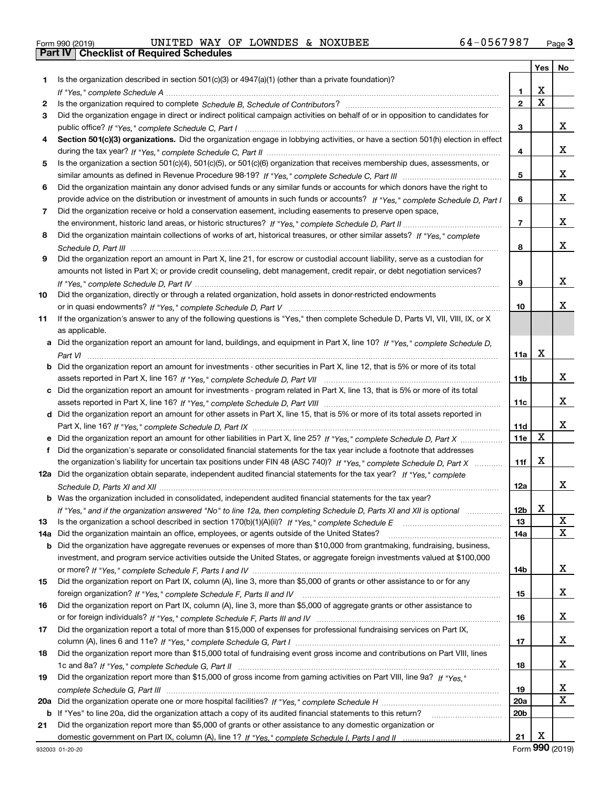| Form 990 (2019) |  |  |
|-----------------|--|--|

# Form 990 (2019) UNITED WAY OF LOWNDES & NOXUBEE 6 4 – 0 5 6 7 9 87 <sub>Page</sub> 3<br>**Part IV** | Checklist of Required Schedules

|     |                                                                                                                                                                                                                                |                 | Yes | No |
|-----|--------------------------------------------------------------------------------------------------------------------------------------------------------------------------------------------------------------------------------|-----------------|-----|----|
| 1.  | Is the organization described in section 501(c)(3) or 4947(a)(1) (other than a private foundation)?                                                                                                                            |                 |     |    |
|     |                                                                                                                                                                                                                                | 1               | х   |    |
| 2   | Is the organization required to complete Schedule B, Schedule of Contributors? [11] The organization required to complete Schedule B, Schedule of Contributors? [11] The organization required to complete Schedule B, Schedul | $\mathbf{2}$    | x   |    |
| 3   | Did the organization engage in direct or indirect political campaign activities on behalf of or in opposition to candidates for                                                                                                |                 |     |    |
|     |                                                                                                                                                                                                                                | 3               |     | X. |
| 4   | Section 501(c)(3) organizations. Did the organization engage in lobbying activities, or have a section 501(h) election in effect                                                                                               |                 |     |    |
|     |                                                                                                                                                                                                                                | 4               |     | X. |
| 5   | Is the organization a section 501(c)(4), 501(c)(5), or 501(c)(6) organization that receives membership dues, assessments, or                                                                                                   |                 |     |    |
|     |                                                                                                                                                                                                                                | 5               |     | x  |
| 6   | Did the organization maintain any donor advised funds or any similar funds or accounts for which donors have the right to                                                                                                      |                 |     |    |
|     | provide advice on the distribution or investment of amounts in such funds or accounts? If "Yes," complete Schedule D, Part I                                                                                                   | 6               |     | x  |
| 7   | Did the organization receive or hold a conservation easement, including easements to preserve open space,                                                                                                                      |                 |     |    |
|     |                                                                                                                                                                                                                                | $\overline{7}$  |     | x  |
| 8   | Did the organization maintain collections of works of art, historical treasures, or other similar assets? If "Yes," complete                                                                                                   |                 |     |    |
|     |                                                                                                                                                                                                                                | 8               |     | x  |
| 9   | Did the organization report an amount in Part X, line 21, for escrow or custodial account liability, serve as a custodian for                                                                                                  |                 |     |    |
|     | amounts not listed in Part X; or provide credit counseling, debt management, credit repair, or debt negotiation services?                                                                                                      |                 |     |    |
|     |                                                                                                                                                                                                                                | 9               |     | x  |
| 10  | Did the organization, directly or through a related organization, hold assets in donor-restricted endowments                                                                                                                   |                 |     |    |
|     |                                                                                                                                                                                                                                | 10              |     | x. |
| 11  | If the organization's answer to any of the following questions is "Yes," then complete Schedule D, Parts VI, VIII, VIII, IX, or X                                                                                              |                 |     |    |
|     | as applicable.                                                                                                                                                                                                                 |                 |     |    |
| а   | Did the organization report an amount for land, buildings, and equipment in Part X, line 10? If "Yes," complete Schedule D,                                                                                                    |                 | х   |    |
|     |                                                                                                                                                                                                                                | 11a             |     |    |
| b   | Did the organization report an amount for investments - other securities in Part X, line 12, that is 5% or more of its total                                                                                                   |                 |     | X. |
|     |                                                                                                                                                                                                                                | 11b             |     |    |
| с   | Did the organization report an amount for investments - program related in Part X, line 13, that is 5% or more of its total                                                                                                    |                 |     | X. |
| d   | Did the organization report an amount for other assets in Part X, line 15, that is 5% or more of its total assets reported in                                                                                                  | 11c             |     |    |
|     |                                                                                                                                                                                                                                | 11d             |     | X. |
| е   | Did the organization report an amount for other liabilities in Part X, line 25? If "Yes," complete Schedule D, Part X                                                                                                          | 11e             | х   |    |
| f   | Did the organization's separate or consolidated financial statements for the tax year include a footnote that addresses                                                                                                        |                 |     |    |
|     | the organization's liability for uncertain tax positions under FIN 48 (ASC 740)? If "Yes," complete Schedule D, Part X                                                                                                         | 11f             | х   |    |
|     | 12a Did the organization obtain separate, independent audited financial statements for the tax year? If "Yes," complete                                                                                                        |                 |     |    |
|     |                                                                                                                                                                                                                                | 12a             |     | X. |
| b   | Was the organization included in consolidated, independent audited financial statements for the tax year?                                                                                                                      |                 |     |    |
|     | If "Yes," and if the organization answered "No" to line 12a, then completing Schedule D, Parts XI and XII is optional                                                                                                          | 12 <sub>b</sub> | х   |    |
| 13  |                                                                                                                                                                                                                                | 13              |     | X  |
| 14a | Did the organization maintain an office, employees, or agents outside of the United States?                                                                                                                                    | 14a             |     | X  |
| b   | Did the organization have aggregate revenues or expenses of more than \$10,000 from grantmaking, fundraising, business,                                                                                                        |                 |     |    |
|     | investment, and program service activities outside the United States, or aggregate foreign investments valued at \$100,000                                                                                                     |                 |     |    |
|     |                                                                                                                                                                                                                                | 14b             |     | X. |
| 15  | Did the organization report on Part IX, column (A), line 3, more than \$5,000 of grants or other assistance to or for any                                                                                                      |                 |     |    |
|     |                                                                                                                                                                                                                                | 15              |     | X. |
| 16  | Did the organization report on Part IX, column (A), line 3, more than \$5,000 of aggregate grants or other assistance to                                                                                                       |                 |     |    |
|     |                                                                                                                                                                                                                                | 16              |     | X. |
| 17  | Did the organization report a total of more than \$15,000 of expenses for professional fundraising services on Part IX,                                                                                                        |                 |     |    |
|     |                                                                                                                                                                                                                                | 17              |     | X. |
| 18  | Did the organization report more than \$15,000 total of fundraising event gross income and contributions on Part VIII, lines                                                                                                   |                 |     |    |
|     |                                                                                                                                                                                                                                | 18              |     | X. |
| 19  | Did the organization report more than \$15,000 of gross income from gaming activities on Part VIII, line 9a? If "Yes."                                                                                                         |                 |     |    |
|     |                                                                                                                                                                                                                                | 19              |     | x  |
| 20a |                                                                                                                                                                                                                                | 20a             |     | X  |
| b   | If "Yes" to line 20a, did the organization attach a copy of its audited financial statements to this return?                                                                                                                   | 20b             |     |    |
| 21  | Did the organization report more than \$5,000 of grants or other assistance to any domestic organization or                                                                                                                    |                 |     |    |
|     |                                                                                                                                                                                                                                | 21              | х   |    |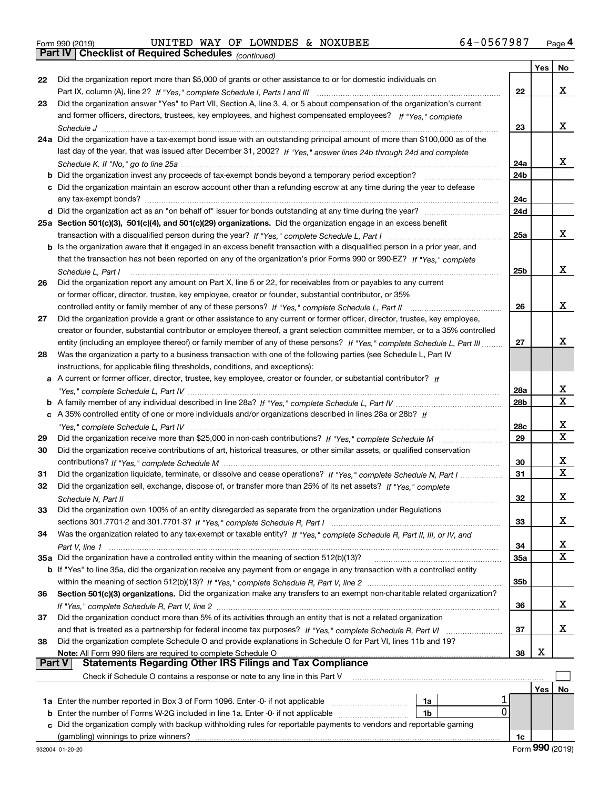|               |                                                                                                                                       |                 | Yes | No                      |
|---------------|---------------------------------------------------------------------------------------------------------------------------------------|-----------------|-----|-------------------------|
| 22            | Did the organization report more than \$5,000 of grants or other assistance to or for domestic individuals on                         |                 |     |                         |
|               |                                                                                                                                       | 22              |     | х                       |
| 23            | Did the organization answer "Yes" to Part VII, Section A, line 3, 4, or 5 about compensation of the organization's current            |                 |     |                         |
|               | and former officers, directors, trustees, key employees, and highest compensated employees? If "Yes," complete                        |                 |     |                         |
|               |                                                                                                                                       | 23              |     | x                       |
|               | 24a Did the organization have a tax-exempt bond issue with an outstanding principal amount of more than \$100,000 as of the           |                 |     |                         |
|               | last day of the year, that was issued after December 31, 2002? If "Yes," answer lines 24b through 24d and complete                    |                 |     |                         |
|               |                                                                                                                                       | 24a             |     | x                       |
|               | <b>b</b> Did the organization invest any proceeds of tax-exempt bonds beyond a temporary period exception?                            | 24 <sub>b</sub> |     |                         |
|               | c Did the organization maintain an escrow account other than a refunding escrow at any time during the year to defease                |                 |     |                         |
|               |                                                                                                                                       | 24c             |     |                         |
|               |                                                                                                                                       | 24d             |     |                         |
|               | 25a Section 501(c)(3), 501(c)(4), and 501(c)(29) organizations. Did the organization engage in an excess benefit                      |                 |     |                         |
|               |                                                                                                                                       | 25a             |     | х                       |
|               | b Is the organization aware that it engaged in an excess benefit transaction with a disqualified person in a prior year, and          |                 |     |                         |
|               | that the transaction has not been reported on any of the organization's prior Forms 990 or 990-EZ? If "Yes," complete                 |                 |     |                         |
|               |                                                                                                                                       | 25b             |     | x                       |
|               | Schedule L. Part I<br>Did the organization report any amount on Part X, line 5 or 22, for receivables from or payables to any current |                 |     |                         |
| 26            |                                                                                                                                       |                 |     |                         |
|               | or former officer, director, trustee, key employee, creator or founder, substantial contributor, or 35%                               |                 |     | х                       |
|               | controlled entity or family member of any of these persons? If "Yes," complete Schedule L, Part II                                    | 26              |     |                         |
| 27            | Did the organization provide a grant or other assistance to any current or former officer, director, trustee, key employee,           |                 |     |                         |
|               | creator or founder, substantial contributor or employee thereof, a grant selection committee member, or to a 35% controlled           |                 |     | x                       |
|               | entity (including an employee thereof) or family member of any of these persons? If "Yes," complete Schedule L, Part III              | 27              |     |                         |
| 28            | Was the organization a party to a business transaction with one of the following parties (see Schedule L, Part IV                     |                 |     |                         |
|               | instructions, for applicable filing thresholds, conditions, and exceptions):                                                          |                 |     |                         |
|               | a A current or former officer, director, trustee, key employee, creator or founder, or substantial contributor? If                    |                 |     |                         |
|               |                                                                                                                                       | 28a             |     | X                       |
|               |                                                                                                                                       | 28 <sub>b</sub> |     | $\overline{\mathbf{x}}$ |
|               | c A 35% controlled entity of one or more individuals and/or organizations described in lines 28a or 28b? If                           |                 |     |                         |
|               |                                                                                                                                       | 28c             |     | X                       |
| 29            |                                                                                                                                       | 29              |     | X                       |
| 30            | Did the organization receive contributions of art, historical treasures, or other similar assets, or qualified conservation           |                 |     |                         |
|               |                                                                                                                                       | 30              |     | X                       |
| 31            | Did the organization liquidate, terminate, or dissolve and cease operations? If "Yes," complete Schedule N, Part I                    | 31              |     | $\overline{\mathbf{x}}$ |
| 32            | Did the organization sell, exchange, dispose of, or transfer more than 25% of its net assets? If "Yes," complete                      |                 |     |                         |
|               |                                                                                                                                       | 32              |     | х                       |
| 33            | Did the organization own 100% of an entity disregarded as separate from the organization under Regulations                            |                 |     |                         |
|               |                                                                                                                                       | 33              |     | x                       |
| 34            | Was the organization related to any tax-exempt or taxable entity? If "Yes," complete Schedule R, Part II, III, or IV, and             |                 |     |                         |
|               |                                                                                                                                       | 34              |     | x                       |
|               | 35a Did the organization have a controlled entity within the meaning of section 512(b)(13)?                                           | <b>35a</b>      |     | X                       |
|               | b If "Yes" to line 35a, did the organization receive any payment from or engage in any transaction with a controlled entity           |                 |     |                         |
|               |                                                                                                                                       | 35b             |     |                         |
| 36            | Section 501(c)(3) organizations. Did the organization make any transfers to an exempt non-charitable related organization?            |                 |     |                         |
|               |                                                                                                                                       | 36              |     | X.                      |
| 37            | Did the organization conduct more than 5% of its activities through an entity that is not a related organization                      |                 |     |                         |
|               |                                                                                                                                       | 37              |     | x                       |
| 38            | Did the organization complete Schedule O and provide explanations in Schedule O for Part VI, lines 11b and 19?                        |                 |     |                         |
|               | Note: All Form 990 filers are required to complete Schedule O                                                                         | 38              | х   |                         |
| <b>Part V</b> | <b>Statements Regarding Other IRS Filings and Tax Compliance</b>                                                                      |                 |     |                         |
|               | Check if Schedule O contains a response or note to any line in this Part V                                                            |                 |     |                         |
|               |                                                                                                                                       |                 | Yes | No                      |
|               | 1a Enter the number reported in Box 3 of Form 1096. Enter -0- if not applicable<br>1a                                                 |                 |     |                         |
| b             | 0<br>Enter the number of Forms W-2G included in line 1a. Enter -0- if not applicable<br>1b                                            |                 |     |                         |
| c             | Did the organization comply with backup withholding rules for reportable payments to vendors and reportable gaming                    |                 |     |                         |
|               | (gambling) winnings to prize winners?                                                                                                 | 1c              |     |                         |
|               |                                                                                                                                       |                 |     |                         |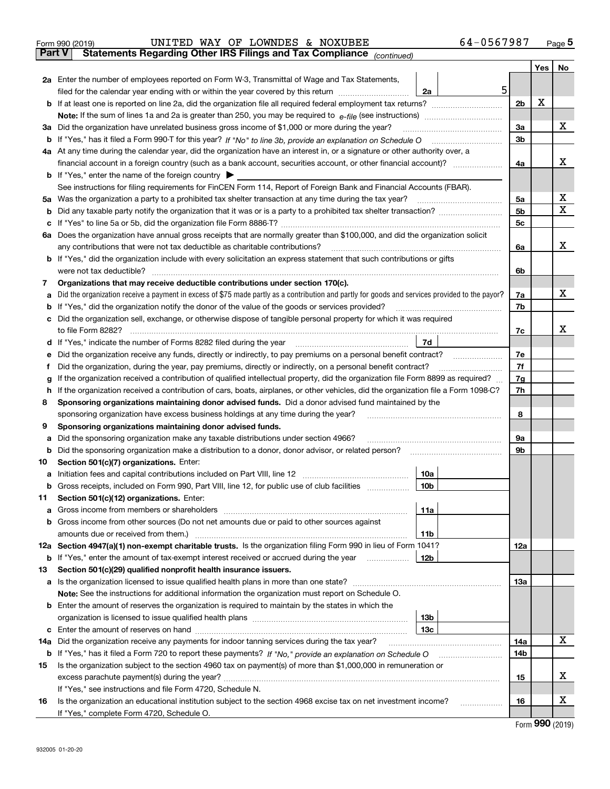| Form 990 (2019) |                                                                                | UNITED WAY OF LOWNDES & NOXUBEE |  | 64-0567987 | Page 5 |
|-----------------|--------------------------------------------------------------------------------|---------------------------------|--|------------|--------|
|                 | Part V   Statements Regarding Other IRS Filings and Tax Compliance (continued) |                                 |  |            |        |
|                 |                                                                                |                                 |  |            |        |

|     |                                                                                                                                                                                             |                 |                | Yes      | No               |  |  |  |  |  |  |  |
|-----|---------------------------------------------------------------------------------------------------------------------------------------------------------------------------------------------|-----------------|----------------|----------|------------------|--|--|--|--|--|--|--|
|     | 2a Enter the number of employees reported on Form W-3, Transmittal of Wage and Tax Statements,                                                                                              |                 |                |          |                  |  |  |  |  |  |  |  |
|     | filed for the calendar year ending with or within the year covered by this return                                                                                                           | 5<br>2a         | 2 <sub>b</sub> | х        |                  |  |  |  |  |  |  |  |
|     |                                                                                                                                                                                             |                 |                |          |                  |  |  |  |  |  |  |  |
|     | Note: If the sum of lines 1a and 2a is greater than 250, you may be required to $e$ -file (see instructions) $\ldots$                                                                       |                 |                |          |                  |  |  |  |  |  |  |  |
|     | 3a Did the organization have unrelated business gross income of \$1,000 or more during the year?                                                                                            |                 |                |          |                  |  |  |  |  |  |  |  |
|     |                                                                                                                                                                                             |                 | 3b             |          |                  |  |  |  |  |  |  |  |
|     | 4a At any time during the calendar year, did the organization have an interest in, or a signature or other authority over, a                                                                |                 | 4a             |          | х                |  |  |  |  |  |  |  |
|     | <b>b</b> If "Yes," enter the name of the foreign country                                                                                                                                    |                 |                |          |                  |  |  |  |  |  |  |  |
|     | See instructions for filing requirements for FinCEN Form 114, Report of Foreign Bank and Financial Accounts (FBAR).                                                                         |                 |                |          |                  |  |  |  |  |  |  |  |
|     | 5a Was the organization a party to a prohibited tax shelter transaction at any time during the tax year?                                                                                    |                 |                |          |                  |  |  |  |  |  |  |  |
| b   |                                                                                                                                                                                             |                 | 5a<br>5b       |          | х<br>$\mathbf X$ |  |  |  |  |  |  |  |
| c   |                                                                                                                                                                                             |                 | 5c             |          |                  |  |  |  |  |  |  |  |
|     | 6a Does the organization have annual gross receipts that are normally greater than \$100,000, and did the organization solicit                                                              |                 |                |          |                  |  |  |  |  |  |  |  |
|     | any contributions that were not tax deductible as charitable contributions?                                                                                                                 |                 | 6a             |          | x                |  |  |  |  |  |  |  |
|     | b If "Yes," did the organization include with every solicitation an express statement that such contributions or gifts                                                                      |                 |                |          |                  |  |  |  |  |  |  |  |
|     | were not tax deductible?                                                                                                                                                                    |                 | 6b             |          |                  |  |  |  |  |  |  |  |
| 7   | Organizations that may receive deductible contributions under section 170(c).                                                                                                               |                 |                |          |                  |  |  |  |  |  |  |  |
|     | a Did the organization receive a payment in excess of \$75 made partly as a contribution and partly for goods and services provided to the payor?                                           |                 | 7a             |          | x                |  |  |  |  |  |  |  |
|     | <b>b</b> If "Yes," did the organization notify the donor of the value of the goods or services provided?                                                                                    |                 | 7b             |          |                  |  |  |  |  |  |  |  |
|     | c Did the organization sell, exchange, or otherwise dispose of tangible personal property for which it was required                                                                         |                 |                |          |                  |  |  |  |  |  |  |  |
|     | to file Form 8282?                                                                                                                                                                          |                 | 7c             |          | х                |  |  |  |  |  |  |  |
|     | d If "Yes," indicate the number of Forms 8282 filed during the year                                                                                                                         | 7d              |                |          |                  |  |  |  |  |  |  |  |
| е   | Did the organization receive any funds, directly or indirectly, to pay premiums on a personal benefit contract?                                                                             |                 | 7e             |          |                  |  |  |  |  |  |  |  |
| Ť.  | Did the organization, during the year, pay premiums, directly or indirectly, on a personal benefit contract?                                                                                |                 | 7f             |          |                  |  |  |  |  |  |  |  |
| g   | If the organization received a contribution of qualified intellectual property, did the organization file Form 8899 as required?                                                            |                 | 7g<br>7h       |          |                  |  |  |  |  |  |  |  |
|     | If the organization received a contribution of cars, boats, airplanes, or other vehicles, did the organization file a Form 1098-C?<br>h.                                                    |                 |                |          |                  |  |  |  |  |  |  |  |
|     | Sponsoring organizations maintaining donor advised funds. Did a donor advised fund maintained by the<br>8                                                                                   |                 |                |          |                  |  |  |  |  |  |  |  |
| 9   | sponsoring organization have excess business holdings at any time during the year?<br>Sponsoring organizations maintaining donor advised funds.                                             |                 |                |          |                  |  |  |  |  |  |  |  |
| а   | Did the sponsoring organization make any taxable distributions under section 4966?                                                                                                          |                 | 9а             |          |                  |  |  |  |  |  |  |  |
| b   | Did the sponsoring organization make a distribution to a donor, donor advisor, or related person?                                                                                           |                 | 9b             |          |                  |  |  |  |  |  |  |  |
| 10  | Section 501(c)(7) organizations. Enter:                                                                                                                                                     |                 |                |          |                  |  |  |  |  |  |  |  |
| а   | Initiation fees and capital contributions included on Part VIII, line 12                                                                                                                    | 10a             |                |          |                  |  |  |  |  |  |  |  |
| b   | Gross receipts, included on Form 990, Part VIII, line 12, for public use of club facilities <i>manumum</i>                                                                                  | 10 <sub>b</sub> |                |          |                  |  |  |  |  |  |  |  |
| 11  | Section 501(c)(12) organizations. Enter:                                                                                                                                                    |                 |                |          |                  |  |  |  |  |  |  |  |
| а   | Gross income from members or shareholders                                                                                                                                                   | 11a             |                |          |                  |  |  |  |  |  |  |  |
|     | <b>b</b> Gross income from other sources (Do not net amounts due or paid to other sources against                                                                                           |                 |                |          |                  |  |  |  |  |  |  |  |
|     | amounts due or received from them.)                                                                                                                                                         | 11b             |                |          |                  |  |  |  |  |  |  |  |
|     | 12a Section 4947(a)(1) non-exempt charitable trusts. Is the organization filing Form 990 in lieu of Form 1041?                                                                              |                 | 12a            |          |                  |  |  |  |  |  |  |  |
|     | <b>b</b> If "Yes," enter the amount of tax-exempt interest received or accrued during the year                                                                                              | 12b             |                |          |                  |  |  |  |  |  |  |  |
| 13  | Section 501(c)(29) qualified nonprofit health insurance issuers.                                                                                                                            |                 | 13a            |          |                  |  |  |  |  |  |  |  |
|     | a Is the organization licensed to issue qualified health plans in more than one state?<br>Note: See the instructions for additional information the organization must report on Schedule O. |                 |                |          |                  |  |  |  |  |  |  |  |
|     | <b>b</b> Enter the amount of reserves the organization is required to maintain by the states in which the                                                                                   |                 |                |          |                  |  |  |  |  |  |  |  |
|     |                                                                                                                                                                                             | 13b             |                |          |                  |  |  |  |  |  |  |  |
|     |                                                                                                                                                                                             | ∣ 13с           |                |          |                  |  |  |  |  |  |  |  |
| 14a | Did the organization receive any payments for indoor tanning services during the tax year?                                                                                                  |                 | 14a            |          | х                |  |  |  |  |  |  |  |
|     |                                                                                                                                                                                             |                 | 14b            |          |                  |  |  |  |  |  |  |  |
| 15  | Is the organization subject to the section 4960 tax on payment(s) of more than \$1,000,000 in remuneration or                                                                               |                 |                |          |                  |  |  |  |  |  |  |  |
|     |                                                                                                                                                                                             |                 | 15             |          | х                |  |  |  |  |  |  |  |
|     | If "Yes," see instructions and file Form 4720, Schedule N.                                                                                                                                  |                 |                |          |                  |  |  |  |  |  |  |  |
| 16  | Is the organization an educational institution subject to the section 4968 excise tax on net investment income?                                                                             |                 | 16             |          | х                |  |  |  |  |  |  |  |
|     | If "Yes," complete Form 4720, Schedule O.                                                                                                                                                   |                 |                | $\Omega$ |                  |  |  |  |  |  |  |  |
|     |                                                                                                                                                                                             |                 |                |          |                  |  |  |  |  |  |  |  |

Form (2019) **990**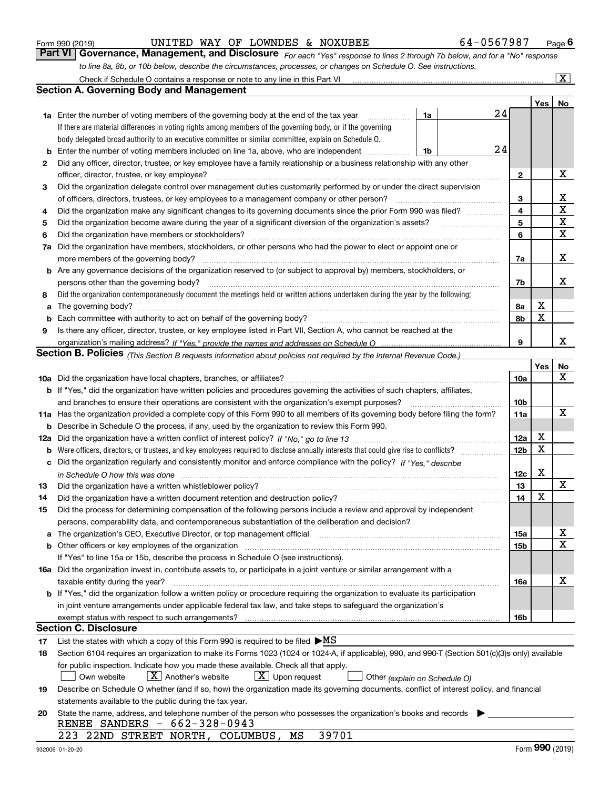|    |                                                                                                                                                                                                                                                         |                 | Yes | No              |  |  |  |  |  |  |  |  |
|----|---------------------------------------------------------------------------------------------------------------------------------------------------------------------------------------------------------------------------------------------------------|-----------------|-----|-----------------|--|--|--|--|--|--|--|--|
|    | 24<br>1a<br><b>1a</b> Enter the number of voting members of the governing body at the end of the tax year                                                                                                                                               |                 |     |                 |  |  |  |  |  |  |  |  |
|    | If there are material differences in voting rights among members of the governing body, or if the governing                                                                                                                                             |                 |     |                 |  |  |  |  |  |  |  |  |
|    | body delegated broad authority to an executive committee or similar committee, explain on Schedule O.                                                                                                                                                   |                 |     |                 |  |  |  |  |  |  |  |  |
|    | 24<br>1b                                                                                                                                                                                                                                                |                 |     |                 |  |  |  |  |  |  |  |  |
| 2  | Did any officer, director, trustee, or key employee have a family relationship or a business relationship with any other                                                                                                                                |                 |     |                 |  |  |  |  |  |  |  |  |
|    | officer, director, trustee, or key employee?                                                                                                                                                                                                            | 2               |     | х               |  |  |  |  |  |  |  |  |
| З  | Did the organization delegate control over management duties customarily performed by or under the direct supervision                                                                                                                                   |                 |     |                 |  |  |  |  |  |  |  |  |
|    | of officers, directors, trustees, or key employees to a management company or other person?                                                                                                                                                             |                 |     |                 |  |  |  |  |  |  |  |  |
| 4  | Did the organization make any significant changes to its governing documents since the prior Form 990 was filed?                                                                                                                                        |                 |     |                 |  |  |  |  |  |  |  |  |
| 5  | Did the organization become aware during the year of a significant diversion of the organization's assets?                                                                                                                                              |                 |     |                 |  |  |  |  |  |  |  |  |
| 6  | Did the organization have members or stockholders?                                                                                                                                                                                                      |                 |     |                 |  |  |  |  |  |  |  |  |
| 7a | Did the organization have members, stockholders, or other persons who had the power to elect or appoint one or                                                                                                                                          | 6               |     | $\mathbf X$     |  |  |  |  |  |  |  |  |
|    | more members of the governing body?                                                                                                                                                                                                                     | 7a              |     | х               |  |  |  |  |  |  |  |  |
|    | <b>b</b> Are any governance decisions of the organization reserved to (or subject to approval by) members, stockholders, or                                                                                                                             |                 |     |                 |  |  |  |  |  |  |  |  |
|    | persons other than the governing body?                                                                                                                                                                                                                  | 7b              |     | х               |  |  |  |  |  |  |  |  |
| 8  | Did the organization contemporaneously document the meetings held or written actions undertaken during the year by the following:                                                                                                                       |                 |     |                 |  |  |  |  |  |  |  |  |
|    | <b>a</b> The governing body?                                                                                                                                                                                                                            | 8a              | х   |                 |  |  |  |  |  |  |  |  |
|    | <b>b</b> Each committee with authority to act on behalf of the governing body?                                                                                                                                                                          | 8b              | X   |                 |  |  |  |  |  |  |  |  |
| 9  | Is there any officer, director, trustee, or key employee listed in Part VII, Section A, who cannot be reached at the                                                                                                                                    |                 |     |                 |  |  |  |  |  |  |  |  |
|    |                                                                                                                                                                                                                                                         | 9               |     | х               |  |  |  |  |  |  |  |  |
|    | Section B. Policies (This Section B requests information about policies not required by the Internal Revenue Code.)                                                                                                                                     |                 |     |                 |  |  |  |  |  |  |  |  |
|    |                                                                                                                                                                                                                                                         |                 | Yes | No              |  |  |  |  |  |  |  |  |
|    |                                                                                                                                                                                                                                                         | 10a             |     | x               |  |  |  |  |  |  |  |  |
|    | <b>b</b> If "Yes," did the organization have written policies and procedures governing the activities of such chapters, affiliates,                                                                                                                     |                 |     |                 |  |  |  |  |  |  |  |  |
|    | and branches to ensure their operations are consistent with the organization's exempt purposes?                                                                                                                                                         | 10 <sub>b</sub> |     |                 |  |  |  |  |  |  |  |  |
|    | 11a Has the organization provided a complete copy of this Form 990 to all members of its governing body before filing the form?                                                                                                                         | 11a             |     | x               |  |  |  |  |  |  |  |  |
|    | <b>b</b> Describe in Schedule O the process, if any, used by the organization to review this Form 990.                                                                                                                                                  |                 |     |                 |  |  |  |  |  |  |  |  |
|    |                                                                                                                                                                                                                                                         | 12a             | х   |                 |  |  |  |  |  |  |  |  |
|    | <b>b</b> Were officers, directors, or trustees, and key employees required to disclose annually interests that could give rise to conflicts?                                                                                                            | 12 <sub>b</sub> | Χ   |                 |  |  |  |  |  |  |  |  |
|    | c Did the organization regularly and consistently monitor and enforce compliance with the policy? $H^*Yes.$ describe                                                                                                                                    |                 |     |                 |  |  |  |  |  |  |  |  |
|    |                                                                                                                                                                                                                                                         | 12c             | х   |                 |  |  |  |  |  |  |  |  |
| 13 | in Schedule O how this was done manufactured and contact the state of the state of the state of the state of t<br>Did the organization have a written whistleblower policy?                                                                             | 13              |     | x               |  |  |  |  |  |  |  |  |
| 14 | Did the organization have a written document retention and destruction policy? manufactured and the organization have a written document retention and destruction policy?                                                                              | 14              | х   |                 |  |  |  |  |  |  |  |  |
| 15 | Did the process for determining compensation of the following persons include a review and approval by independent                                                                                                                                      |                 |     |                 |  |  |  |  |  |  |  |  |
|    | persons, comparability data, and contemporaneous substantiation of the deliberation and decision?                                                                                                                                                       |                 |     |                 |  |  |  |  |  |  |  |  |
|    |                                                                                                                                                                                                                                                         |                 |     | х               |  |  |  |  |  |  |  |  |
|    |                                                                                                                                                                                                                                                         | 15a             |     | X               |  |  |  |  |  |  |  |  |
|    | <b>b</b> Other officers or key employees of the organization<br>If "Yes" to line 15a or 15b, describe the process in Schedule O (see instructions).                                                                                                     | 15 <sub>b</sub> |     |                 |  |  |  |  |  |  |  |  |
|    |                                                                                                                                                                                                                                                         |                 |     |                 |  |  |  |  |  |  |  |  |
|    | 16a Did the organization invest in, contribute assets to, or participate in a joint venture or similar arrangement with a<br>taxable entity during the year?                                                                                            | 16a             |     | х               |  |  |  |  |  |  |  |  |
|    |                                                                                                                                                                                                                                                         |                 |     |                 |  |  |  |  |  |  |  |  |
|    | <b>b</b> If "Yes," did the organization follow a written policy or procedure requiring the organization to evaluate its participation<br>in joint venture arrangements under applicable federal tax law, and take steps to safeguard the organization's |                 |     |                 |  |  |  |  |  |  |  |  |
|    | exempt status with respect to such arrangements?                                                                                                                                                                                                        | 16b             |     |                 |  |  |  |  |  |  |  |  |
|    | <b>Section C. Disclosure</b>                                                                                                                                                                                                                            |                 |     |                 |  |  |  |  |  |  |  |  |
|    |                                                                                                                                                                                                                                                         |                 |     |                 |  |  |  |  |  |  |  |  |
| 17 | List the states with which a copy of this Form 990 is required to be filed $\triangleright MS$                                                                                                                                                          |                 |     |                 |  |  |  |  |  |  |  |  |
| 18 | Section 6104 requires an organization to make its Forms 1023 (1024 or 1024-A, if applicable), 990, and 990-T (Section 501(c)(3)s only) available                                                                                                        |                 |     |                 |  |  |  |  |  |  |  |  |
|    | for public inspection. Indicate how you made these available. Check all that apply.                                                                                                                                                                     |                 |     |                 |  |  |  |  |  |  |  |  |
|    | $X$ Upon request<br>$X$ Another's website<br>Own website<br>Other (explain on Schedule O)                                                                                                                                                               |                 |     |                 |  |  |  |  |  |  |  |  |
| 19 | Describe on Schedule O whether (and if so, how) the organization made its governing documents, conflict of interest policy, and financial                                                                                                               |                 |     |                 |  |  |  |  |  |  |  |  |
|    | statements available to the public during the tax year.                                                                                                                                                                                                 |                 |     |                 |  |  |  |  |  |  |  |  |
| 20 | State the name, address, and telephone number of the person who possesses the organization's books and records                                                                                                                                          |                 |     |                 |  |  |  |  |  |  |  |  |
|    | RENEE SANDERS - 662-328-0943                                                                                                                                                                                                                            |                 |     |                 |  |  |  |  |  |  |  |  |
|    | 39701<br>223 22ND STREET NORTH, COLUMBUS,<br>MS                                                                                                                                                                                                         |                 |     |                 |  |  |  |  |  |  |  |  |
|    | 932006 01-20-20                                                                                                                                                                                                                                         |                 |     | Form 990 (2019) |  |  |  |  |  |  |  |  |

Form 990 (2019) **CONTIMED WAY OF LOWNDES & NOXUBEE** 64 - 0567987 Page 6<br>**Part VI Governance, Management, and Disclosure** For each "Yes" response to lines 2 through 7b below, and for a "No" response UNITED WAY OF LOWNDES & NOXUBEE 64-0567987

Check if Schedule O contains a response or note to any line in this Part VI

**Section A. Governing Body and Management**

*to line 8a, 8b, or 10b below, describe the circumstances, processes, or changes on Schedule O. See instructions.*

*For each "Yes" response to lines 2 through 7b below, and for a "No" response*

 $\boxed{\text{X}}$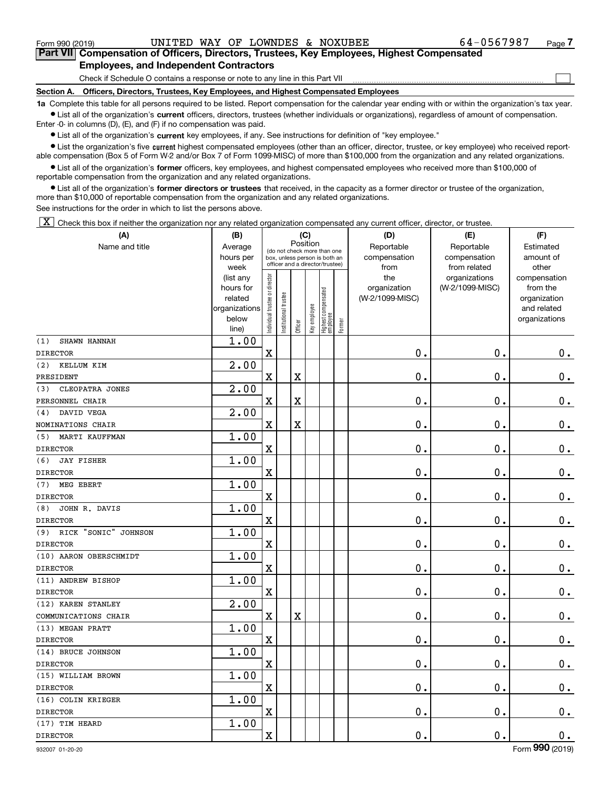$\mathcal{L}^{\text{max}}$ 

**7Part VII Compensation of Officers, Directors, Trustees, Key Employees, Highest Compensated Employees, and Independent Contractors**

Check if Schedule O contains a response or note to any line in this Part VII

**Section A. Officers, Directors, Trustees, Key Employees, and Highest Compensated Employees**

**1a**  Complete this table for all persons required to be listed. Report compensation for the calendar year ending with or within the organization's tax year. **•** List all of the organization's current officers, directors, trustees (whether individuals or organizations), regardless of amount of compensation.

Enter -0- in columns (D), (E), and (F) if no compensation was paid.

 $\bullet$  List all of the organization's  $\,$ current key employees, if any. See instructions for definition of "key employee."

**•** List the organization's five current highest compensated employees (other than an officer, director, trustee, or key employee) who received reportable compensation (Box 5 of Form W-2 and/or Box 7 of Form 1099-MISC) of more than \$100,000 from the organization and any related organizations.

**•** List all of the organization's former officers, key employees, and highest compensated employees who received more than \$100,000 of reportable compensation from the organization and any related organizations.

**former directors or trustees**  ¥ List all of the organization's that received, in the capacity as a former director or trustee of the organization, more than \$10,000 of reportable compensation from the organization and any related organizations.

See instructions for the order in which to list the persons above.

 $\boxed{\textbf{X}}$  Check this box if neither the organization nor any related organization compensated any current officer, director, or trustee.

| (A)                         | (B)                                                                          |                               |                                                                                                             |                         | (C)          |                                 |        | (D)                                            | (E)                                              | (F)                                                                               |
|-----------------------------|------------------------------------------------------------------------------|-------------------------------|-------------------------------------------------------------------------------------------------------------|-------------------------|--------------|---------------------------------|--------|------------------------------------------------|--------------------------------------------------|-----------------------------------------------------------------------------------|
| Name and title              | Average<br>hours per                                                         |                               | Position<br>(do not check more than one<br>box, unless person is both an<br>officer and a director/trustee) |                         |              |                                 |        | Reportable<br>compensation                     | Reportable<br>compensation                       | Estimated<br>amount of                                                            |
|                             | week<br>(list any<br>hours for<br>related<br>organizations<br>below<br>line) | ndividual trustee or director | nstitutional trustee                                                                                        | Officer                 | Key employee | Highest compensated<br>employee | Former | from<br>the<br>organization<br>(W-2/1099-MISC) | from related<br>organizations<br>(W-2/1099-MISC) | other<br>compensation<br>from the<br>organization<br>and related<br>organizations |
| (1)<br>SHAWN HANNAH         | 1.00                                                                         |                               |                                                                                                             |                         |              |                                 |        |                                                |                                                  |                                                                                   |
| <b>DIRECTOR</b>             |                                                                              | $\overline{\textbf{X}}$       |                                                                                                             |                         |              |                                 |        | 0.                                             | 0.                                               | $0_{.}$                                                                           |
| (2)<br>KELLUM KIM           | $\overline{2.00}$                                                            |                               |                                                                                                             |                         |              |                                 |        |                                                |                                                  |                                                                                   |
| PRESIDENT                   |                                                                              | $\overline{\textbf{X}}$       |                                                                                                             | $\overline{\textbf{X}}$ |              |                                 |        | $\mathbf 0$ .                                  | $\mathbf 0$ .                                    | $\mathbf 0$ .                                                                     |
| CLEOPATRA JONES<br>(3)      | 2.00                                                                         |                               |                                                                                                             |                         |              |                                 |        |                                                |                                                  |                                                                                   |
| PERSONNEL CHAIR             |                                                                              | $\mathbf x$                   |                                                                                                             | $\overline{\textbf{X}}$ |              |                                 |        | $\mathbf 0$ .                                  | $\mathbf 0$ .                                    | $\mathbf 0$ .                                                                     |
| DAVID VEGA<br>(4)           | 2.00                                                                         |                               |                                                                                                             |                         |              |                                 |        |                                                |                                                  |                                                                                   |
| NOMINATIONS CHAIR           |                                                                              | $\overline{\textbf{X}}$       |                                                                                                             | $\overline{\textbf{X}}$ |              |                                 |        | $\mathbf 0$ .                                  | $\mathbf 0$ .                                    | $\mathbf 0$ .                                                                     |
| MARTI KAUFFMAN<br>(5)       | 1.00                                                                         |                               |                                                                                                             |                         |              |                                 |        |                                                |                                                  |                                                                                   |
| <b>DIRECTOR</b>             |                                                                              | $\overline{\textbf{X}}$       |                                                                                                             |                         |              |                                 |        | $\mathbf 0$ .                                  | $\mathbf 0$ .                                    | $\mathbf 0$ .                                                                     |
| (6)<br><b>JAY FISHER</b>    | 1.00                                                                         |                               |                                                                                                             |                         |              |                                 |        |                                                |                                                  |                                                                                   |
| <b>DIRECTOR</b>             |                                                                              | $\overline{\textbf{X}}$       |                                                                                                             |                         |              |                                 |        | $\mathbf 0$ .                                  | $\mathbf 0$ .                                    | $\mathbf 0$ .                                                                     |
| (7)<br>MEG EBERT            | 1.00                                                                         |                               |                                                                                                             |                         |              |                                 |        |                                                |                                                  |                                                                                   |
| <b>DIRECTOR</b>             |                                                                              | $\overline{\textbf{X}}$       |                                                                                                             |                         |              |                                 |        | $\mathbf 0$ .                                  | $\mathbf 0$ .                                    | $\mathbf 0$ .                                                                     |
| JOHN R. DAVIS<br>(8)        | 1.00                                                                         |                               |                                                                                                             |                         |              |                                 |        |                                                |                                                  |                                                                                   |
| <b>DIRECTOR</b>             |                                                                              | $\overline{\textbf{X}}$       |                                                                                                             |                         |              |                                 |        | $\mathbf 0$ .                                  | $\mathbf 0$ .                                    | $\mathbf 0$ .                                                                     |
| RICK "SONIC" JOHNSON<br>(9) | 1.00                                                                         |                               |                                                                                                             |                         |              |                                 |        |                                                |                                                  |                                                                                   |
| <b>DIRECTOR</b>             |                                                                              | $\overline{\textbf{X}}$       |                                                                                                             |                         |              |                                 |        | $\mathbf 0$ .                                  | $\mathbf 0$ .                                    | $\mathbf 0$ .                                                                     |
| (10) AARON OBERSCHMIDT      | 1.00                                                                         |                               |                                                                                                             |                         |              |                                 |        |                                                |                                                  |                                                                                   |
| <b>DIRECTOR</b>             |                                                                              | $\overline{\textbf{X}}$       |                                                                                                             |                         |              |                                 |        | $\mathbf 0$ .                                  | $\mathbf 0$ .                                    | $\mathbf 0$ .                                                                     |
| (11) ANDREW BISHOP          | 1.00                                                                         |                               |                                                                                                             |                         |              |                                 |        |                                                |                                                  |                                                                                   |
| <b>DIRECTOR</b>             |                                                                              | $\overline{\textbf{X}}$       |                                                                                                             |                         |              |                                 |        | $\mathbf 0$ .                                  | $\mathbf 0$ .                                    | $\mathbf 0$ .                                                                     |
| (12) KAREN STANLEY          | 2.00                                                                         |                               |                                                                                                             |                         |              |                                 |        |                                                |                                                  |                                                                                   |
| COMMUNICATIONS CHAIR        |                                                                              | $\mathbf x$                   |                                                                                                             | $\overline{\textbf{X}}$ |              |                                 |        | $\mathbf 0$ .                                  | $\mathbf 0$ .                                    | $\mathbf 0$ .                                                                     |
| (13) MEGAN PRATT            | 1.00                                                                         |                               |                                                                                                             |                         |              |                                 |        |                                                |                                                  |                                                                                   |
| <b>DIRECTOR</b>             |                                                                              | $\overline{\textbf{X}}$       |                                                                                                             |                         |              |                                 |        | $\mathbf 0$ .                                  | $\mathbf 0$ .                                    | $\mathbf 0$ .                                                                     |
| (14) BRUCE JOHNSON          | 1.00                                                                         |                               |                                                                                                             |                         |              |                                 |        |                                                |                                                  |                                                                                   |
| <b>DIRECTOR</b>             |                                                                              | $\overline{\textbf{X}}$       |                                                                                                             |                         |              |                                 |        | $\mathbf 0$ .                                  | $\mathbf 0$ .                                    | $\mathbf 0$ .                                                                     |
| (15) WILLIAM BROWN          | 1.00                                                                         |                               |                                                                                                             |                         |              |                                 |        |                                                |                                                  |                                                                                   |
| <b>DIRECTOR</b>             |                                                                              | $\overline{\mathbf{X}}$       |                                                                                                             |                         |              |                                 |        | $\mathbf 0$ .                                  | 0.                                               | $0_{.}$                                                                           |
| (16) COLIN KRIEGER          | 1.00                                                                         |                               |                                                                                                             |                         |              |                                 |        |                                                |                                                  |                                                                                   |
| <b>DIRECTOR</b>             |                                                                              | $\overline{\mathbf{X}}$       |                                                                                                             |                         |              |                                 |        | $\mathbf 0$ .                                  | 0.                                               | $\mathbf 0$ .                                                                     |
| (17) TIM HEARD              | 1.00                                                                         |                               |                                                                                                             |                         |              |                                 |        |                                                |                                                  |                                                                                   |
| <b>DIRECTOR</b>             |                                                                              | $\overline{\mathbf{X}}$       |                                                                                                             |                         |              |                                 |        | $\mathbf 0$ .                                  | 0.                                               | $\mathbf 0$ .                                                                     |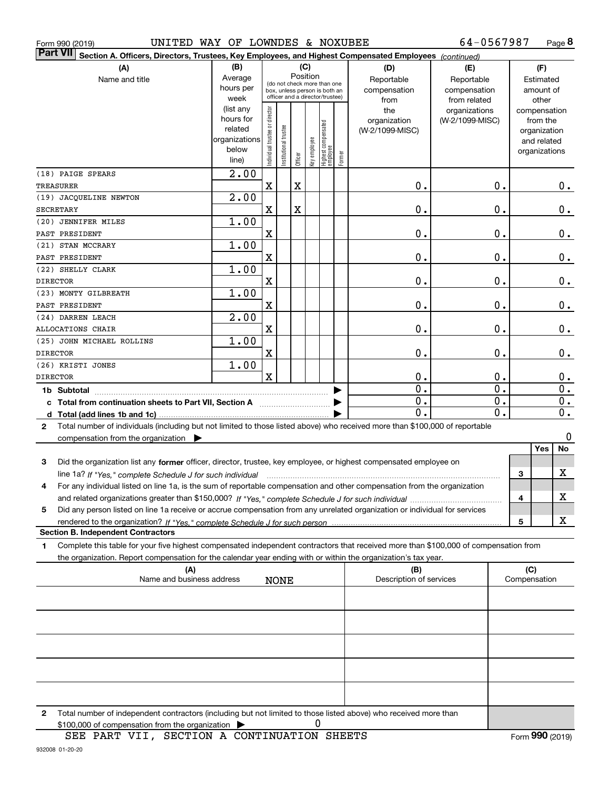| UNITED WAY OF LOWNDES & NOXUBEE<br>Form 990 (2019)                                                                                              |                   |                                |                       |         |              |                                                                  |        |                                | 64-0567987                       |   |                          | Page 8           |
|-------------------------------------------------------------------------------------------------------------------------------------------------|-------------------|--------------------------------|-----------------------|---------|--------------|------------------------------------------------------------------|--------|--------------------------------|----------------------------------|---|--------------------------|------------------|
| <b>Part VII</b><br>Section A. Officers, Directors, Trustees, Key Employees, and Highest Compensated Employees (continued)                       |                   |                                |                       |         |              |                                                                  |        |                                |                                  |   |                          |                  |
| (A)                                                                                                                                             | (B)               |                                |                       |         | (C)          |                                                                  |        | (D)                            | (E)                              |   | (F)                      |                  |
| Name and title                                                                                                                                  | Average           |                                |                       |         | Position     | (do not check more than one                                      |        | Reportable                     | Reportable                       |   | Estimated                |                  |
|                                                                                                                                                 | hours per         |                                |                       |         |              | box, unless person is both an<br>officer and a director/trustee) |        | compensation                   | compensation                     |   | amount of                |                  |
|                                                                                                                                                 | week<br>(list any |                                |                       |         |              |                                                                  |        | from                           | from related                     |   | other                    |                  |
|                                                                                                                                                 | hours for         | Individual trustee or director |                       |         |              |                                                                  |        | the<br>organization            | organizations<br>(W-2/1099-MISC) |   | compensation<br>from the |                  |
|                                                                                                                                                 | related           |                                |                       |         |              |                                                                  |        | (W-2/1099-MISC)                |                                  |   | organization             |                  |
|                                                                                                                                                 | organizations     |                                |                       |         |              |                                                                  |        |                                |                                  |   | and related              |                  |
|                                                                                                                                                 | below             |                                | Institutional trustee |         |              |                                                                  |        |                                |                                  |   | organizations            |                  |
|                                                                                                                                                 | line)             |                                |                       | Officer | Key employee | Highest compensated<br> employee                                 | Former |                                |                                  |   |                          |                  |
| (18) PAIGE SPEARS                                                                                                                               | $\overline{2.00}$ |                                |                       |         |              |                                                                  |        |                                |                                  |   |                          |                  |
| TREASURER                                                                                                                                       |                   | X                              |                       | X       |              |                                                                  |        | $\mathbf 0$ .                  | 0.                               |   |                          | $0$ .            |
| (19) JACQUELINE NEWTON                                                                                                                          | 2.00              |                                |                       |         |              |                                                                  |        |                                |                                  |   |                          |                  |
| <b>SECRETARY</b>                                                                                                                                |                   | х                              |                       | X       |              |                                                                  |        | 0.                             | 0.                               |   |                          | 0.               |
| (20) JENNIFER MILES                                                                                                                             | 1.00              |                                |                       |         |              |                                                                  |        |                                |                                  |   |                          |                  |
| PAST PRESIDENT                                                                                                                                  |                   | X                              |                       |         |              |                                                                  |        | 0.                             | 0.                               |   |                          | 0.               |
| (21) STAN MCCRARY                                                                                                                               | 1.00              |                                |                       |         |              |                                                                  |        |                                |                                  |   |                          |                  |
| PAST PRESIDENT                                                                                                                                  |                   | $\mathbf X$                    |                       |         |              |                                                                  |        | $\mathbf 0$ .                  | $\mathbf 0$ .                    |   |                          | 0.               |
| (22) SHELLY CLARK                                                                                                                               | 1.00              |                                |                       |         |              |                                                                  |        |                                |                                  |   |                          |                  |
| <b>DIRECTOR</b>                                                                                                                                 |                   | х                              |                       |         |              |                                                                  |        | $\mathbf 0$ .                  | 0.                               |   |                          | 0.               |
| (23) MONTY GILBREATH                                                                                                                            | 1.00              |                                |                       |         |              |                                                                  |        |                                |                                  |   |                          |                  |
| PAST PRESIDENT                                                                                                                                  |                   | $\mathbf X$                    |                       |         |              |                                                                  |        | 0.                             | 0.                               |   |                          | 0.               |
| (24) DARREN LEACH                                                                                                                               | 2.00              |                                |                       |         |              |                                                                  |        |                                |                                  |   |                          |                  |
| <b>ALLOCATIONS CHAIR</b>                                                                                                                        |                   | $\mathbf X$                    |                       |         |              |                                                                  |        | 0.                             | 0.                               |   |                          | 0.               |
| (25) JOHN MICHAEL ROLLINS                                                                                                                       | 1.00              |                                |                       |         |              |                                                                  |        |                                |                                  |   |                          |                  |
| <b>DIRECTOR</b>                                                                                                                                 |                   | $\mathbf X$                    |                       |         |              |                                                                  |        | $\mathbf 0$ .                  | $\mathbf 0$ .                    |   |                          | 0.               |
| (26) KRISTI JONES                                                                                                                               | 1.00              |                                |                       |         |              |                                                                  |        |                                |                                  |   |                          |                  |
| <b>DIRECTOR</b>                                                                                                                                 |                   | $\mathbf x$                    |                       |         |              |                                                                  |        | 0.                             | 0.                               |   |                          | 0.               |
| 1b Subtotal                                                                                                                                     |                   |                                |                       |         |              |                                                                  |        | $\overline{0}$ .               | $\mathbf 0$ .                    |   |                          | 0.               |
|                                                                                                                                                 |                   |                                |                       |         |              |                                                                  |        | $\overline{0}$ .               | 0.                               |   |                          | 0.               |
|                                                                                                                                                 |                   |                                |                       |         |              |                                                                  |        | 0.                             | 0.                               |   |                          | $\overline{0}$ . |
| Total number of individuals (including but not limited to those listed above) who received more than \$100,000 of reportable<br>$\mathbf{2}$    |                   |                                |                       |         |              |                                                                  |        |                                |                                  |   |                          |                  |
| compensation from the organization $\blacktriangleright$                                                                                        |                   |                                |                       |         |              |                                                                  |        |                                |                                  |   |                          | 0                |
|                                                                                                                                                 |                   |                                |                       |         |              |                                                                  |        |                                |                                  |   | <b>Yes</b>               | No               |
| 3<br>Did the organization list any former officer, director, trustee, key employee, or highest compensated employee on                          |                   |                                |                       |         |              |                                                                  |        |                                |                                  |   |                          |                  |
| line 1a? If "Yes," complete Schedule J for such individual manufactured contained and the 1a? If "Yes," complete Schedule J for such individual |                   |                                |                       |         |              |                                                                  |        |                                |                                  | 3 |                          | X                |
| For any individual listed on line 1a, is the sum of reportable compensation and other compensation from the organization                        |                   |                                |                       |         |              |                                                                  |        |                                |                                  |   |                          |                  |
|                                                                                                                                                 |                   |                                |                       |         |              |                                                                  |        |                                |                                  | 4 |                          | х                |
| Did any person listed on line 1a receive or accrue compensation from any unrelated organization or individual for services<br>5                 |                   |                                |                       |         |              |                                                                  |        |                                |                                  |   |                          |                  |
|                                                                                                                                                 |                   |                                |                       |         |              |                                                                  |        |                                |                                  | 5 |                          | x                |
| <b>Section B. Independent Contractors</b>                                                                                                       |                   |                                |                       |         |              |                                                                  |        |                                |                                  |   |                          |                  |
| Complete this table for your five highest compensated independent contractors that received more than \$100,000 of compensation from<br>1.      |                   |                                |                       |         |              |                                                                  |        |                                |                                  |   |                          |                  |
| the organization. Report compensation for the calendar year ending with or within the organization's tax year.                                  |                   |                                |                       |         |              |                                                                  |        |                                |                                  |   |                          |                  |
| (A)<br>Name and business address                                                                                                                |                   |                                | <b>NONE</b>           |         |              |                                                                  |        | (B)<br>Description of services |                                  |   | (C)<br>Compensation      |                  |
|                                                                                                                                                 |                   |                                |                       |         |              |                                                                  |        |                                |                                  |   |                          |                  |
|                                                                                                                                                 |                   |                                |                       |         |              |                                                                  |        |                                |                                  |   |                          |                  |
|                                                                                                                                                 |                   |                                |                       |         |              |                                                                  |        |                                |                                  |   |                          |                  |
|                                                                                                                                                 |                   |                                |                       |         |              |                                                                  |        |                                |                                  |   |                          |                  |
|                                                                                                                                                 |                   |                                |                       |         |              |                                                                  |        |                                |                                  |   |                          |                  |
|                                                                                                                                                 |                   |                                |                       |         |              |                                                                  |        |                                |                                  |   |                          |                  |
|                                                                                                                                                 |                   |                                |                       |         |              |                                                                  |        |                                |                                  |   |                          |                  |
|                                                                                                                                                 |                   |                                |                       |         |              |                                                                  |        |                                |                                  |   |                          |                  |
|                                                                                                                                                 |                   |                                |                       |         |              |                                                                  |        |                                |                                  |   |                          |                  |

**2**Total number of independent contractors (including but not limited to those listed above) who received more than  $$100,000$  of compensation from the organization  $\qquad \blacktriangleright$  0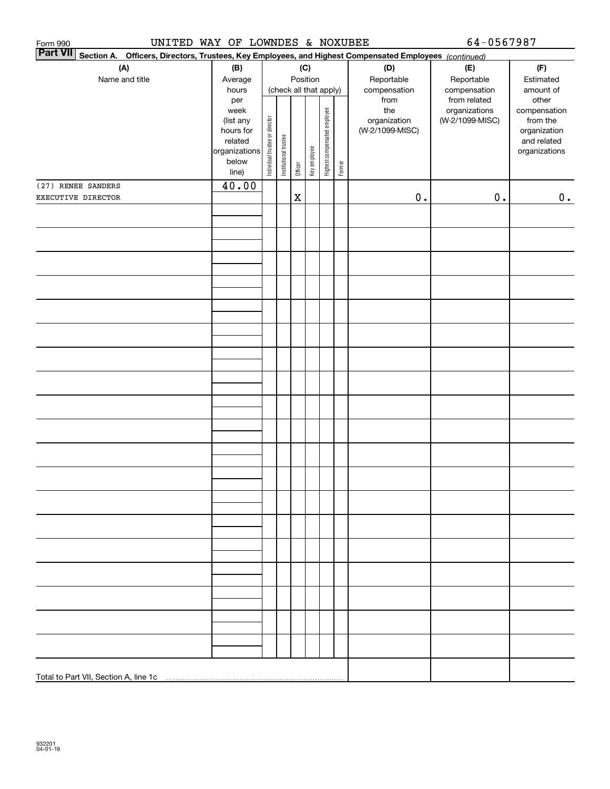| UNITED WAY OF LOWNDES & NOXUBEE<br>Form 990 |                      |                                |                        |             |              |                              |        |                                                                                                        | 64-0567987      |                             |  |  |  |
|---------------------------------------------|----------------------|--------------------------------|------------------------|-------------|--------------|------------------------------|--------|--------------------------------------------------------------------------------------------------------|-----------------|-----------------------------|--|--|--|
| <b>Part VII</b>                             |                      |                                |                        |             |              |                              |        | Section A. Officers, Directors, Trustees, Key Employees, and Highest Compensated Employees (continued) |                 |                             |  |  |  |
| (A)<br>(B)<br>(C)                           |                      |                                |                        |             |              |                              | (D)    | (E)                                                                                                    | (F)             |                             |  |  |  |
| Name and title                              | Average              |                                |                        |             | Position     |                              |        | Reportable                                                                                             | Reportable      | Estimated                   |  |  |  |
|                                             | hours                |                                | (check all that apply) |             |              |                              |        | compensation                                                                                           | compensation    | amount of                   |  |  |  |
|                                             | per                  |                                |                        |             |              |                              |        | from                                                                                                   | from related    | other                       |  |  |  |
|                                             | week                 |                                |                        |             |              |                              |        | the                                                                                                    | organizations   | compensation                |  |  |  |
|                                             | (list any            |                                |                        |             |              |                              |        | organization                                                                                           | (W-2/1099-MISC) | from the                    |  |  |  |
|                                             | hours for<br>related |                                |                        |             |              |                              |        | (W-2/1099-MISC)                                                                                        |                 | organization<br>and related |  |  |  |
|                                             | organizations        |                                |                        |             |              |                              |        |                                                                                                        |                 | organizations               |  |  |  |
|                                             | below                |                                |                        |             |              |                              |        |                                                                                                        |                 |                             |  |  |  |
|                                             | line)                | Individual trustee or director | Institutional trustee  | Officer     | Key employee | Highest compensated employee | Former |                                                                                                        |                 |                             |  |  |  |
| (27) RENEE SANDERS                          | 40.00                |                                |                        |             |              |                              |        |                                                                                                        |                 |                             |  |  |  |
| EXECUTIVE DIRECTOR                          |                      |                                |                        | $\mathbf X$ |              |                              |        | $\mathbf 0$ .                                                                                          | $0$ .           | 0.                          |  |  |  |
|                                             |                      |                                |                        |             |              |                              |        |                                                                                                        |                 |                             |  |  |  |
|                                             |                      |                                |                        |             |              |                              |        |                                                                                                        |                 |                             |  |  |  |
|                                             |                      |                                |                        |             |              |                              |        |                                                                                                        |                 |                             |  |  |  |
|                                             |                      |                                |                        |             |              |                              |        |                                                                                                        |                 |                             |  |  |  |
|                                             |                      |                                |                        |             |              |                              |        |                                                                                                        |                 |                             |  |  |  |
|                                             |                      |                                |                        |             |              |                              |        |                                                                                                        |                 |                             |  |  |  |
|                                             |                      |                                |                        |             |              |                              |        |                                                                                                        |                 |                             |  |  |  |
|                                             |                      |                                |                        |             |              |                              |        |                                                                                                        |                 |                             |  |  |  |
|                                             |                      |                                |                        |             |              |                              |        |                                                                                                        |                 |                             |  |  |  |
|                                             |                      |                                |                        |             |              |                              |        |                                                                                                        |                 |                             |  |  |  |
|                                             |                      |                                |                        |             |              |                              |        |                                                                                                        |                 |                             |  |  |  |
|                                             |                      |                                |                        |             |              |                              |        |                                                                                                        |                 |                             |  |  |  |
|                                             |                      |                                |                        |             |              |                              |        |                                                                                                        |                 |                             |  |  |  |
|                                             |                      |                                |                        |             |              |                              |        |                                                                                                        |                 |                             |  |  |  |
|                                             |                      |                                |                        |             |              |                              |        |                                                                                                        |                 |                             |  |  |  |
|                                             |                      |                                |                        |             |              |                              |        |                                                                                                        |                 |                             |  |  |  |
|                                             |                      |                                |                        |             |              |                              |        |                                                                                                        |                 |                             |  |  |  |
|                                             |                      |                                |                        |             |              |                              |        |                                                                                                        |                 |                             |  |  |  |
|                                             |                      |                                |                        |             |              |                              |        |                                                                                                        |                 |                             |  |  |  |
|                                             |                      |                                |                        |             |              |                              |        |                                                                                                        |                 |                             |  |  |  |
|                                             |                      |                                |                        |             |              |                              |        |                                                                                                        |                 |                             |  |  |  |
|                                             |                      |                                |                        |             |              |                              |        |                                                                                                        |                 |                             |  |  |  |
|                                             |                      |                                |                        |             |              |                              |        |                                                                                                        |                 |                             |  |  |  |
|                                             |                      |                                |                        |             |              |                              |        |                                                                                                        |                 |                             |  |  |  |
|                                             |                      |                                |                        |             |              |                              |        |                                                                                                        |                 |                             |  |  |  |
|                                             |                      |                                |                        |             |              |                              |        |                                                                                                        |                 |                             |  |  |  |
|                                             |                      |                                |                        |             |              |                              |        |                                                                                                        |                 |                             |  |  |  |
|                                             |                      |                                |                        |             |              |                              |        |                                                                                                        |                 |                             |  |  |  |
|                                             |                      |                                |                        |             |              |                              |        |                                                                                                        |                 |                             |  |  |  |
|                                             |                      |                                |                        |             |              |                              |        |                                                                                                        |                 |                             |  |  |  |
|                                             |                      |                                |                        |             |              |                              |        |                                                                                                        |                 |                             |  |  |  |
|                                             |                      |                                |                        |             |              |                              |        |                                                                                                        |                 |                             |  |  |  |
|                                             |                      |                                |                        |             |              |                              |        |                                                                                                        |                 |                             |  |  |  |
|                                             |                      |                                |                        |             |              |                              |        |                                                                                                        |                 |                             |  |  |  |
|                                             |                      |                                |                        |             |              |                              |        |                                                                                                        |                 |                             |  |  |  |
|                                             |                      |                                |                        |             |              |                              |        |                                                                                                        |                 |                             |  |  |  |
|                                             |                      |                                |                        |             |              |                              |        |                                                                                                        |                 |                             |  |  |  |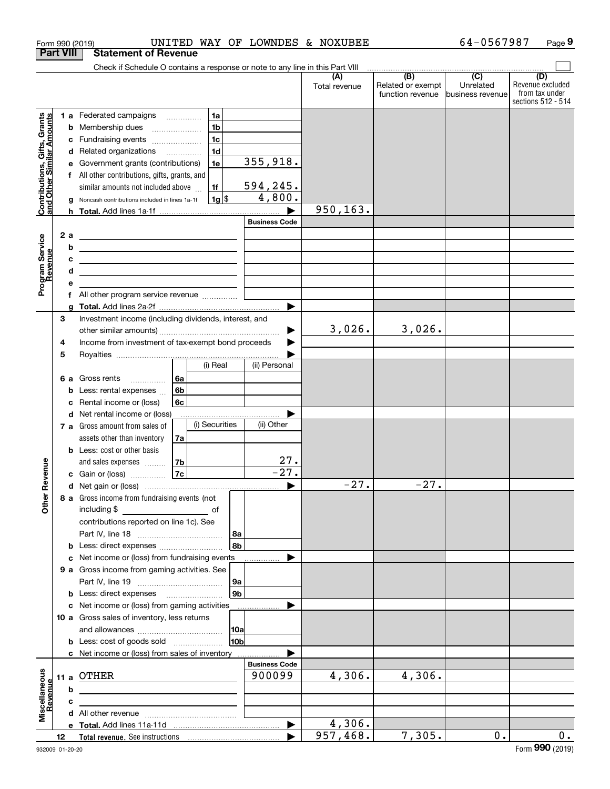|                                                           |                  | Form 990 (2019)                                                                                                                       |                |                |                |                       | UNITED WAY OF LOWNDES & NOXUBEE |                          | 64-0567987                  | Page 9                  |
|-----------------------------------------------------------|------------------|---------------------------------------------------------------------------------------------------------------------------------------|----------------|----------------|----------------|-----------------------|---------------------------------|--------------------------|-----------------------------|-------------------------|
|                                                           | <b>Part VIII</b> | <b>Statement of Revenue</b>                                                                                                           |                |                |                |                       |                                 |                          |                             |                         |
|                                                           |                  | Check if Schedule O contains a response or note to any line in this Part VIII                                                         |                |                |                |                       |                                 |                          |                             |                         |
|                                                           |                  |                                                                                                                                       |                |                |                |                       | (A)<br>Total revenue            | (B)<br>Related or exempt | $\overline{C}$<br>Unrelated | (D)<br>Revenue excluded |
|                                                           |                  |                                                                                                                                       |                |                |                |                       |                                 | function revenue         | Ibusiness revenue           | from tax under          |
|                                                           |                  |                                                                                                                                       |                |                |                |                       |                                 |                          |                             | sections 512 - 514      |
|                                                           |                  | 1 a Federated campaigns                                                                                                               |                | 1a             |                |                       |                                 |                          |                             |                         |
| Contributions, Gifts, Grants<br>and Other Similar Amounts |                  | <b>b</b> Membership dues<br>$\ldots \ldots \ldots \ldots \ldots$                                                                      |                | 1 <sub>b</sub> |                |                       |                                 |                          |                             |                         |
|                                                           | с                | Fundraising events                                                                                                                    |                | 1 <sub>c</sub> |                |                       |                                 |                          |                             |                         |
|                                                           | d                | Related organizations                                                                                                                 |                | 1 <sub>d</sub> |                |                       |                                 |                          |                             |                         |
|                                                           |                  | Government grants (contributions)                                                                                                     |                | 1e             |                | 355,918.              |                                 |                          |                             |                         |
|                                                           |                  | f All other contributions, gifts, grants, and                                                                                         |                |                |                |                       |                                 |                          |                             |                         |
|                                                           |                  | similar amounts not included above                                                                                                    |                | 1f             |                | <u>594,245.</u>       |                                 |                          |                             |                         |
|                                                           |                  | Noncash contributions included in lines 1a-1f                                                                                         |                | $1g$ \$        |                | 4,800.                |                                 |                          |                             |                         |
|                                                           |                  |                                                                                                                                       |                |                |                |                       | 950, 163.                       |                          |                             |                         |
|                                                           |                  |                                                                                                                                       |                |                |                | <b>Business Code</b>  |                                 |                          |                             |                         |
|                                                           | 2a               | <u> 1989 - Johann Barn, amerikansk politiker (d. 1989)</u>                                                                            |                |                |                |                       |                                 |                          |                             |                         |
|                                                           | b                | <u> 1989 - Johann Stoff, deutscher Stoffen und der Stoffen und der Stoffen und der Stoffen und der Stoffen und der</u>                |                |                |                |                       |                                 |                          |                             |                         |
|                                                           | c                | <u> 1989 - Johann Barn, fransk politik amerikansk politik (</u>                                                                       |                |                |                |                       |                                 |                          |                             |                         |
|                                                           | d                | <u> 1989 - Johann Barbara, martxa alemaniar a</u>                                                                                     |                |                |                |                       |                                 |                          |                             |                         |
| Program Service<br>Revenue                                |                  |                                                                                                                                       |                |                |                |                       |                                 |                          |                             |                         |
|                                                           |                  | All other program service revenue <i>mimimini</i>                                                                                     |                |                |                |                       |                                 |                          |                             |                         |
|                                                           | q                |                                                                                                                                       |                |                |                | $\blacktriangleright$ |                                 |                          |                             |                         |
|                                                           | 3                | Investment income (including dividends, interest, and                                                                                 |                |                |                |                       |                                 |                          |                             |                         |
|                                                           |                  |                                                                                                                                       |                |                |                |                       | 3,026.                          | 3,026.                   |                             |                         |
|                                                           |                  | Income from investment of tax-exempt bond proceeds                                                                                    |                |                |                | ▶                     |                                 |                          |                             |                         |
|                                                           | 4                |                                                                                                                                       |                |                |                |                       |                                 |                          |                             |                         |
|                                                           | 5                |                                                                                                                                       |                | (i) Real       |                | (ii) Personal         |                                 |                          |                             |                         |
|                                                           |                  |                                                                                                                                       |                |                |                |                       |                                 |                          |                             |                         |
|                                                           |                  | 6 a Gross rents<br>$\cdots$                                                                                                           | 6a             |                |                |                       |                                 |                          |                             |                         |
|                                                           | b                | Less: rental expenses                                                                                                                 | 6 <sub>b</sub> |                |                |                       |                                 |                          |                             |                         |
|                                                           | c                | Rental income or (loss)                                                                                                               | 6c             |                |                |                       |                                 |                          |                             |                         |
|                                                           | d                | Net rental income or (loss)                                                                                                           |                |                |                |                       |                                 |                          |                             |                         |
|                                                           |                  | 7 a Gross amount from sales of                                                                                                        |                | (i) Securities |                | (ii) Other            |                                 |                          |                             |                         |
|                                                           |                  | assets other than inventory                                                                                                           | 7a             |                |                |                       |                                 |                          |                             |                         |
|                                                           |                  | <b>b</b> Less: cost or other basis                                                                                                    |                |                |                |                       |                                 |                          |                             |                         |
| wenue                                                     |                  | and sales expenses                                                                                                                    | 7b             |                |                | $\frac{27}{-27}$ .    |                                 |                          |                             |                         |
|                                                           |                  | c Gain or (loss)                                                                                                                      | 7c             |                |                |                       |                                 |                          |                             |                         |
| <u>ଝ</u>                                                  |                  |                                                                                                                                       |                |                |                |                       | $-27.$                          | $-27.$                   |                             |                         |
| Other                                                     |                  | 8 a Gross income from fundraising events (not                                                                                         |                |                |                |                       |                                 |                          |                             |                         |
|                                                           |                  | including \$<br><u>na sa sa sa sa sanarang sa sanarang sa sanarang sa sanarang sa sanarang sa sanarang sa sanarang sa sanarang sa</u> |                |                |                |                       |                                 |                          |                             |                         |
|                                                           |                  | contributions reported on line 1c). See                                                                                               |                |                |                |                       |                                 |                          |                             |                         |
|                                                           |                  |                                                                                                                                       |                |                | 8a             |                       |                                 |                          |                             |                         |
|                                                           |                  | <b>b</b> Less: direct expenses                                                                                                        |                |                | 8b             |                       |                                 |                          |                             |                         |
|                                                           |                  | c Net income or (loss) from fundraising events                                                                                        |                |                |                | .                     |                                 |                          |                             |                         |
|                                                           |                  | 9 a Gross income from gaming activities. See                                                                                          |                |                |                |                       |                                 |                          |                             |                         |
|                                                           |                  |                                                                                                                                       |                |                | 9а             |                       |                                 |                          |                             |                         |
|                                                           |                  |                                                                                                                                       |                |                | 9 <sub>b</sub> |                       |                                 |                          |                             |                         |
|                                                           |                  | c Net income or (loss) from gaming activities                                                                                         |                |                |                | ▶<br>.                |                                 |                          |                             |                         |
|                                                           |                  | 10 a Gross sales of inventory, less returns                                                                                           |                |                |                |                       |                                 |                          |                             |                         |
|                                                           |                  |                                                                                                                                       |                |                | 10a            |                       |                                 |                          |                             |                         |
|                                                           |                  | <b>b</b> Less: cost of goods sold                                                                                                     |                |                | 10b            |                       |                                 |                          |                             |                         |
|                                                           |                  | c Net income or (loss) from sales of inventory                                                                                        |                |                |                |                       |                                 |                          |                             |                         |
|                                                           |                  |                                                                                                                                       |                |                |                | <b>Business Code</b>  |                                 |                          |                             |                         |
| Miscellaneous<br>Revenue                                  |                  | 11 a OTHER                                                                                                                            |                |                |                | 900099                | 4,306.                          | 4,306.                   |                             |                         |
|                                                           | b                |                                                                                                                                       |                |                |                |                       |                                 |                          |                             |                         |
|                                                           | c                |                                                                                                                                       |                |                |                |                       |                                 |                          |                             |                         |
|                                                           |                  |                                                                                                                                       |                |                |                |                       |                                 |                          |                             |                         |
|                                                           |                  |                                                                                                                                       |                |                |                | ▶                     | 4,306.                          |                          |                             |                         |
|                                                           | 12               |                                                                                                                                       |                |                |                |                       | 957,468.                        | 7,305.                   | 0.                          | 0.                      |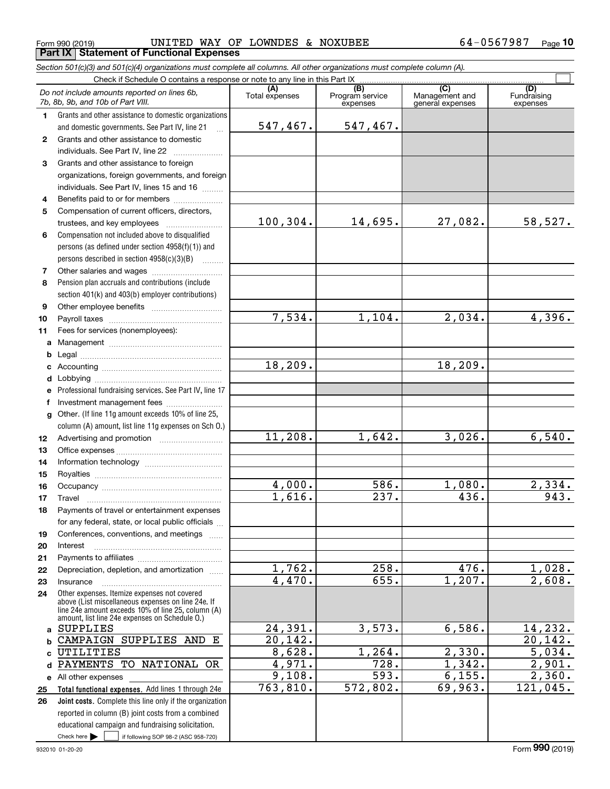|              | Form 990 (2019)                                                                                                                                                                                            | UNITED WAY OF LOWNDES & NOXUBEE |                                    |                                    | 64-0567987<br>Page 10          |  |  |  |  |  |
|--------------|------------------------------------------------------------------------------------------------------------------------------------------------------------------------------------------------------------|---------------------------------|------------------------------------|------------------------------------|--------------------------------|--|--|--|--|--|
|              | <b>Part IX Statement of Functional Expenses</b>                                                                                                                                                            |                                 |                                    |                                    |                                |  |  |  |  |  |
|              | Section 501(c)(3) and 501(c)(4) organizations must complete all columns. All other organizations must complete column (A).                                                                                 |                                 |                                    |                                    |                                |  |  |  |  |  |
|              | Check if Schedule O contains a response or note to any line in this Part IX<br>$\overline{C}$                                                                                                              |                                 |                                    |                                    |                                |  |  |  |  |  |
|              | Do not include amounts reported on lines 6b,<br>7b, 8b, 9b, and 10b of Part VIII.                                                                                                                          | Total expenses                  | (B)<br>Program service<br>expenses | Management and<br>general expenses | (D)<br>Fundraising<br>expenses |  |  |  |  |  |
| 1.           | Grants and other assistance to domestic organizations                                                                                                                                                      |                                 |                                    |                                    |                                |  |  |  |  |  |
|              | and domestic governments. See Part IV, line 21                                                                                                                                                             | 547,467.                        | 547,467.                           |                                    |                                |  |  |  |  |  |
| $\mathbf{2}$ | Grants and other assistance to domestic                                                                                                                                                                    |                                 |                                    |                                    |                                |  |  |  |  |  |
|              | individuals. See Part IV, line 22                                                                                                                                                                          |                                 |                                    |                                    |                                |  |  |  |  |  |
| 3            | Grants and other assistance to foreign                                                                                                                                                                     |                                 |                                    |                                    |                                |  |  |  |  |  |
|              | organizations, foreign governments, and foreign                                                                                                                                                            |                                 |                                    |                                    |                                |  |  |  |  |  |
|              | individuals. See Part IV, lines 15 and 16                                                                                                                                                                  |                                 |                                    |                                    |                                |  |  |  |  |  |
| 4            | Benefits paid to or for members                                                                                                                                                                            |                                 |                                    |                                    |                                |  |  |  |  |  |
| 5            | Compensation of current officers, directors,                                                                                                                                                               |                                 |                                    |                                    |                                |  |  |  |  |  |
|              | trustees, and key employees                                                                                                                                                                                | 100, 304.                       | 14,695.                            | 27,082.                            | 58,527.                        |  |  |  |  |  |
| 6            | Compensation not included above to disqualified                                                                                                                                                            |                                 |                                    |                                    |                                |  |  |  |  |  |
|              | persons (as defined under section 4958(f)(1)) and                                                                                                                                                          |                                 |                                    |                                    |                                |  |  |  |  |  |
|              | persons described in section 4958(c)(3)(B)                                                                                                                                                                 |                                 |                                    |                                    |                                |  |  |  |  |  |
| 7            |                                                                                                                                                                                                            |                                 |                                    |                                    |                                |  |  |  |  |  |
| 8            | Pension plan accruals and contributions (include                                                                                                                                                           |                                 |                                    |                                    |                                |  |  |  |  |  |
|              | section 401(k) and 403(b) employer contributions)                                                                                                                                                          |                                 |                                    |                                    |                                |  |  |  |  |  |
| 9            |                                                                                                                                                                                                            | 7,534.                          |                                    | 2,034.                             |                                |  |  |  |  |  |
| 10           |                                                                                                                                                                                                            |                                 | 1,104.                             |                                    | 4,396.                         |  |  |  |  |  |
| 11           | Fees for services (nonemployees):                                                                                                                                                                          |                                 |                                    |                                    |                                |  |  |  |  |  |
| a            |                                                                                                                                                                                                            |                                 |                                    |                                    |                                |  |  |  |  |  |
| b            |                                                                                                                                                                                                            | 18, 209.                        |                                    | 18, 209.                           |                                |  |  |  |  |  |
| c            |                                                                                                                                                                                                            |                                 |                                    |                                    |                                |  |  |  |  |  |
| d            |                                                                                                                                                                                                            |                                 |                                    |                                    |                                |  |  |  |  |  |
| e            | Professional fundraising services. See Part IV, line 17                                                                                                                                                    |                                 |                                    |                                    |                                |  |  |  |  |  |
| f            | Investment management fees<br>Other. (If line 11g amount exceeds 10% of line 25,                                                                                                                           |                                 |                                    |                                    |                                |  |  |  |  |  |
| g            | column (A) amount, list line 11g expenses on Sch O.)                                                                                                                                                       |                                 |                                    |                                    |                                |  |  |  |  |  |
| 12           |                                                                                                                                                                                                            | 11,208.                         | 1,642.                             | 3,026.                             | 6,540.                         |  |  |  |  |  |
| 13           |                                                                                                                                                                                                            |                                 |                                    |                                    |                                |  |  |  |  |  |
| 14           |                                                                                                                                                                                                            |                                 |                                    |                                    |                                |  |  |  |  |  |
| 15           |                                                                                                                                                                                                            |                                 |                                    |                                    |                                |  |  |  |  |  |
| 16           |                                                                                                                                                                                                            | 4,000.                          | 586.                               | 1,080.                             | 2,334.                         |  |  |  |  |  |
| 17           | Travel                                                                                                                                                                                                     | 1,616.                          | 237.                               | 436.                               | 943.                           |  |  |  |  |  |
| 18           | Payments of travel or entertainment expenses                                                                                                                                                               |                                 |                                    |                                    |                                |  |  |  |  |  |
|              | for any federal, state, or local public officials                                                                                                                                                          |                                 |                                    |                                    |                                |  |  |  |  |  |
| 19           | Conferences, conventions, and meetings                                                                                                                                                                     |                                 |                                    |                                    |                                |  |  |  |  |  |
| 20           | Interest                                                                                                                                                                                                   |                                 |                                    |                                    |                                |  |  |  |  |  |
| 21           |                                                                                                                                                                                                            |                                 |                                    |                                    |                                |  |  |  |  |  |
| 22           | Depreciation, depletion, and amortization                                                                                                                                                                  | 1,762.                          | 258.                               | 476.                               | 1,028.                         |  |  |  |  |  |
| 23           | Insurance                                                                                                                                                                                                  | 4,470.                          | 655.                               | 1,207.                             | 2,608.                         |  |  |  |  |  |
| 24           | Other expenses. Itemize expenses not covered<br>above (List miscellaneous expenses on line 24e. If<br>line 24e amount exceeds 10% of line 25, column (A)<br>amount, list line 24e expenses on Schedule O.) |                                 |                                    |                                    |                                |  |  |  |  |  |
| a            | <b>SUPPLIES</b>                                                                                                                                                                                            | 24,391.                         | 3,573.                             | 6,586.                             | 14,232.                        |  |  |  |  |  |
| b            | CAMPAIGN SUPPLIES AND E                                                                                                                                                                                    | 20, 142.                        |                                    |                                    | 20, 142.                       |  |  |  |  |  |
| C            | UTILITIES                                                                                                                                                                                                  | 8,628.                          | 1,264.                             | 2,330.                             | 5,034.                         |  |  |  |  |  |
| d            | PAYMENTS TO NATIONAL OR                                                                                                                                                                                    | 4,971.                          | $\overline{728}$ .                 | 1,342.                             | 2,901.                         |  |  |  |  |  |
| е            | All other expenses                                                                                                                                                                                         | 9,108.                          | $\overline{593}$ .                 | 6,155.                             | 2,360.                         |  |  |  |  |  |
| 25           | Total functional expenses. Add lines 1 through 24e                                                                                                                                                         | 763,810.                        | 572,802.                           | 69,963.                            | 121,045.                       |  |  |  |  |  |
| 26           | Joint costs. Complete this line only if the organization                                                                                                                                                   |                                 |                                    |                                    |                                |  |  |  |  |  |
|              | reported in column (B) joint costs from a combined                                                                                                                                                         |                                 |                                    |                                    |                                |  |  |  |  |  |

Check here  $\begin{array}{|c|c|c|c|c|}\hline \text{ } & \text{ if following SOP 98-2 (ASC 958-720)} \\\hline \end{array}$ 

educational campaign and fundraising solicitation.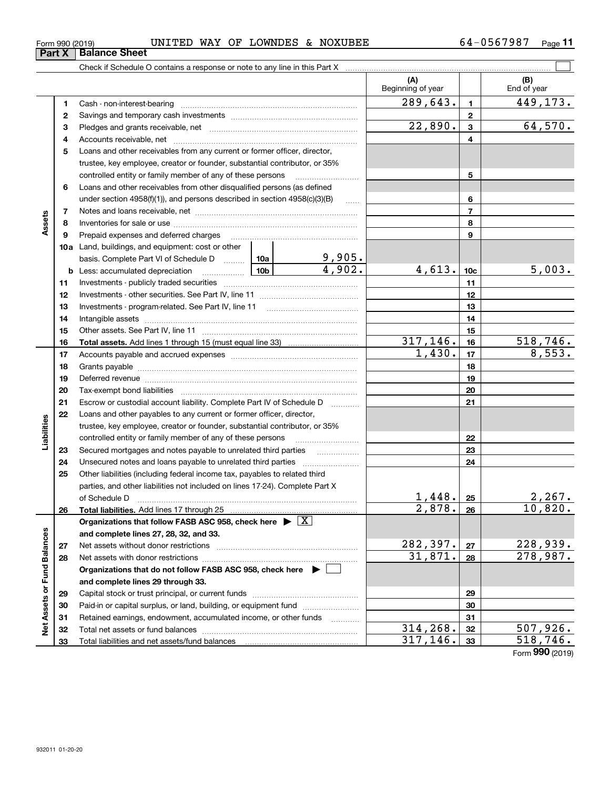| Form 990 (2019) | <b>WAY</b><br>UNITED | ОF | LOWNDES | $\sim$ | <b>NOXUBEE</b> | 7007<br>ч п.<br>`n | Page |  |
|-----------------|----------------------|----|---------|--------|----------------|--------------------|------|--|
|                 |                      |    |         |        |                |                    |      |  |

|                             |    |                                                                                           |        |                         | (A)<br>Beginning of year |                | (B)<br>End of year |
|-----------------------------|----|-------------------------------------------------------------------------------------------|--------|-------------------------|--------------------------|----------------|--------------------|
|                             | 1  |                                                                                           |        |                         | 289,643.                 | $\mathbf{1}$   | 449, 173.          |
|                             | 2  |                                                                                           |        |                         |                          | $\mathbf{2}$   |                    |
|                             | з  |                                                                                           |        | 22,890.                 | 3                        | 64,570.        |                    |
|                             | 4  |                                                                                           |        |                         | 4                        |                |                    |
|                             | 5  | Loans and other receivables from any current or former officer, director,                 |        |                         |                          |                |                    |
|                             |    | trustee, key employee, creator or founder, substantial contributor, or 35%                |        |                         |                          |                |                    |
|                             |    | controlled entity or family member of any of these persons                                |        | 5                       |                          |                |                    |
|                             | 6  | Loans and other receivables from other disqualified persons (as defined                   |        |                         |                          |                |                    |
|                             |    | under section $4958(f)(1)$ , and persons described in section $4958(c)(3)(B)$<br>$\ldots$ |        |                         |                          | 6              |                    |
|                             | 7  |                                                                                           |        |                         |                          | $\overline{7}$ |                    |
| Assets                      | 8  |                                                                                           |        |                         |                          | 8              |                    |
|                             | 9  | Prepaid expenses and deferred charges                                                     |        |                         |                          | 9              |                    |
|                             |    | <b>10a</b> Land, buildings, and equipment: cost or other                                  |        |                         |                          |                |                    |
|                             |    | basis. Complete Part VI of Schedule D  10a                                                |        | $\frac{9,905.}{4,902.}$ |                          |                |                    |
|                             |    | <b>b</b> Less: accumulated depreciation<br>المستشيشين                                     | 4,613. | 10 <sub>c</sub>         | 5,003.                   |                |                    |
|                             | 11 |                                                                                           |        |                         | 11                       |                |                    |
|                             | 12 |                                                                                           |        | 12                      |                          |                |                    |
|                             | 13 |                                                                                           |        | 13                      |                          |                |                    |
|                             | 14 |                                                                                           |        | 14                      |                          |                |                    |
|                             | 15 |                                                                                           |        | 15                      |                          |                |                    |
|                             | 16 |                                                                                           |        |                         | 317, 146.                | 16             | 518, 746.          |
|                             | 17 |                                                                                           | 1,430. | 17                      | 8,553.                   |                |                    |
|                             | 18 |                                                                                           |        |                         | 18                       |                |                    |
|                             | 19 |                                                                                           |        |                         |                          | 19             |                    |
|                             | 20 |                                                                                           |        |                         |                          | 20             |                    |
|                             | 21 | Escrow or custodial account liability. Complete Part IV of Schedule D                     |        | .                       |                          | 21             |                    |
|                             | 22 | Loans and other payables to any current or former officer, director,                      |        |                         |                          |                |                    |
| Liabilities                 |    | trustee, key employee, creator or founder, substantial contributor, or 35%                |        |                         |                          |                |                    |
|                             |    | controlled entity or family member of any of these persons                                |        |                         |                          | 22             |                    |
|                             | 23 | Secured mortgages and notes payable to unrelated third parties                            |        |                         |                          | 23             |                    |
|                             | 24 |                                                                                           |        |                         |                          | 24             |                    |
|                             | 25 | Other liabilities (including federal income tax, payables to related third                |        |                         |                          |                |                    |
|                             |    | parties, and other liabilities not included on lines 17-24). Complete Part X              |        |                         |                          |                |                    |
|                             |    | of Schedule D                                                                             |        |                         | 1,448.                   | 25             | 2,267.             |
|                             | 26 |                                                                                           |        |                         | 2,878.                   | 26             | 10,820.            |
|                             |    | Organizations that follow FASB ASC 958, check here $\blacktriangleright \boxed{X}$        |        |                         |                          |                |                    |
|                             |    | and complete lines 27, 28, 32, and 33.                                                    |        |                         |                          |                |                    |
|                             | 27 |                                                                                           |        |                         | 282,397.                 | 27             | 228,939.           |
|                             | 28 |                                                                                           |        |                         | 31,871.                  | 28             | 278,987.           |
|                             |    | Organizations that do not follow FASB ASC 958, check here $\blacktriangleright$           |        |                         |                          |                |                    |
|                             |    | and complete lines 29 through 33.                                                         |        |                         |                          |                |                    |
|                             | 29 |                                                                                           |        |                         |                          | 29             |                    |
|                             | 30 | Paid-in or capital surplus, or land, building, or equipment fund                          |        |                         |                          | 30             |                    |
| Net Assets or Fund Balances | 31 | Retained earnings, endowment, accumulated income, or other funds                          |        |                         |                          | 31             |                    |
|                             | 32 |                                                                                           |        |                         | 314,268.<br>317,146.     | 32             | 507,926.           |
|                             | 33 |                                                                                           |        |                         |                          | 33             | 518, 746.          |

Form (2019) **990**

**Part X Balance Sheet**

|  | orm 990 (2019) |  |
|--|----------------|--|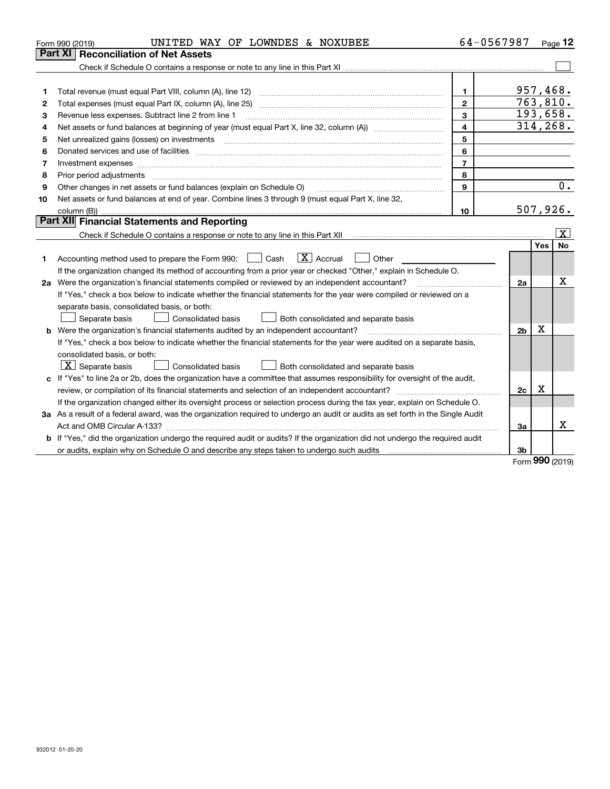|    | UNITED WAY OF LOWNDES & NOXUBEE<br>Form 990 (2019)                                                                                                                                                                             | 64-0567987              |                |     | Page 12                 |
|----|--------------------------------------------------------------------------------------------------------------------------------------------------------------------------------------------------------------------------------|-------------------------|----------------|-----|-------------------------|
|    | <b>Reconciliation of Net Assets</b><br><b>Part XI</b>                                                                                                                                                                          |                         |                |     |                         |
|    |                                                                                                                                                                                                                                |                         |                |     |                         |
|    |                                                                                                                                                                                                                                |                         |                |     |                         |
| 1  |                                                                                                                                                                                                                                | 1.                      | 957,468.       |     |                         |
| 2  |                                                                                                                                                                                                                                | $\overline{2}$          | 763,810.       |     |                         |
| з  | Revenue less expenses. Subtract line 2 from line 1                                                                                                                                                                             | 3                       | 193,658.       |     |                         |
| 4  |                                                                                                                                                                                                                                | $\overline{\mathbf{4}}$ |                |     | 314, 268.               |
| 5  |                                                                                                                                                                                                                                | 5                       |                |     |                         |
| 6  | Donated services and use of facilities [111] processes and the service of facilities [11] processes and use of facilities [11] processes and the service of facilities [11] processes and the service of the service of the se | 6                       |                |     |                         |
| 7  | Investment expenses www.communication.com/www.communication.com/www.communication.com/www.com                                                                                                                                  | $\overline{7}$          |                |     |                         |
| 8  | Prior period adjustments                                                                                                                                                                                                       | 8                       |                |     |                         |
| 9  | Other changes in net assets or fund balances (explain on Schedule O)                                                                                                                                                           | 9                       |                |     | $\overline{0}$ .        |
| 10 | Net assets or fund balances at end of year. Combine lines 3 through 9 (must equal Part X, line 32,                                                                                                                             |                         |                |     |                         |
|    |                                                                                                                                                                                                                                | 10                      | 507,926.       |     |                         |
|    | Part XII Financial Statements and Reporting                                                                                                                                                                                    |                         |                |     |                         |
|    |                                                                                                                                                                                                                                |                         |                |     | $\overline{\mathbf{X}}$ |
|    |                                                                                                                                                                                                                                |                         |                | Yes | <b>No</b>               |
| 1  | $\boxed{\mathbf{X}}$ Accrual<br>Accounting method used to prepare the Form 990: <u>June</u> Cash<br>Other                                                                                                                      |                         |                |     |                         |
|    | If the organization changed its method of accounting from a prior year or checked "Other," explain in Schedule O.                                                                                                              |                         |                |     |                         |
|    | 2a Were the organization's financial statements compiled or reviewed by an independent accountant?                                                                                                                             |                         | 2a             |     | x                       |
|    | If "Yes," check a box below to indicate whether the financial statements for the year were compiled or reviewed on a                                                                                                           |                         |                |     |                         |
|    | separate basis, consolidated basis, or both:                                                                                                                                                                                   |                         |                |     |                         |
|    | Separate basis<br>Both consolidated and separate basis<br>Consolidated basis                                                                                                                                                   |                         |                |     |                         |
|    | <b>b</b> Were the organization's financial statements audited by an independent accountant?                                                                                                                                    |                         | 2 <sub>b</sub> | Х   |                         |
|    | If "Yes," check a box below to indicate whether the financial statements for the year were audited on a separate basis,                                                                                                        |                         |                |     |                         |
|    | consolidated basis, or both:                                                                                                                                                                                                   |                         |                |     |                         |
|    | $\lfloor x \rfloor$ Separate basis<br><b>Consolidated basis</b><br>Both consolidated and separate basis                                                                                                                        |                         |                |     |                         |
|    | c If "Yes" to line 2a or 2b, does the organization have a committee that assumes responsibility for oversight of the audit,                                                                                                    |                         |                |     |                         |
|    |                                                                                                                                                                                                                                |                         | 2c             | x   |                         |
|    | If the organization changed either its oversight process or selection process during the tax year, explain on Schedule O.                                                                                                      |                         |                |     |                         |
|    | 3a As a result of a federal award, was the organization required to undergo an audit or audits as set forth in the Single Audit                                                                                                |                         |                |     |                         |
|    |                                                                                                                                                                                                                                |                         | За             |     | x                       |
|    | <b>b</b> If "Yes," did the organization undergo the required audit or audits? If the organization did not undergo the required audit                                                                                           |                         |                |     |                         |
|    |                                                                                                                                                                                                                                |                         | 3 <sub>b</sub> |     |                         |

Form (2019) **990**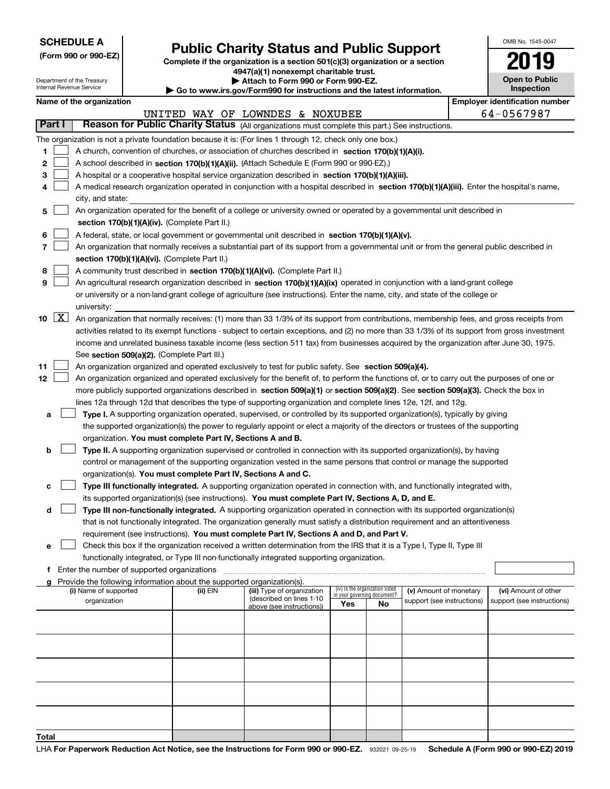| <b>SCHEDULE A</b> |  |  |  |  |  |  |
|-------------------|--|--|--|--|--|--|
|-------------------|--|--|--|--|--|--|

Department of the Treasury Internal Revenue Service

**(Form 990 or 990-EZ)**

## **Public Charity Status and Public Support**

**Complete if the organization is a section 501(c)(3) organization or a section 4947(a)(1) nonexempt charitable trust.**

| Attach to Form 990 or Form 990-EZ. |
|------------------------------------|
|                                    |

**| Go to www.irs.gov/Form990 for instructions and the latest information.**

| OMB No 1545-0047                    |
|-------------------------------------|
| 2019                                |
| <b>Open to Public</b><br>Inspection |

|  | Name of the organization |
|--|--------------------------|
|--|--------------------------|

|       | Name of the organization<br><b>Employer identification number</b>                                                         |                                                                                                                                                                                            |          |                                                        |                             |                                 |                                                      |  |                                                    |  |  |
|-------|---------------------------------------------------------------------------------------------------------------------------|--------------------------------------------------------------------------------------------------------------------------------------------------------------------------------------------|----------|--------------------------------------------------------|-----------------------------|---------------------------------|------------------------------------------------------|--|----------------------------------------------------|--|--|
|       |                                                                                                                           |                                                                                                                                                                                            |          | UNITED WAY OF LOWNDES & NOXUBEE                        |                             |                                 |                                                      |  | 64-0567987                                         |  |  |
|       | Part I                                                                                                                    | Reason for Public Charity Status (All organizations must complete this part.) See instructions.                                                                                            |          |                                                        |                             |                                 |                                                      |  |                                                    |  |  |
|       |                                                                                                                           | The organization is not a private foundation because it is: (For lines 1 through 12, check only one box.)                                                                                  |          |                                                        |                             |                                 |                                                      |  |                                                    |  |  |
| 1.    |                                                                                                                           | A church, convention of churches, or association of churches described in section 170(b)(1)(A)(i).                                                                                         |          |                                                        |                             |                                 |                                                      |  |                                                    |  |  |
| 2     |                                                                                                                           | A school described in section 170(b)(1)(A)(ii). (Attach Schedule E (Form 990 or 990-EZ).)                                                                                                  |          |                                                        |                             |                                 |                                                      |  |                                                    |  |  |
| 3     | A hospital or a cooperative hospital service organization described in section 170(b)(1)(A)(iii).                         |                                                                                                                                                                                            |          |                                                        |                             |                                 |                                                      |  |                                                    |  |  |
|       |                                                                                                                           | A medical research organization operated in conjunction with a hospital described in section 170(b)(1)(A)(iii). Enter the hospital's name,                                                 |          |                                                        |                             |                                 |                                                      |  |                                                    |  |  |
|       |                                                                                                                           | city, and state:                                                                                                                                                                           |          |                                                        |                             |                                 |                                                      |  |                                                    |  |  |
| 5     | An organization operated for the benefit of a college or university owned or operated by a governmental unit described in |                                                                                                                                                                                            |          |                                                        |                             |                                 |                                                      |  |                                                    |  |  |
|       |                                                                                                                           | section 170(b)(1)(A)(iv). (Complete Part II.)                                                                                                                                              |          |                                                        |                             |                                 |                                                      |  |                                                    |  |  |
| 6     |                                                                                                                           |                                                                                                                                                                                            |          |                                                        |                             |                                 |                                                      |  |                                                    |  |  |
| 7     |                                                                                                                           | A federal, state, or local government or governmental unit described in section 170(b)(1)(A)(v).                                                                                           |          |                                                        |                             |                                 |                                                      |  |                                                    |  |  |
|       |                                                                                                                           | An organization that normally receives a substantial part of its support from a governmental unit or from the general public described in<br>section 170(b)(1)(A)(vi). (Complete Part II.) |          |                                                        |                             |                                 |                                                      |  |                                                    |  |  |
| 8     |                                                                                                                           | A community trust described in section 170(b)(1)(A)(vi). (Complete Part II.)                                                                                                               |          |                                                        |                             |                                 |                                                      |  |                                                    |  |  |
| 9     |                                                                                                                           | An agricultural research organization described in section 170(b)(1)(A)(ix) operated in conjunction with a land-grant college                                                              |          |                                                        |                             |                                 |                                                      |  |                                                    |  |  |
|       |                                                                                                                           | or university or a non-land-grant college of agriculture (see instructions). Enter the name, city, and state of the college or                                                             |          |                                                        |                             |                                 |                                                      |  |                                                    |  |  |
|       |                                                                                                                           |                                                                                                                                                                                            |          |                                                        |                             |                                 |                                                      |  |                                                    |  |  |
|       | $\boxed{\text{X}}$                                                                                                        | university:                                                                                                                                                                                |          |                                                        |                             |                                 |                                                      |  |                                                    |  |  |
| 10    |                                                                                                                           | An organization that normally receives: (1) more than 33 1/3% of its support from contributions, membership fees, and gross receipts from                                                  |          |                                                        |                             |                                 |                                                      |  |                                                    |  |  |
|       |                                                                                                                           | activities related to its exempt functions - subject to certain exceptions, and (2) no more than 33 1/3% of its support from gross investment                                              |          |                                                        |                             |                                 |                                                      |  |                                                    |  |  |
|       |                                                                                                                           | income and unrelated business taxable income (less section 511 tax) from businesses acquired by the organization after June 30, 1975.                                                      |          |                                                        |                             |                                 |                                                      |  |                                                    |  |  |
|       |                                                                                                                           | See section 509(a)(2). (Complete Part III.)                                                                                                                                                |          |                                                        |                             |                                 |                                                      |  |                                                    |  |  |
| 11    |                                                                                                                           | An organization organized and operated exclusively to test for public safety. See section 509(a)(4).                                                                                       |          |                                                        |                             |                                 |                                                      |  |                                                    |  |  |
| 12    |                                                                                                                           | An organization organized and operated exclusively for the benefit of, to perform the functions of, or to carry out the purposes of one or                                                 |          |                                                        |                             |                                 |                                                      |  |                                                    |  |  |
|       |                                                                                                                           | more publicly supported organizations described in section 509(a)(1) or section 509(a)(2). See section 509(a)(3). Check the box in                                                         |          |                                                        |                             |                                 |                                                      |  |                                                    |  |  |
|       |                                                                                                                           | lines 12a through 12d that describes the type of supporting organization and complete lines 12e, 12f, and 12g.                                                                             |          |                                                        |                             |                                 |                                                      |  |                                                    |  |  |
| a     |                                                                                                                           | Type I. A supporting organization operated, supervised, or controlled by its supported organization(s), typically by giving                                                                |          |                                                        |                             |                                 |                                                      |  |                                                    |  |  |
|       |                                                                                                                           | the supported organization(s) the power to regularly appoint or elect a majority of the directors or trustees of the supporting                                                            |          |                                                        |                             |                                 |                                                      |  |                                                    |  |  |
|       |                                                                                                                           | organization. You must complete Part IV, Sections A and B.                                                                                                                                 |          |                                                        |                             |                                 |                                                      |  |                                                    |  |  |
| b     |                                                                                                                           | Type II. A supporting organization supervised or controlled in connection with its supported organization(s), by having                                                                    |          |                                                        |                             |                                 |                                                      |  |                                                    |  |  |
|       |                                                                                                                           | control or management of the supporting organization vested in the same persons that control or manage the supported                                                                       |          |                                                        |                             |                                 |                                                      |  |                                                    |  |  |
|       |                                                                                                                           | organization(s). You must complete Part IV, Sections A and C.                                                                                                                              |          |                                                        |                             |                                 |                                                      |  |                                                    |  |  |
| c     |                                                                                                                           | Type III functionally integrated. A supporting organization operated in connection with, and functionally integrated with,                                                                 |          |                                                        |                             |                                 |                                                      |  |                                                    |  |  |
|       |                                                                                                                           | its supported organization(s) (see instructions). You must complete Part IV, Sections A, D, and E.                                                                                         |          |                                                        |                             |                                 |                                                      |  |                                                    |  |  |
| d     |                                                                                                                           | Type III non-functionally integrated. A supporting organization operated in connection with its supported organization(s)                                                                  |          |                                                        |                             |                                 |                                                      |  |                                                    |  |  |
|       |                                                                                                                           | that is not functionally integrated. The organization generally must satisfy a distribution requirement and an attentiveness                                                               |          |                                                        |                             |                                 |                                                      |  |                                                    |  |  |
|       |                                                                                                                           | requirement (see instructions). You must complete Part IV, Sections A and D, and Part V.                                                                                                   |          |                                                        |                             |                                 |                                                      |  |                                                    |  |  |
|       |                                                                                                                           | Check this box if the organization received a written determination from the IRS that it is a Type I, Type II, Type III                                                                    |          |                                                        |                             |                                 |                                                      |  |                                                    |  |  |
|       |                                                                                                                           | functionally integrated, or Type III non-functionally integrated supporting organization.                                                                                                  |          |                                                        |                             |                                 |                                                      |  |                                                    |  |  |
|       |                                                                                                                           | f Enter the number of supported organizations                                                                                                                                              |          |                                                        |                             |                                 |                                                      |  |                                                    |  |  |
|       |                                                                                                                           | g Provide the following information about the supported organization(s).                                                                                                                   |          |                                                        |                             | (iv) Is the organization listed |                                                      |  |                                                    |  |  |
|       |                                                                                                                           | (i) Name of supported<br>organization                                                                                                                                                      | (ii) EIN | (iii) Type of organization<br>(described on lines 1-10 | in your governing document? |                                 | (v) Amount of monetary<br>support (see instructions) |  | (vi) Amount of other<br>support (see instructions) |  |  |
|       |                                                                                                                           |                                                                                                                                                                                            |          | above (see instructions))                              | Yes                         | No                              |                                                      |  |                                                    |  |  |
|       |                                                                                                                           |                                                                                                                                                                                            |          |                                                        |                             |                                 |                                                      |  |                                                    |  |  |
|       |                                                                                                                           |                                                                                                                                                                                            |          |                                                        |                             |                                 |                                                      |  |                                                    |  |  |
|       |                                                                                                                           |                                                                                                                                                                                            |          |                                                        |                             |                                 |                                                      |  |                                                    |  |  |
|       |                                                                                                                           |                                                                                                                                                                                            |          |                                                        |                             |                                 |                                                      |  |                                                    |  |  |
|       |                                                                                                                           |                                                                                                                                                                                            |          |                                                        |                             |                                 |                                                      |  |                                                    |  |  |
|       |                                                                                                                           |                                                                                                                                                                                            |          |                                                        |                             |                                 |                                                      |  |                                                    |  |  |
|       |                                                                                                                           |                                                                                                                                                                                            |          |                                                        |                             |                                 |                                                      |  |                                                    |  |  |
|       |                                                                                                                           |                                                                                                                                                                                            |          |                                                        |                             |                                 |                                                      |  |                                                    |  |  |
|       |                                                                                                                           |                                                                                                                                                                                            |          |                                                        |                             |                                 |                                                      |  |                                                    |  |  |
|       |                                                                                                                           |                                                                                                                                                                                            |          |                                                        |                             |                                 |                                                      |  |                                                    |  |  |
| Total |                                                                                                                           |                                                                                                                                                                                            |          |                                                        |                             |                                 |                                                      |  |                                                    |  |  |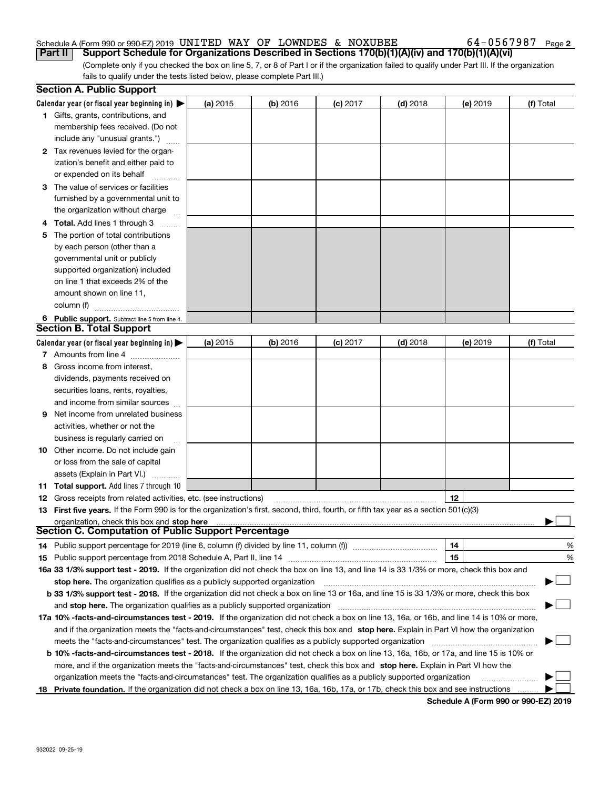### Schedule A (Form 990 or 990-EZ) 2019 Page UNITED WAY OF LOWNDES & NOXUBEE 64-0567987

(Complete only if you checked the box on line 5, 7, or 8 of Part I or if the organization failed to qualify under Part III. If the organization fails to qualify under the tests listed below, please complete Part III.) **Part II Support Schedule for Organizations Described in Sections 170(b)(1)(A)(iv) and 170(b)(1)(A)(vi)** 

|    | <b>Section A. Public Support</b>                                                                                                               |          |            |            |            |          |           |
|----|------------------------------------------------------------------------------------------------------------------------------------------------|----------|------------|------------|------------|----------|-----------|
|    | Calendar year (or fiscal year beginning in) $\blacktriangleright$                                                                              | (a) 2015 | $(b)$ 2016 | $(c)$ 2017 | $(d)$ 2018 | (e) 2019 | (f) Total |
|    | <b>1</b> Gifts, grants, contributions, and                                                                                                     |          |            |            |            |          |           |
|    | membership fees received. (Do not                                                                                                              |          |            |            |            |          |           |
|    | include any "unusual grants.")                                                                                                                 |          |            |            |            |          |           |
|    | 2 Tax revenues levied for the organ-                                                                                                           |          |            |            |            |          |           |
|    | ization's benefit and either paid to                                                                                                           |          |            |            |            |          |           |
|    | or expended on its behalf                                                                                                                      |          |            |            |            |          |           |
|    | 3 The value of services or facilities                                                                                                          |          |            |            |            |          |           |
|    | furnished by a governmental unit to                                                                                                            |          |            |            |            |          |           |
|    | the organization without charge                                                                                                                |          |            |            |            |          |           |
|    | 4 Total. Add lines 1 through 3                                                                                                                 |          |            |            |            |          |           |
| 5. | The portion of total contributions                                                                                                             |          |            |            |            |          |           |
|    | by each person (other than a                                                                                                                   |          |            |            |            |          |           |
|    | governmental unit or publicly                                                                                                                  |          |            |            |            |          |           |
|    | supported organization) included                                                                                                               |          |            |            |            |          |           |
|    | on line 1 that exceeds 2% of the                                                                                                               |          |            |            |            |          |           |
|    | amount shown on line 11,                                                                                                                       |          |            |            |            |          |           |
|    | column (f)                                                                                                                                     |          |            |            |            |          |           |
|    | 6 Public support. Subtract line 5 from line 4.                                                                                                 |          |            |            |            |          |           |
|    | <b>Section B. Total Support</b>                                                                                                                |          |            |            |            |          |           |
|    | Calendar year (or fiscal year beginning in)                                                                                                    | (a) 2015 | $(b)$ 2016 | $(c)$ 2017 | $(d)$ 2018 | (e) 2019 | (f) Total |
|    | 7 Amounts from line 4                                                                                                                          |          |            |            |            |          |           |
| 8. | Gross income from interest,                                                                                                                    |          |            |            |            |          |           |
|    | dividends, payments received on                                                                                                                |          |            |            |            |          |           |
|    | securities loans, rents, royalties,                                                                                                            |          |            |            |            |          |           |
|    | and income from similar sources                                                                                                                |          |            |            |            |          |           |
| 9  | Net income from unrelated business                                                                                                             |          |            |            |            |          |           |
|    | activities, whether or not the                                                                                                                 |          |            |            |            |          |           |
|    | business is regularly carried on                                                                                                               |          |            |            |            |          |           |
|    | <b>10</b> Other income. Do not include gain                                                                                                    |          |            |            |            |          |           |
|    | or loss from the sale of capital                                                                                                               |          |            |            |            |          |           |
|    | assets (Explain in Part VI.)                                                                                                                   |          |            |            |            |          |           |
|    | <b>11 Total support.</b> Add lines 7 through 10                                                                                                |          |            |            |            |          |           |
|    | <b>12</b> Gross receipts from related activities, etc. (see instructions)                                                                      |          |            |            |            | 12       |           |
|    | 13 First five years. If the Form 990 is for the organization's first, second, third, fourth, or fifth tax year as a section 501(c)(3)          |          |            |            |            |          |           |
|    | organization, check this box and stop here                                                                                                     |          |            |            |            |          |           |
|    | <b>Section C. Computation of Public Support Percentage</b>                                                                                     |          |            |            |            |          |           |
|    |                                                                                                                                                |          |            |            |            | 14       | %         |
|    |                                                                                                                                                |          |            |            |            | 15       | %         |
|    | 16a 33 1/3% support test - 2019. If the organization did not check the box on line 13, and line 14 is 33 1/3% or more, check this box and      |          |            |            |            |          |           |
|    | stop here. The organization qualifies as a publicly supported organization                                                                     |          |            |            |            |          | ▔▁∣       |
|    | b 33 1/3% support test - 2018. If the organization did not check a box on line 13 or 16a, and line 15 is 33 1/3% or more, check this box       |          |            |            |            |          |           |
|    | and stop here. The organization qualifies as a publicly supported organization                                                                 |          |            |            |            |          |           |
|    | 17a 10% -facts-and-circumstances test - 2019. If the organization did not check a box on line 13, 16a, or 16b, and line 14 is 10% or more,     |          |            |            |            |          |           |
|    | and if the organization meets the "facts-and-circumstances" test, check this box and stop here. Explain in Part VI how the organization        |          |            |            |            |          |           |
|    | meets the "facts-and-circumstances" test. The organization qualifies as a publicly supported organization                                      |          |            |            |            |          |           |
|    | <b>b 10% -facts-and-circumstances test - 2018.</b> If the organization did not check a box on line 13, 16a, 16b, or 17a, and line 15 is 10% or |          |            |            |            |          |           |
|    | more, and if the organization meets the "facts-and-circumstances" test, check this box and stop here. Explain in Part VI how the               |          |            |            |            |          |           |
|    | organization meets the "facts-and-circumstances" test. The organization qualifies as a publicly supported organization                         |          |            |            |            |          |           |
| 18 | Private foundation. If the organization did not check a box on line 13, 16a, 16b, 17a, or 17b, check this box and see instructions             |          |            |            |            |          |           |

**Schedule A (Form 990 or 990-EZ) 2019**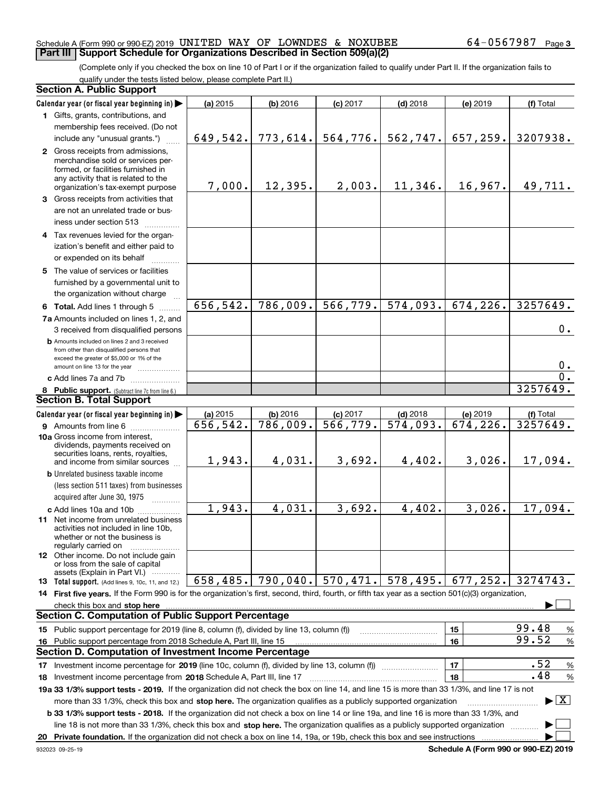#### Schedule A (Form 990 or 990-EZ) 2019 Page UNITED WAY OF LOWNDES & NOXUBEE 64-0567987 **Part III Support Schedule for Organizations Described in Section 509(a)(2)**

(Complete only if you checked the box on line 10 of Part I or if the organization failed to qualify under Part II. If the organization fails to qualify under the tests listed below, please complete Part II.)

|    | <b>Section A. Public Support</b>                                                                                                                                                                                                                          |           |            |                         |                        |                         |                                 |
|----|-----------------------------------------------------------------------------------------------------------------------------------------------------------------------------------------------------------------------------------------------------------|-----------|------------|-------------------------|------------------------|-------------------------|---------------------------------|
|    | Calendar year (or fiscal year beginning in)                                                                                                                                                                                                               | (a) 2015  | $(b)$ 2016 | $(c)$ 2017              | $(d)$ 2018             | (e) 2019                | (f) Total                       |
|    | 1 Gifts, grants, contributions, and                                                                                                                                                                                                                       |           |            |                         |                        |                         |                                 |
|    | membership fees received. (Do not                                                                                                                                                                                                                         |           |            |                         |                        |                         |                                 |
|    | include any "unusual grants.")                                                                                                                                                                                                                            | 649,542.  | 773,614.   | 564, 776.               | 562,747.               | 657,259.                | 3207938.                        |
|    | 2 Gross receipts from admissions,<br>merchandise sold or services per-<br>formed, or facilities furnished in<br>any activity that is related to the<br>organization's tax-exempt purpose                                                                  | 7,000.    | 12,395.    | 2,003.                  | 11,346.                | 16,967.                 | 49,711.                         |
|    | 3 Gross receipts from activities that                                                                                                                                                                                                                     |           |            |                         |                        |                         |                                 |
|    | are not an unrelated trade or bus-<br>iness under section 513                                                                                                                                                                                             |           |            |                         |                        |                         |                                 |
|    | 4 Tax revenues levied for the organ-                                                                                                                                                                                                                      |           |            |                         |                        |                         |                                 |
|    | ization's benefit and either paid to                                                                                                                                                                                                                      |           |            |                         |                        |                         |                                 |
|    | or expended on its behalf                                                                                                                                                                                                                                 |           |            |                         |                        |                         |                                 |
|    | 5 The value of services or facilities                                                                                                                                                                                                                     |           |            |                         |                        |                         |                                 |
|    | furnished by a governmental unit to<br>the organization without charge                                                                                                                                                                                    |           |            |                         |                        |                         |                                 |
|    | 6 Total. Add lines 1 through 5                                                                                                                                                                                                                            | 656, 542. | 786,009.   | 566, 779.               | 574,093.               | 674, 226.               | 3257649.                        |
|    | 7a Amounts included on lines 1, 2, and                                                                                                                                                                                                                    |           |            |                         |                        |                         |                                 |
|    | 3 received from disqualified persons                                                                                                                                                                                                                      |           |            |                         |                        |                         | 0.                              |
|    | <b>b</b> Amounts included on lines 2 and 3 received<br>from other than disqualified persons that<br>exceed the greater of \$5,000 or 1% of the<br>amount on line 13 for the year                                                                          |           |            |                         |                        |                         | 0.                              |
|    | c Add lines 7a and 7b                                                                                                                                                                                                                                     |           |            |                         |                        |                         | $\overline{0}$ .                |
|    | 8 Public support. (Subtract line 7c from line 6.)                                                                                                                                                                                                         |           |            |                         |                        |                         | 3257649.                        |
|    | <b>Section B. Total Support</b>                                                                                                                                                                                                                           |           |            |                         |                        |                         |                                 |
|    | Calendar year (or fiscal year beginning in)                                                                                                                                                                                                               | (a) 2015  | $(b)$ 2016 | $(c)$ 2017              | $(d)$ 2018             | (e) 2019                | (f) Total                       |
|    | <b>9</b> Amounts from line 6                                                                                                                                                                                                                              | 656,542.  | 786,009.   | $\overline{566, 779}$ . | $\overline{574,093}$ . | $\overline{674}$ , 226. | 3257649.                        |
|    | 10a Gross income from interest,<br>dividends, payments received on<br>securities loans, rents, royalties,                                                                                                                                                 |           |            |                         |                        |                         |                                 |
|    | and income from similar sources                                                                                                                                                                                                                           | 1,943.    | 4,031.     | 3,692.                  | 4,402.                 | 3,026.                  | 17,094.                         |
|    | <b>b</b> Unrelated business taxable income                                                                                                                                                                                                                |           |            |                         |                        |                         |                                 |
|    | (less section 511 taxes) from businesses                                                                                                                                                                                                                  |           |            |                         |                        |                         |                                 |
|    | acquired after June 30, 1975                                                                                                                                                                                                                              |           |            |                         |                        |                         |                                 |
|    | c Add lines 10a and 10b                                                                                                                                                                                                                                   | 1,943.    | 4,031.     | 3,692.                  | 4,402.                 | 3,026.                  | 17,094.                         |
|    | <b>11</b> Net income from unrelated business<br>activities not included in line 10b,<br>whether or not the business is<br>regularly carried on                                                                                                            |           |            |                         |                        |                         |                                 |
|    | <b>12</b> Other income. Do not include gain<br>or loss from the sale of capital<br>assets (Explain in Part VI.)                                                                                                                                           |           |            |                         |                        |                         |                                 |
|    | 13 Total support. (Add lines 9, 10c, 11, and 12.)                                                                                                                                                                                                         | 658, 485. | 790,040.   | 570, 471.               | 578,495.               | 677,252.                | 3274743.                        |
|    | 14 First five years. If the Form 990 is for the organization's first, second, third, fourth, or fifth tax year as a section 501(c)(3) organization,                                                                                                       |           |            |                         |                        |                         |                                 |
|    | check this box and stop here measurements are all the contract of the state of the state of the state of the state of the state of the state of the state of the state of the state of the state of the state of the state of                             |           |            |                         |                        |                         |                                 |
|    | <b>Section C. Computation of Public Support Percentage</b>                                                                                                                                                                                                |           |            |                         |                        |                         |                                 |
|    | 15 Public support percentage for 2019 (line 8, column (f), divided by line 13, column (f))                                                                                                                                                                |           |            |                         |                        | 15                      | 99.48<br>%                      |
| 16 | Public support percentage from 2018 Schedule A, Part III, line 15                                                                                                                                                                                         |           |            |                         |                        | 16                      | 99.52<br>$\%$                   |
|    | Section D. Computation of Investment Income Percentage                                                                                                                                                                                                    |           |            |                         |                        |                         |                                 |
|    | 17 Investment income percentage for 2019 (line 10c, column (f), divided by line 13, column (f))                                                                                                                                                           |           |            |                         |                        | 17                      | .52<br>$\%$                     |
|    | <b>18</b> Investment income percentage from <b>2018</b> Schedule A, Part III, line 17                                                                                                                                                                     |           |            |                         |                        | 18                      | .48<br>%                        |
|    | 19a 33 1/3% support tests - 2019. If the organization did not check the box on line 14, and line 15 is more than 33 1/3%, and line 17 is not                                                                                                              |           |            |                         |                        |                         |                                 |
|    | more than 33 1/3%, check this box and stop here. The organization qualifies as a publicly supported organization<br>b 33 1/3% support tests - 2018. If the organization did not check a box on line 14 or line 19a, and line 16 is more than 33 1/3%, and |           |            |                         |                        |                         | $\blacktriangleright$ $\vert$ X |
|    | line 18 is not more than 33 1/3%, check this box and stop here. The organization qualifies as a publicly supported organization                                                                                                                           |           |            |                         |                        |                         |                                 |
|    |                                                                                                                                                                                                                                                           |           |            |                         |                        |                         |                                 |

**Schedule A (Form 990 or 990-EZ) 2019**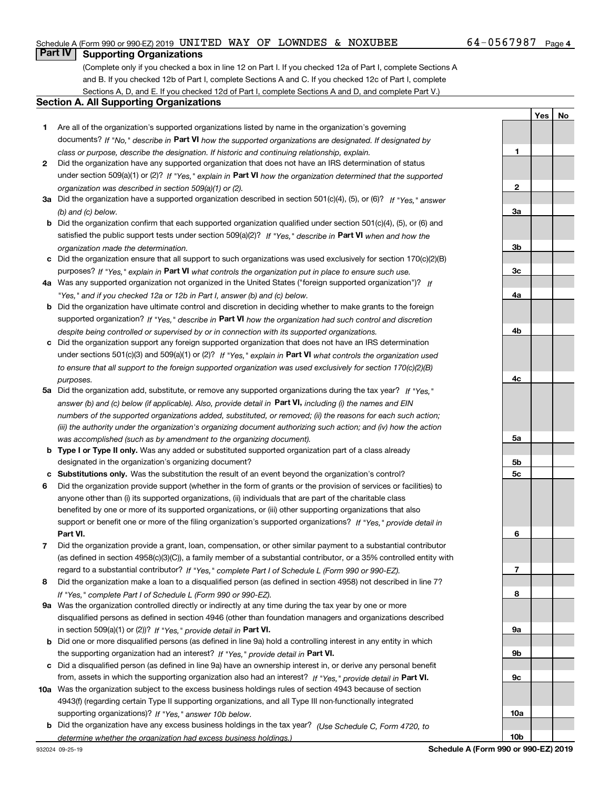#### Schedule A (Form 990 or 990-EZ) 2019 Page UNITED WAY OF LOWNDES & NOXUBEE 64-0567987

## **Part IV Supporting Organizations**

(Complete only if you checked a box in line 12 on Part I. If you checked 12a of Part I, complete Sections A and B. If you checked 12b of Part I, complete Sections A and C. If you checked 12c of Part I, complete Sections A, D, and E. If you checked 12d of Part I, complete Sections A and D, and complete Part V.)

#### **Section A. All Supporting Organizations**

- **1** Are all of the organization's supported organizations listed by name in the organization's governing documents? If "No," describe in **Part VI** how the supported organizations are designated. If designated by *class or purpose, describe the designation. If historic and continuing relationship, explain.*
- **2** Did the organization have any supported organization that does not have an IRS determination of status under section 509(a)(1) or (2)? If "Yes," explain in Part VI how the organization determined that the supported *organization was described in section 509(a)(1) or (2).*
- **3a** Did the organization have a supported organization described in section 501(c)(4), (5), or (6)? If "Yes," answer *(b) and (c) below.*
- **b** Did the organization confirm that each supported organization qualified under section 501(c)(4), (5), or (6) and satisfied the public support tests under section 509(a)(2)? If "Yes," describe in **Part VI** when and how the *organization made the determination.*
- **c**Did the organization ensure that all support to such organizations was used exclusively for section 170(c)(2)(B) purposes? If "Yes," explain in **Part VI** what controls the organization put in place to ensure such use.
- **4a***If* Was any supported organization not organized in the United States ("foreign supported organization")? *"Yes," and if you checked 12a or 12b in Part I, answer (b) and (c) below.*
- **b** Did the organization have ultimate control and discretion in deciding whether to make grants to the foreign supported organization? If "Yes," describe in **Part VI** how the organization had such control and discretion *despite being controlled or supervised by or in connection with its supported organizations.*
- **c** Did the organization support any foreign supported organization that does not have an IRS determination under sections 501(c)(3) and 509(a)(1) or (2)? If "Yes," explain in **Part VI** what controls the organization used *to ensure that all support to the foreign supported organization was used exclusively for section 170(c)(2)(B) purposes.*
- **5a***If "Yes,"* Did the organization add, substitute, or remove any supported organizations during the tax year? answer (b) and (c) below (if applicable). Also, provide detail in **Part VI,** including (i) the names and EIN *numbers of the supported organizations added, substituted, or removed; (ii) the reasons for each such action; (iii) the authority under the organization's organizing document authorizing such action; and (iv) how the action was accomplished (such as by amendment to the organizing document).*
- **b** Type I or Type II only. Was any added or substituted supported organization part of a class already designated in the organization's organizing document?
- **cSubstitutions only.**  Was the substitution the result of an event beyond the organization's control?
- **6** Did the organization provide support (whether in the form of grants or the provision of services or facilities) to **Part VI.** *If "Yes," provide detail in* support or benefit one or more of the filing organization's supported organizations? anyone other than (i) its supported organizations, (ii) individuals that are part of the charitable class benefited by one or more of its supported organizations, or (iii) other supporting organizations that also
- **7**Did the organization provide a grant, loan, compensation, or other similar payment to a substantial contributor *If "Yes," complete Part I of Schedule L (Form 990 or 990-EZ).* regard to a substantial contributor? (as defined in section 4958(c)(3)(C)), a family member of a substantial contributor, or a 35% controlled entity with
- **8** Did the organization make a loan to a disqualified person (as defined in section 4958) not described in line 7? *If "Yes," complete Part I of Schedule L (Form 990 or 990-EZ).*
- **9a** Was the organization controlled directly or indirectly at any time during the tax year by one or more in section 509(a)(1) or (2))? If "Yes," *provide detail in* <code>Part VI.</code> disqualified persons as defined in section 4946 (other than foundation managers and organizations described
- **b** Did one or more disqualified persons (as defined in line 9a) hold a controlling interest in any entity in which the supporting organization had an interest? If "Yes," provide detail in P**art VI**.
- **c**Did a disqualified person (as defined in line 9a) have an ownership interest in, or derive any personal benefit from, assets in which the supporting organization also had an interest? If "Yes," provide detail in P**art VI.**
- **10a** Was the organization subject to the excess business holdings rules of section 4943 because of section supporting organizations)? If "Yes," answer 10b below. 4943(f) (regarding certain Type II supporting organizations, and all Type III non-functionally integrated
- **b** Did the organization have any excess business holdings in the tax year? (Use Schedule C, Form 4720, to *determine whether the organization had excess business holdings.)*

**23a3b3c4a4b4c5a5b5c6789a 9b9c10a**

**1**

**YesNo**

**10b**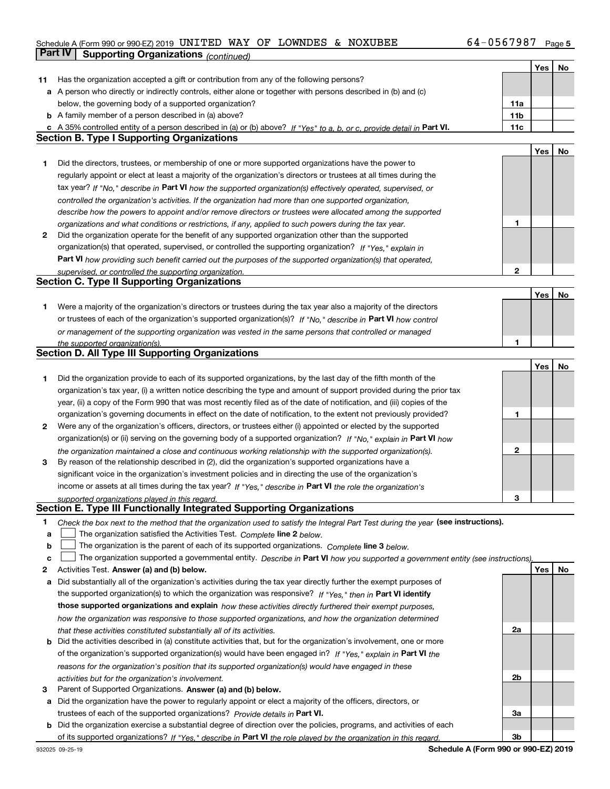#### Schedule A (Form 990 or 990-EZ) 2019 Page UNITED WAY OF LOWNDES & NOXUBEE 64-0567987

|    | Part IV<br><b>Supporting Organizations (continued)</b>                                                                            |                 |     |    |
|----|-----------------------------------------------------------------------------------------------------------------------------------|-----------------|-----|----|
|    |                                                                                                                                   |                 | Yes | No |
| 11 | Has the organization accepted a gift or contribution from any of the following persons?                                           |                 |     |    |
|    | a A person who directly or indirectly controls, either alone or together with persons described in (b) and (c)                    |                 |     |    |
|    | below, the governing body of a supported organization?                                                                            | 11a             |     |    |
|    | <b>b</b> A family member of a person described in (a) above?                                                                      | 11 <sub>b</sub> |     |    |
|    | c A 35% controlled entity of a person described in (a) or (b) above? If "Yes" to a, b, or c, provide detail in Part VI.           | 11c             |     |    |
|    | <b>Section B. Type I Supporting Organizations</b>                                                                                 |                 |     |    |
|    |                                                                                                                                   |                 | Yes | No |
| 1  | Did the directors, trustees, or membership of one or more supported organizations have the power to                               |                 |     |    |
|    | regularly appoint or elect at least a majority of the organization's directors or trustees at all times during the                |                 |     |    |
|    | tax year? If "No," describe in Part VI how the supported organization(s) effectively operated, supervised, or                     |                 |     |    |
|    | controlled the organization's activities. If the organization had more than one supported organization,                           |                 |     |    |
|    | describe how the powers to appoint and/or remove directors or trustees were allocated among the supported                         |                 |     |    |
|    | organizations and what conditions or restrictions, if any, applied to such powers during the tax year.                            | 1               |     |    |
| 2  | Did the organization operate for the benefit of any supported organization other than the supported                               |                 |     |    |
|    | organization(s) that operated, supervised, or controlled the supporting organization? If "Yes," explain in                        |                 |     |    |
|    | Part VI how providing such benefit carried out the purposes of the supported organization(s) that operated,                       |                 |     |    |
|    | supervised, or controlled the supporting organization.                                                                            | 2               |     |    |
|    | <b>Section C. Type II Supporting Organizations</b>                                                                                |                 |     |    |
|    |                                                                                                                                   |                 | Yes | No |
| 1  | Were a majority of the organization's directors or trustees during the tax year also a majority of the directors                  |                 |     |    |
|    | or trustees of each of the organization's supported organization(s)? If "No," describe in Part VI how control                     |                 |     |    |
|    | or management of the supporting organization was vested in the same persons that controlled or managed                            |                 |     |    |
|    | the supported organization(s)                                                                                                     | 1               |     |    |
|    | <b>Section D. All Type III Supporting Organizations</b>                                                                           |                 |     |    |
|    |                                                                                                                                   |                 | Yes | No |
| 1  | Did the organization provide to each of its supported organizations, by the last day of the fifth month of the                    |                 |     |    |
|    | organization's tax year, (i) a written notice describing the type and amount of support provided during the prior tax             |                 |     |    |
|    | year, (ii) a copy of the Form 990 that was most recently filed as of the date of notification, and (iii) copies of the            |                 |     |    |
|    | organization's governing documents in effect on the date of notification, to the extent not previously provided?                  | 1               |     |    |
| 2  | Were any of the organization's officers, directors, or trustees either (i) appointed or elected by the supported                  |                 |     |    |
|    | organization(s) or (ii) serving on the governing body of a supported organization? If "No," explain in Part VI how                |                 |     |    |
|    | the organization maintained a close and continuous working relationship with the supported organization(s).                       | $\mathbf{2}$    |     |    |
| 3  | By reason of the relationship described in (2), did the organization's supported organizations have a                             |                 |     |    |
|    | significant voice in the organization's investment policies and in directing the use of the organization's                        |                 |     |    |
|    | income or assets at all times during the tax year? If "Yes," describe in Part VI the role the organization's                      |                 |     |    |
|    | supported organizations played in this regard.                                                                                    | 3               |     |    |
|    | Section E. Type III Functionally Integrated Supporting Organizations                                                              |                 |     |    |
| 1  | Check the box next to the method that the organization used to satisfy the Integral Part Test during the year (see instructions). |                 |     |    |
| а  | The organization satisfied the Activities Test. Complete line 2 below.                                                            |                 |     |    |
| b  | The organization is the parent of each of its supported organizations. Complete line 3 below.                                     |                 |     |    |
| с  | The organization supported a governmental entity. Describe in Part VI how you supported a government entity (see instructions)    |                 |     |    |
| 2  | Activities Test. Answer (a) and (b) below.                                                                                        |                 | Yes | No |
| а  | Did substantially all of the organization's activities during the tax year directly further the exempt purposes of                |                 |     |    |
|    | the supported organization(s) to which the organization was responsive? If "Yes," then in Part VI identify                        |                 |     |    |
|    | those supported organizations and explain how these activities directly furthered their exempt purposes,                          |                 |     |    |
|    | how the organization was responsive to those supported organizations, and how the organization determined                         |                 |     |    |
|    | that these activities constituted substantially all of its activities.                                                            | 2a              |     |    |
|    | <b>b</b> Did the activities described in (a) constitute activities that, but for the organization's involvement, one or more      |                 |     |    |
|    | of the organization's supported organization(s) would have been engaged in? If "Yes," explain in Part VI the                      |                 |     |    |
|    | reasons for the organization's position that its supported organization(s) would have engaged in these                            |                 |     |    |
|    | activities but for the organization's involvement.                                                                                | 2 <sub>b</sub>  |     |    |
| з  | Parent of Supported Organizations. Answer (a) and (b) below.                                                                      |                 |     |    |
|    | a Did the organization have the power to regularly appoint or elect a majority of the officers, directors, or                     |                 |     |    |
|    | trustees of each of the supported organizations? Provide details in Part VI.                                                      | 3a              |     |    |
|    | <b>b</b> Did the organization exercise a substantial degree of direction over the policies, programs, and activities of each      |                 |     |    |
|    | of its supported organizations? If "Yes." describe in Part VI the role played by the organization in this regard.                 | 3b              |     |    |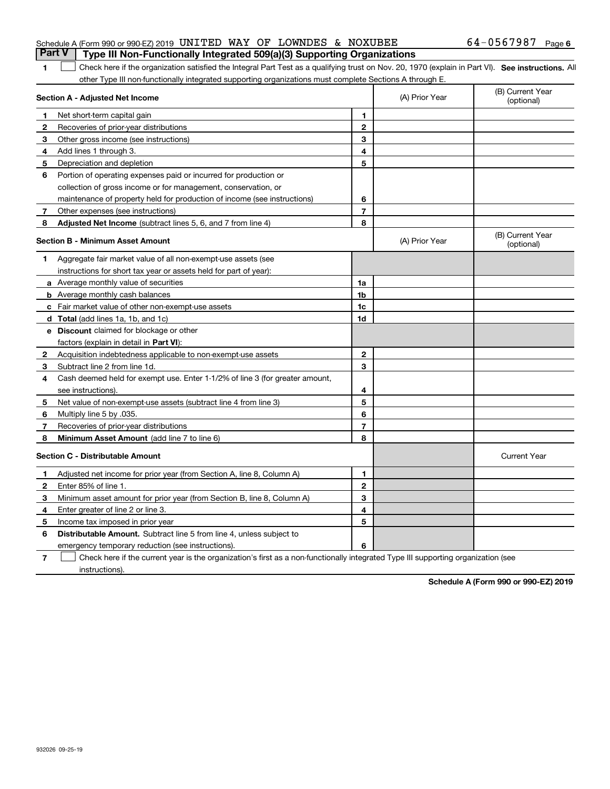| <b>Part V</b>   Type III Non-Functionally Integrated 509(a)(3) Supporting Organizations |  |  |                     |  |
|-----------------------------------------------------------------------------------------|--|--|---------------------|--|
| Schedule A (Form 990 or 990-EZ) 2019 UNITED WAY OF LOWNDES & NOXUBEE                    |  |  | — б4−0567987 Раде б |  |

#### 1 Check here if the organization satisfied the Integral Part Test as a qualifying trust on Nov. 20, 1970 (explain in Part VI). See instructions. All other Type III non-functionally integrated supporting organizations must complete Sections A through E.

|    | Section A - Adjusted Net Income                                              |                | (A) Prior Year | (B) Current Year<br>(optional) |
|----|------------------------------------------------------------------------------|----------------|----------------|--------------------------------|
| 1. | Net short-term capital gain                                                  | 1              |                |                                |
| 2  | Recoveries of prior-year distributions                                       | $\overline{2}$ |                |                                |
| З  | Other gross income (see instructions)                                        | 3              |                |                                |
| 4  | Add lines 1 through 3.                                                       | 4              |                |                                |
| 5  | Depreciation and depletion                                                   | 5              |                |                                |
| 6  | Portion of operating expenses paid or incurred for production or             |                |                |                                |
|    | collection of gross income or for management, conservation, or               |                |                |                                |
|    | maintenance of property held for production of income (see instructions)     | 6              |                |                                |
| 7  | Other expenses (see instructions)                                            | $\overline{7}$ |                |                                |
| 8  | Adjusted Net Income (subtract lines 5, 6, and 7 from line 4)                 | 8              |                |                                |
|    | <b>Section B - Minimum Asset Amount</b>                                      |                | (A) Prior Year | (B) Current Year<br>(optional) |
| 1  | Aggregate fair market value of all non-exempt-use assets (see                |                |                |                                |
|    | instructions for short tax year or assets held for part of year):            |                |                |                                |
|    | a Average monthly value of securities                                        | 1a             |                |                                |
|    | <b>b</b> Average monthly cash balances                                       | 1b             |                |                                |
|    | <b>c</b> Fair market value of other non-exempt-use assets                    | 1c             |                |                                |
|    | d Total (add lines 1a, 1b, and 1c)                                           | 1d             |                |                                |
|    | <b>e</b> Discount claimed for blockage or other                              |                |                |                                |
|    | factors (explain in detail in Part VI):                                      |                |                |                                |
| 2  | Acquisition indebtedness applicable to non-exempt-use assets                 | $\mathbf{2}$   |                |                                |
| 3  | Subtract line 2 from line 1d.                                                | 3              |                |                                |
| 4  | Cash deemed held for exempt use. Enter 1-1/2% of line 3 (for greater amount, |                |                |                                |
|    | see instructions).                                                           | 4              |                |                                |
| 5  | Net value of non-exempt-use assets (subtract line 4 from line 3)             | 5              |                |                                |
| 6  | Multiply line 5 by .035.                                                     | 6              |                |                                |
| 7  | Recoveries of prior-year distributions                                       | $\overline{7}$ |                |                                |
| 8  | Minimum Asset Amount (add line 7 to line 6)                                  | 8              |                |                                |
|    | <b>Section C - Distributable Amount</b>                                      |                |                | <b>Current Year</b>            |
| 1  | Adjusted net income for prior year (from Section A, line 8, Column A)        | 1              |                |                                |
| 2  | Enter 85% of line 1.                                                         | $\mathbf{2}$   |                |                                |
| З  | Minimum asset amount for prior year (from Section B, line 8, Column A)       | 3              |                |                                |
| 4  | Enter greater of line 2 or line 3.                                           | 4              |                |                                |
| 5  | Income tax imposed in prior year                                             | 5              |                |                                |
| 6  | Distributable Amount. Subtract line 5 from line 4, unless subject to         |                |                |                                |
|    | emergency temporary reduction (see instructions).                            | 6              |                |                                |
|    |                                                                              |                |                |                                |

**7**Check here if the current year is the organization's first as a non-functionally integrated Type III supporting organization (see instructions).

**Schedule A (Form 990 or 990-EZ) 2019**

**1**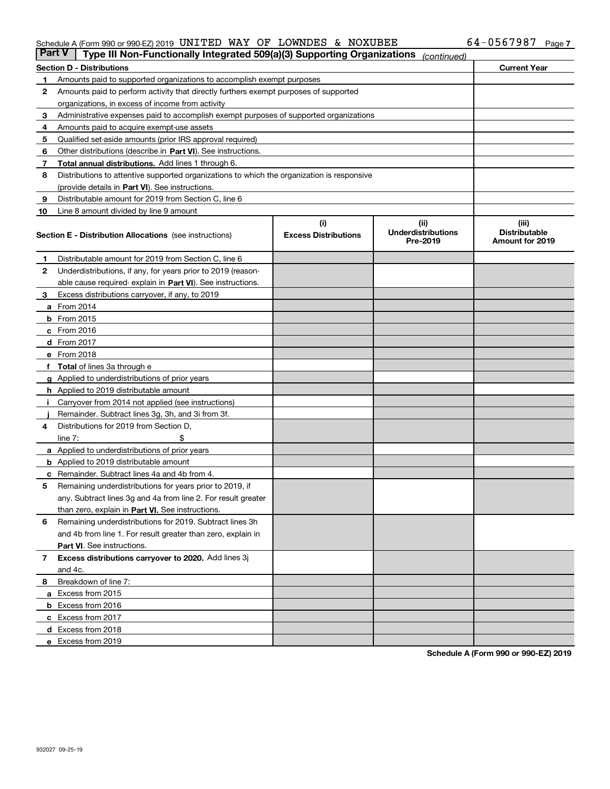#### Schedule A (Form 990 or 990-EZ) 2019 UN L'I'EID WA Y O F LOWNDES & NOXUBEE 6 4-U 5 6 7 9 8 7 Page UNITED WAY OF LOWNDES & NOXUBEE 64-0567987

| <b>Part V</b> | Type III Non-Functionally Integrated 509(a)(3) Supporting Organizations                    |                             | (continued)                           |                                         |  |  |  |
|---------------|--------------------------------------------------------------------------------------------|-----------------------------|---------------------------------------|-----------------------------------------|--|--|--|
|               | <b>Section D - Distributions</b>                                                           |                             |                                       | <b>Current Year</b>                     |  |  |  |
| 1             | Amounts paid to supported organizations to accomplish exempt purposes                      |                             |                                       |                                         |  |  |  |
| 2             | Amounts paid to perform activity that directly furthers exempt purposes of supported       |                             |                                       |                                         |  |  |  |
|               | organizations, in excess of income from activity                                           |                             |                                       |                                         |  |  |  |
| з             | Administrative expenses paid to accomplish exempt purposes of supported organizations      |                             |                                       |                                         |  |  |  |
| 4             | Amounts paid to acquire exempt-use assets                                                  |                             |                                       |                                         |  |  |  |
| 5             | Qualified set-aside amounts (prior IRS approval required)                                  |                             |                                       |                                         |  |  |  |
| 6             | Other distributions (describe in Part VI). See instructions.                               |                             |                                       |                                         |  |  |  |
| 7             | Total annual distributions. Add lines 1 through 6.                                         |                             |                                       |                                         |  |  |  |
| 8             | Distributions to attentive supported organizations to which the organization is responsive |                             |                                       |                                         |  |  |  |
|               | (provide details in Part VI). See instructions.                                            |                             |                                       |                                         |  |  |  |
| 9             | Distributable amount for 2019 from Section C, line 6                                       |                             |                                       |                                         |  |  |  |
| 10            | Line 8 amount divided by line 9 amount                                                     |                             |                                       |                                         |  |  |  |
|               |                                                                                            | (i)                         | (iii)                                 | (iii)                                   |  |  |  |
|               | <b>Section E - Distribution Allocations</b> (see instructions)                             | <b>Excess Distributions</b> | <b>Underdistributions</b><br>Pre-2019 | <b>Distributable</b><br>Amount for 2019 |  |  |  |
| 1             | Distributable amount for 2019 from Section C, line 6                                       |                             |                                       |                                         |  |  |  |
| 2             | Underdistributions, if any, for years prior to 2019 (reason-                               |                             |                                       |                                         |  |  |  |
|               | able cause required- explain in Part VI). See instructions.                                |                             |                                       |                                         |  |  |  |
| з             | Excess distributions carryover, if any, to 2019                                            |                             |                                       |                                         |  |  |  |
|               | <b>a</b> From 2014                                                                         |                             |                                       |                                         |  |  |  |
|               | <b>b</b> From $2015$                                                                       |                             |                                       |                                         |  |  |  |
|               | $c$ From 2016                                                                              |                             |                                       |                                         |  |  |  |
|               | <b>d</b> From 2017                                                                         |                             |                                       |                                         |  |  |  |
|               | e From 2018                                                                                |                             |                                       |                                         |  |  |  |
|               | Total of lines 3a through e                                                                |                             |                                       |                                         |  |  |  |
|               | <b>g</b> Applied to underdistributions of prior years                                      |                             |                                       |                                         |  |  |  |
|               | <b>h</b> Applied to 2019 distributable amount                                              |                             |                                       |                                         |  |  |  |
|               | Carryover from 2014 not applied (see instructions)                                         |                             |                                       |                                         |  |  |  |
|               | Remainder. Subtract lines 3g, 3h, and 3i from 3f.                                          |                             |                                       |                                         |  |  |  |
| 4             | Distributions for 2019 from Section D,                                                     |                             |                                       |                                         |  |  |  |
|               | line $7:$                                                                                  |                             |                                       |                                         |  |  |  |
|               | <b>a</b> Applied to underdistributions of prior years                                      |                             |                                       |                                         |  |  |  |
|               | <b>b</b> Applied to 2019 distributable amount                                              |                             |                                       |                                         |  |  |  |
| c             | Remainder. Subtract lines 4a and 4b from 4.                                                |                             |                                       |                                         |  |  |  |
| 5             | Remaining underdistributions for years prior to 2019, if                                   |                             |                                       |                                         |  |  |  |
|               | any. Subtract lines 3g and 4a from line 2. For result greater                              |                             |                                       |                                         |  |  |  |
|               | than zero, explain in Part VI. See instructions.                                           |                             |                                       |                                         |  |  |  |
| 6             | Remaining underdistributions for 2019. Subtract lines 3h                                   |                             |                                       |                                         |  |  |  |
|               | and 4b from line 1. For result greater than zero, explain in                               |                             |                                       |                                         |  |  |  |
|               | Part VI. See instructions.                                                                 |                             |                                       |                                         |  |  |  |
|               |                                                                                            |                             |                                       |                                         |  |  |  |
| 7             | Excess distributions carryover to 2020. Add lines 3j                                       |                             |                                       |                                         |  |  |  |
|               | and 4c.                                                                                    |                             |                                       |                                         |  |  |  |
| 8             | Breakdown of line 7:                                                                       |                             |                                       |                                         |  |  |  |
|               | a Excess from 2015                                                                         |                             |                                       |                                         |  |  |  |
|               | <b>b</b> Excess from 2016                                                                  |                             |                                       |                                         |  |  |  |
|               | c Excess from 2017                                                                         |                             |                                       |                                         |  |  |  |
|               | d Excess from 2018                                                                         |                             |                                       |                                         |  |  |  |
|               | e Excess from 2019                                                                         |                             |                                       |                                         |  |  |  |

**Schedule A (Form 990 or 990-EZ) 2019**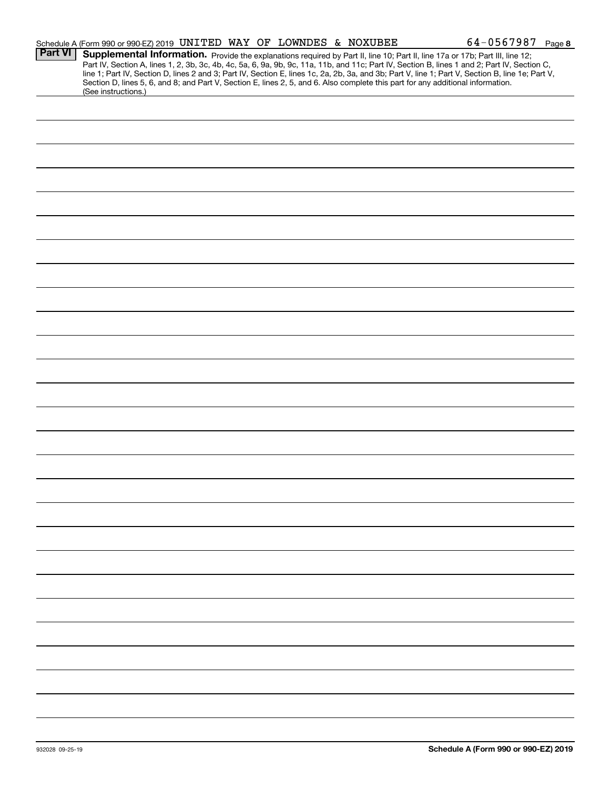|                | Schedule A (Form 990 or 990-EZ) 2019 UNITED WAY OF LOWNDES & NOXUBEE |  |  | $64 - 0567987$ Page 8                                                                                                                                                                                                                                                                                                                                                                                                                                                                                                                                                |  |
|----------------|----------------------------------------------------------------------|--|--|----------------------------------------------------------------------------------------------------------------------------------------------------------------------------------------------------------------------------------------------------------------------------------------------------------------------------------------------------------------------------------------------------------------------------------------------------------------------------------------------------------------------------------------------------------------------|--|
| <b>Part VI</b> |                                                                      |  |  | Supplemental Information. Provide the explanations required by Part II, line 10; Part II, line 17a or 17b; Part III, line 12;<br>Part IV, Section A, lines 1, 2, 3b, 3c, 4b, 4c, 5a, 6, 9a, 9b, 9c, 11a, 11b, and 11c; Part IV, Section B, lines 1 and 2; Part IV, Section C,<br>line 1; Part IV, Section D, lines 2 and 3; Part IV, Section E, lines 1c, 2a, 2b, 3a, and 3b; Part V, line 1; Part V, Section B, line 1e; Part V,<br>Section D, lines 5, 6, and 8; and Part V, Section E, lines 2, 5, and 6. Also complete this part for any additional information. |  |
|                | (See instructions.)                                                  |  |  |                                                                                                                                                                                                                                                                                                                                                                                                                                                                                                                                                                      |  |
|                |                                                                      |  |  |                                                                                                                                                                                                                                                                                                                                                                                                                                                                                                                                                                      |  |
|                |                                                                      |  |  |                                                                                                                                                                                                                                                                                                                                                                                                                                                                                                                                                                      |  |
|                |                                                                      |  |  |                                                                                                                                                                                                                                                                                                                                                                                                                                                                                                                                                                      |  |
|                |                                                                      |  |  |                                                                                                                                                                                                                                                                                                                                                                                                                                                                                                                                                                      |  |
|                |                                                                      |  |  |                                                                                                                                                                                                                                                                                                                                                                                                                                                                                                                                                                      |  |
|                |                                                                      |  |  |                                                                                                                                                                                                                                                                                                                                                                                                                                                                                                                                                                      |  |
|                |                                                                      |  |  |                                                                                                                                                                                                                                                                                                                                                                                                                                                                                                                                                                      |  |
|                |                                                                      |  |  |                                                                                                                                                                                                                                                                                                                                                                                                                                                                                                                                                                      |  |
|                |                                                                      |  |  |                                                                                                                                                                                                                                                                                                                                                                                                                                                                                                                                                                      |  |
|                |                                                                      |  |  |                                                                                                                                                                                                                                                                                                                                                                                                                                                                                                                                                                      |  |
|                |                                                                      |  |  |                                                                                                                                                                                                                                                                                                                                                                                                                                                                                                                                                                      |  |
|                |                                                                      |  |  |                                                                                                                                                                                                                                                                                                                                                                                                                                                                                                                                                                      |  |
|                |                                                                      |  |  |                                                                                                                                                                                                                                                                                                                                                                                                                                                                                                                                                                      |  |
|                |                                                                      |  |  |                                                                                                                                                                                                                                                                                                                                                                                                                                                                                                                                                                      |  |
|                |                                                                      |  |  |                                                                                                                                                                                                                                                                                                                                                                                                                                                                                                                                                                      |  |
|                |                                                                      |  |  |                                                                                                                                                                                                                                                                                                                                                                                                                                                                                                                                                                      |  |
|                |                                                                      |  |  |                                                                                                                                                                                                                                                                                                                                                                                                                                                                                                                                                                      |  |
|                |                                                                      |  |  |                                                                                                                                                                                                                                                                                                                                                                                                                                                                                                                                                                      |  |
|                |                                                                      |  |  |                                                                                                                                                                                                                                                                                                                                                                                                                                                                                                                                                                      |  |
|                |                                                                      |  |  |                                                                                                                                                                                                                                                                                                                                                                                                                                                                                                                                                                      |  |
|                |                                                                      |  |  |                                                                                                                                                                                                                                                                                                                                                                                                                                                                                                                                                                      |  |
|                |                                                                      |  |  |                                                                                                                                                                                                                                                                                                                                                                                                                                                                                                                                                                      |  |
|                |                                                                      |  |  |                                                                                                                                                                                                                                                                                                                                                                                                                                                                                                                                                                      |  |
|                |                                                                      |  |  |                                                                                                                                                                                                                                                                                                                                                                                                                                                                                                                                                                      |  |
|                |                                                                      |  |  |                                                                                                                                                                                                                                                                                                                                                                                                                                                                                                                                                                      |  |
|                |                                                                      |  |  |                                                                                                                                                                                                                                                                                                                                                                                                                                                                                                                                                                      |  |
|                |                                                                      |  |  |                                                                                                                                                                                                                                                                                                                                                                                                                                                                                                                                                                      |  |
|                |                                                                      |  |  |                                                                                                                                                                                                                                                                                                                                                                                                                                                                                                                                                                      |  |
|                |                                                                      |  |  |                                                                                                                                                                                                                                                                                                                                                                                                                                                                                                                                                                      |  |
|                |                                                                      |  |  |                                                                                                                                                                                                                                                                                                                                                                                                                                                                                                                                                                      |  |
|                |                                                                      |  |  |                                                                                                                                                                                                                                                                                                                                                                                                                                                                                                                                                                      |  |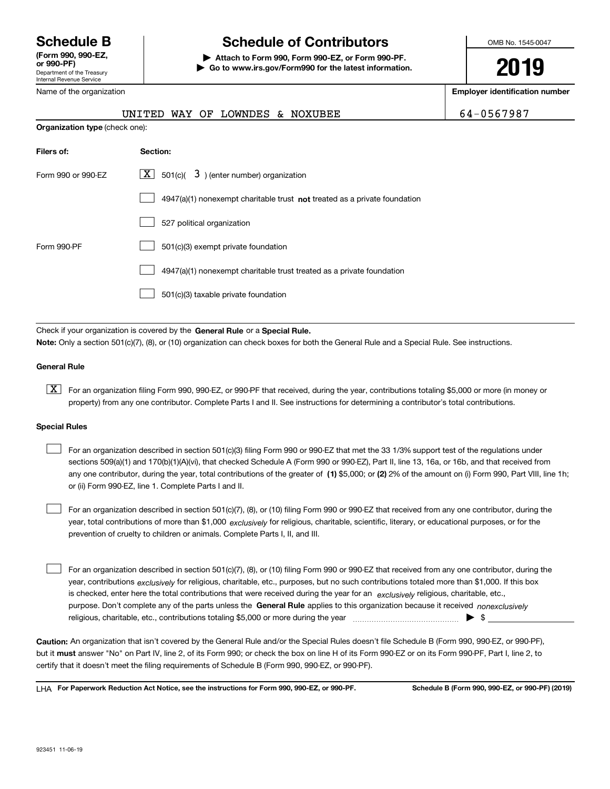Department of the Treasury Internal Revenue Service **(Form 990, 990-EZ, or 990-PF)** Name of the organization

## **Schedule B Schedule of Contributors**

**| Attach to Form 990, Form 990-EZ, or Form 990-PF. | Go to www.irs.gov/Form990 for the latest information.** OMB No. 1545-0047

**2019**

**Employer identification number**

|                                       | UNITED WAY OF LOWNDES & NOXUBEE                                             | 64-0567987 |
|---------------------------------------|-----------------------------------------------------------------------------|------------|
| <b>Organization type</b> (check one): |                                                                             |            |
| Filers of:                            | Section:                                                                    |            |
| Form 990 or 990-EZ                    | $\lfloor x \rfloor$ 501(c)( 3) (enter number) organization                  |            |
|                                       | $4947(a)(1)$ nonexempt charitable trust not treated as a private foundation |            |

|             | 527 political organization                                            |
|-------------|-----------------------------------------------------------------------|
| Form 990-PF | 501(c)(3) exempt private foundation                                   |
|             | 4947(a)(1) nonexempt charitable trust treated as a private foundation |
|             | 501(c)(3) taxable private foundation                                  |

Check if your organization is covered by the **General Rule** or a **Special Rule. Note:**  Only a section 501(c)(7), (8), or (10) organization can check boxes for both the General Rule and a Special Rule. See instructions.

#### **General Rule**

 $\boxed{\textbf{X}}$  For an organization filing Form 990, 990-EZ, or 990-PF that received, during the year, contributions totaling \$5,000 or more (in money or property) from any one contributor. Complete Parts I and II. See instructions for determining a contributor's total contributions.

#### **Special Rules**

any one contributor, during the year, total contributions of the greater of  $\,$  (1) \$5,000; or **(2)** 2% of the amount on (i) Form 990, Part VIII, line 1h; For an organization described in section 501(c)(3) filing Form 990 or 990-EZ that met the 33 1/3% support test of the regulations under sections 509(a)(1) and 170(b)(1)(A)(vi), that checked Schedule A (Form 990 or 990-EZ), Part II, line 13, 16a, or 16b, and that received from or (ii) Form 990-EZ, line 1. Complete Parts I and II.  $\mathcal{L}^{\text{max}}$ 

year, total contributions of more than \$1,000 *exclusively* for religious, charitable, scientific, literary, or educational purposes, or for the For an organization described in section 501(c)(7), (8), or (10) filing Form 990 or 990-EZ that received from any one contributor, during the prevention of cruelty to children or animals. Complete Parts I, II, and III.  $\mathcal{L}^{\text{max}}$ 

purpose. Don't complete any of the parts unless the **General Rule** applies to this organization because it received *nonexclusively* year, contributions <sub>exclusively</sub> for religious, charitable, etc., purposes, but no such contributions totaled more than \$1,000. If this box is checked, enter here the total contributions that were received during the year for an  $\;$ exclusively religious, charitable, etc., For an organization described in section 501(c)(7), (8), or (10) filing Form 990 or 990-EZ that received from any one contributor, during the religious, charitable, etc., contributions totaling \$5,000 or more during the year  $\Box$ — $\Box$  =  $\Box$  $\mathcal{L}^{\text{max}}$ 

**Caution:**  An organization that isn't covered by the General Rule and/or the Special Rules doesn't file Schedule B (Form 990, 990-EZ, or 990-PF),  **must** but it answer "No" on Part IV, line 2, of its Form 990; or check the box on line H of its Form 990-EZ or on its Form 990-PF, Part I, line 2, to certify that it doesn't meet the filing requirements of Schedule B (Form 990, 990-EZ, or 990-PF).

**For Paperwork Reduction Act Notice, see the instructions for Form 990, 990-EZ, or 990-PF. Schedule B (Form 990, 990-EZ, or 990-PF) (2019)** LHA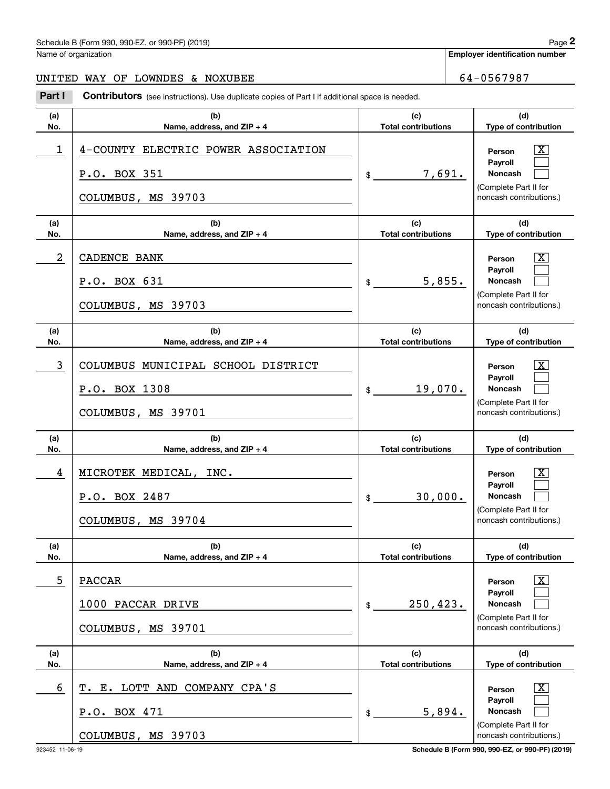## Schedule B (Form 990, 990-EZ, or 990-PF) (2019) Page 2

Name of organization

**Employer identification number**

### UNITED WAY OF LOWNDES & NOXUBEE 64-0567987

Chedule B (Form 990, 990-EZ, or 990-PF) (2019)<br> **2019 Employer identification number**<br> **2019 INITED WAY OF LOWNDES & NOXUBEE**<br> **2014 I Contributors** (see instructions). Use duplicate copies of Part I if additional space

| (a)        | (b)                                                                       | (c)                               | (d)                                                                                                              |
|------------|---------------------------------------------------------------------------|-----------------------------------|------------------------------------------------------------------------------------------------------------------|
| No.        | Name, address, and ZIP + 4                                                | <b>Total contributions</b>        | Type of contribution                                                                                             |
| 1          | 4-COUNTY ELECTRIC POWER ASSOCIATION<br>P.O. BOX 351<br>COLUMBUS, MS 39703 | 7,691.<br>$$$ $$$                 | $\mathbf{X}$<br>Person<br>Payroll<br><b>Noncash</b><br>(Complete Part II for<br>noncash contributions.)          |
| (a)<br>No. | (b)<br>Name, address, and ZIP + 4                                         | (c)<br><b>Total contributions</b> | (d)<br>Type of contribution                                                                                      |
| 2          | CADENCE BANK                                                              |                                   | $\mathbf{X}$<br>Person                                                                                           |
|            | P.O. BOX 631<br>COLUMBUS, MS 39703                                        | 5,855.<br>$\frac{1}{2}$           | Payroll<br><b>Noncash</b><br>(Complete Part II for<br>noncash contributions.)                                    |
| (a)<br>No. | (b)<br>Name, address, and ZIP + 4                                         | (c)<br><b>Total contributions</b> | (d)<br>Type of contribution                                                                                      |
| 3          | COLUMBUS MUNICIPAL SCHOOL DISTRICT<br>P.O. BOX 1308<br>COLUMBUS, MS 39701 | 19,070.<br>\$                     | $\mathbf{X}$<br>Person<br>Payroll<br><b>Noncash</b><br>(Complete Part II for<br>noncash contributions.)          |
| (a)<br>No. | (b)<br>Name, address, and ZIP + 4                                         | (c)<br><b>Total contributions</b> | (d)<br>Type of contribution                                                                                      |
| 4          | MICROTEK MEDICAL, INC.<br>P.O. BOX 2487<br>COLUMBUS, MS 39704             | 30,000.<br>\$                     | $\overline{\text{X}}$<br>Person<br>Payroll<br><b>Noncash</b><br>(Complete Part II for<br>noncash contributions.) |
| (a)<br>No. | (b)<br>Name, address, and $ZIP + 4$                                       | (c)<br><b>Total contributions</b> | (d)<br>Type of contribution                                                                                      |
| 5          | <b>PACCAR</b><br>1000 PACCAR DRIVE<br>COLUMBUS, MS 39701                  | 250, 423.<br>\$                   | $\overline{\text{X}}$<br>Person<br>Payroll<br><b>Noncash</b><br>(Complete Part II for<br>noncash contributions.) |
| (a)<br>No. | (b)<br>Name, address, and ZIP + 4                                         | (c)<br><b>Total contributions</b> | (d)<br>Type of contribution                                                                                      |
| 6          | COMPANY CPA'S<br>T. E. LOTT AND<br>P.O. BOX 471<br>COLUMBUS, MS 39703     | 5,894.<br>\$                      | $\overline{\mathbf{X}}$<br>Person<br>Payroll<br>Noncash<br>(Complete Part II for<br>noncash contributions.)      |

923452 11-06-19 **Schedule B (Form 990, 990-EZ, or 990-PF) (2019)**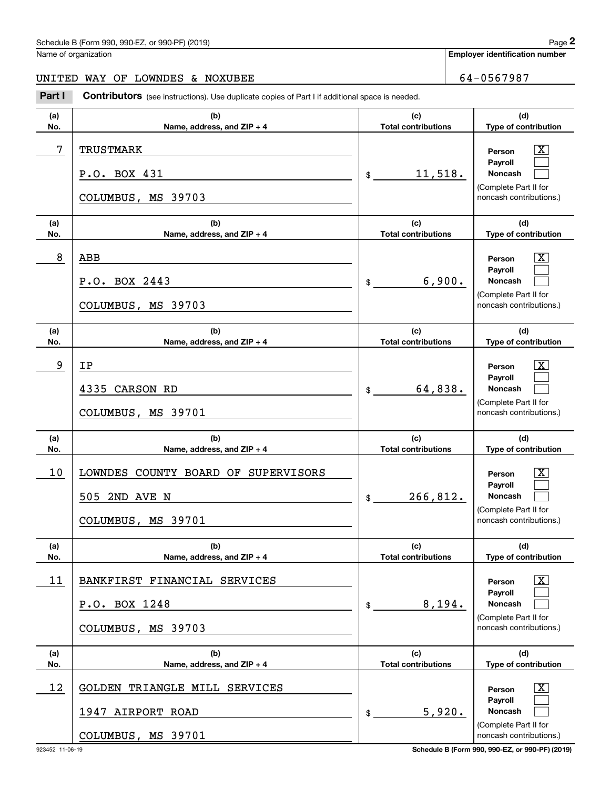## Schedule B (Form 990, 990-EZ, or 990-PF) (2019) Page 2

Name of organization

**Employer identification number**

### UNITED WAY OF LOWNDES & NOXUBEE 64-0567987

Chedule B (Form 990, 990-EZ, or 990-PF) (2019)<br> **2019 Employer identification number**<br> **2019 INITED WAY OF LOWNDES & NOXUBEE**<br> **2014 I Contributors** (see instructions). Use duplicate copies of Part I if additional space

| (a) | (b)                                                                                | (c)                        | (d)                                                                                                                |
|-----|------------------------------------------------------------------------------------|----------------------------|--------------------------------------------------------------------------------------------------------------------|
| No. | Name, address, and ZIP + 4                                                         | <b>Total contributions</b> | Type of contribution                                                                                               |
| 7   | TRUSTMARK<br>P.O. BOX 431<br>COLUMBUS, MS 39703                                    | 11,518.<br>$\mathsf{\$}$   | $\overline{\mathbf{x}}$<br>Person<br>Payroll<br>Noncash<br>(Complete Part II for<br>noncash contributions.)        |
| (a) | (b)                                                                                | (c)                        | (d)                                                                                                                |
| No. | Name, address, and ZIP + 4                                                         | <b>Total contributions</b> | Type of contribution                                                                                               |
| 8   | ABB<br>P.O. BOX 2443<br>COLUMBUS, MS 39703                                         | 6,900.<br>$\frac{1}{2}$    | $\boxed{\text{X}}$<br>Person<br>Payroll<br>Noncash<br>(Complete Part II for<br>noncash contributions.)             |
| (a) | (b)                                                                                | (c)                        | (d)                                                                                                                |
| No. | Name, address, and ZIP + 4                                                         | <b>Total contributions</b> | Type of contribution                                                                                               |
| 9   | IP<br>4335 CARSON RD<br>COLUMBUS, MS 39701                                         | 64,838.<br>$\mathbb{S}$    | $\overline{\mathbf{x}}$<br>Person<br>Payroll<br><b>Noncash</b><br>(Complete Part II for<br>noncash contributions.) |
| (a) | (b)                                                                                | (c)                        | (d)                                                                                                                |
| No. | Name, address, and ZIP + 4                                                         | <b>Total contributions</b> | Type of contribution                                                                                               |
| 10  | LOWNDES COUNTY BOARD OF SUPERVISORS<br>505 2ND AVE N<br>COLUMBUS, MS 39701         | 266,812.<br>\$             | $\overline{\text{X}}$<br>Person<br>Payroll<br>Noncash<br>(Complete Part II for<br>noncash contributions.)          |
| (a) | (b)                                                                                | (c)                        | (d)                                                                                                                |
| No. | Name, address, and ZIP + 4                                                         | <b>Total contributions</b> | Type of contribution                                                                                               |
| 11  | BANKFIRST FINANCIAL SERVICES<br>P.O. BOX 1248<br>COLUMBUS, MS 39703                | 8,194.<br>\$               | $\boxed{\text{X}}$<br>Person<br>Payroll<br><b>Noncash</b><br>(Complete Part II for<br>noncash contributions.)      |
| (a) | (b)                                                                                | (c)                        | (d)                                                                                                                |
| No. | Name, address, and ZIP + 4                                                         | <b>Total contributions</b> | Type of contribution                                                                                               |
| 12  | <b>GOLDEN</b><br>TRIANGLE MILL SERVICES<br>1947 AIRPORT ROAD<br>COLUMBUS, MS 39701 | 5,920.<br>\$               | $\overline{\mathbf{X}}$<br>Person<br>Payroll<br>Noncash<br>(Complete Part II for<br>noncash contributions.)        |

923452 11-06-19 **Schedule B (Form 990, 990-EZ, or 990-PF) (2019)**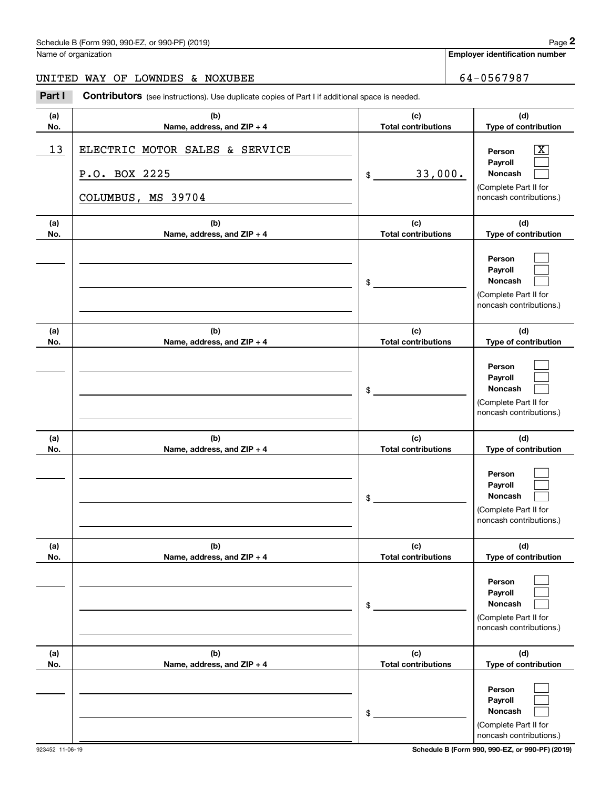## Schedule B (Form 990, 990-EZ, or 990-PF) (2019) Page 2

Name of organization

**Employer identification number**

### UNITED WAY OF LOWNDES & NOXUBEE 64-0567987

Chedule B (Form 990, 990-EZ, or 990-PF) (2019)<br> **2019 Employer identification number**<br> **2019 INITED WAY OF LOWNDES & NOXUBEE**<br> **2014 I Contributors** (see instructions). Use duplicate copies of Part I if additional space

| (a) | (b)                                                                   | (c)                                     | (d)                                                                                                       |
|-----|-----------------------------------------------------------------------|-----------------------------------------|-----------------------------------------------------------------------------------------------------------|
| No. | Name, address, and ZIP + 4                                            | <b>Total contributions</b>              | Type of contribution                                                                                      |
| 13  | ELECTRIC MOTOR SALES & SERVICE<br>P.O. BOX 2225<br>COLUMBUS, MS 39704 | 33,000.<br>$$$ $\overline{\phantom{a}}$ | $\overline{\text{X}}$<br>Person<br>Payroll<br>Noncash<br>(Complete Part II for<br>noncash contributions.) |
| (a) | (b)                                                                   | (c)                                     | (d)                                                                                                       |
| No. | Name, address, and ZIP + 4                                            | <b>Total contributions</b>              | Type of contribution                                                                                      |
|     |                                                                       | $\frac{1}{2}$                           | Person<br>Payroll<br>Noncash<br>(Complete Part II for<br>noncash contributions.)                          |
| (a) | (b)                                                                   | (c)                                     | (d)                                                                                                       |
| No. | Name, address, and ZIP + 4                                            | <b>Total contributions</b>              | Type of contribution                                                                                      |
|     |                                                                       | $\frac{1}{2}$                           | Person<br>Payroll<br><b>Noncash</b><br>(Complete Part II for<br>noncash contributions.)                   |
| (a) | (b)                                                                   | (c)                                     | (d)                                                                                                       |
| No. | Name, address, and ZIP + 4                                            | <b>Total contributions</b>              | Type of contribution                                                                                      |
|     |                                                                       | $\frac{1}{2}$                           | Person<br>Payroll<br>Noncash<br>(Complete Part II for<br>noncash contributions.)                          |
| (a) | (b)                                                                   | (c)                                     | (d)                                                                                                       |
| No. | Name, address, and ZIP + 4                                            | <b>Total contributions</b>              | Type of contribution                                                                                      |
|     |                                                                       | \$                                      | Person<br>Payroll<br>Noncash<br>(Complete Part II for<br>noncash contributions.)                          |
| (a) | (b)                                                                   | (c)                                     | (d)                                                                                                       |
| No. | Name, address, and ZIP + 4                                            | <b>Total contributions</b>              | Type of contribution                                                                                      |
|     |                                                                       | \$                                      | Person<br>Payroll<br>Noncash<br>(Complete Part II for<br>noncash contributions.)                          |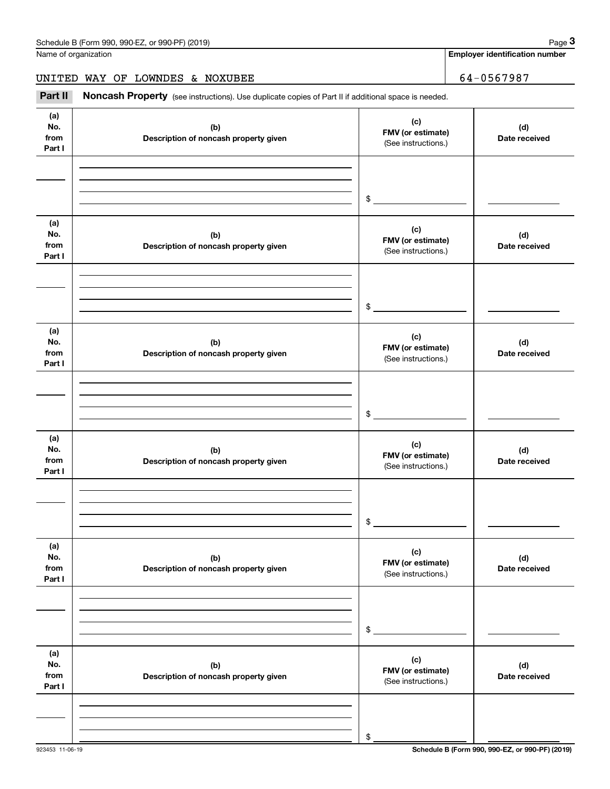**Employer identification number**

UNITED WAY OF LOWNDES & NOXUBEE 64-0567987

Chedule B (Form 990, 990-EZ, or 990-PF) (2019)<br> **2019 Iame of organization**<br> **3Part II** Moncash Property (see instructions). Use duplicate copies of Part II if additional space is needed.<br> **2Part II** Noncash Property (see

| (a)<br>No.<br>from<br>Part I | (b)<br>Description of noncash property given | (c)<br>FMV (or estimate)<br>(See instructions.) | (d)<br>Date received |
|------------------------------|----------------------------------------------|-------------------------------------------------|----------------------|
|                              |                                              |                                                 |                      |
|                              |                                              | $\frac{1}{2}$                                   |                      |
| (a)<br>No.<br>from<br>Part I | (b)<br>Description of noncash property given | (c)<br>FMV (or estimate)<br>(See instructions.) | (d)<br>Date received |
|                              |                                              |                                                 |                      |
|                              |                                              | $\frac{1}{2}$                                   |                      |
| (a)<br>No.<br>from<br>Part I | (b)<br>Description of noncash property given | (c)<br>FMV (or estimate)<br>(See instructions.) | (d)<br>Date received |
|                              |                                              |                                                 |                      |
|                              |                                              | $\frac{1}{2}$                                   |                      |
| (a)<br>No.<br>from<br>Part I | (b)<br>Description of noncash property given | (c)<br>FMV (or estimate)<br>(See instructions.) | (d)<br>Date received |
|                              |                                              |                                                 |                      |
|                              |                                              | \$                                              |                      |
| (a)<br>No.<br>from<br>Part I | (b)<br>Description of noncash property given | (c)<br>FMV (or estimate)<br>(See instructions.) | (d)<br>Date received |
|                              |                                              |                                                 |                      |
|                              |                                              | \$                                              |                      |
| (a)<br>No.<br>from<br>Part I | (b)<br>Description of noncash property given | (c)<br>FMV (or estimate)<br>(See instructions.) | (d)<br>Date received |
|                              |                                              |                                                 |                      |
|                              |                                              | \$                                              |                      |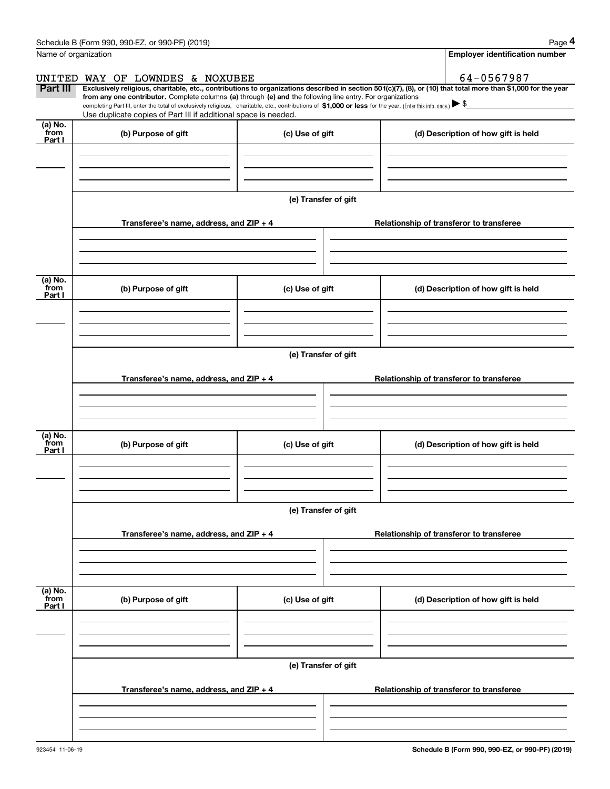|                           | Schedule B (Form 990, 990-EZ, or 990-PF) (2019)                                                                                                                                                                                                      |                      | Page 4                                                                                                                                                         |
|---------------------------|------------------------------------------------------------------------------------------------------------------------------------------------------------------------------------------------------------------------------------------------------|----------------------|----------------------------------------------------------------------------------------------------------------------------------------------------------------|
|                           | Name of organization                                                                                                                                                                                                                                 |                      | <b>Employer identification number</b>                                                                                                                          |
| UNITED                    | WAY OF LOWNDES & NOXUBEE                                                                                                                                                                                                                             |                      | 64-0567987                                                                                                                                                     |
| Part III                  | from any one contributor. Complete columns (a) through (e) and the following line entry. For organizations                                                                                                                                           |                      | Exclusively religious, charitable, etc., contributions to organizations described in section 501(c)(7), (8), or (10) that total more than \$1,000 for the year |
|                           | completing Part III, enter the total of exclusively religious, charitable, etc., contributions of \$1,000 or less for the year. (Enter this info. once.) $\blacktriangleright$ \$<br>Use duplicate copies of Part III if additional space is needed. |                      |                                                                                                                                                                |
| (a) No.<br>from<br>Part I | (b) Purpose of gift                                                                                                                                                                                                                                  | (c) Use of gift      | (d) Description of how gift is held                                                                                                                            |
|                           |                                                                                                                                                                                                                                                      |                      |                                                                                                                                                                |
|                           |                                                                                                                                                                                                                                                      |                      |                                                                                                                                                                |
|                           |                                                                                                                                                                                                                                                      | (e) Transfer of gift |                                                                                                                                                                |
|                           | Transferee's name, address, and ZIP + 4                                                                                                                                                                                                              |                      | Relationship of transferor to transferee                                                                                                                       |
|                           |                                                                                                                                                                                                                                                      |                      |                                                                                                                                                                |
| (a) No.<br>from<br>Part I | (b) Purpose of gift                                                                                                                                                                                                                                  | (c) Use of gift      | (d) Description of how gift is held                                                                                                                            |
|                           |                                                                                                                                                                                                                                                      |                      |                                                                                                                                                                |
|                           |                                                                                                                                                                                                                                                      |                      |                                                                                                                                                                |
|                           |                                                                                                                                                                                                                                                      | (e) Transfer of gift |                                                                                                                                                                |
|                           | Transferee's name, address, and $ZIP + 4$                                                                                                                                                                                                            |                      | Relationship of transferor to transferee                                                                                                                       |
|                           |                                                                                                                                                                                                                                                      |                      |                                                                                                                                                                |
| (a) No.<br>from<br>Part I | (b) Purpose of gift                                                                                                                                                                                                                                  | (c) Use of gift      | (d) Description of how gift is held                                                                                                                            |
|                           |                                                                                                                                                                                                                                                      |                      |                                                                                                                                                                |
|                           |                                                                                                                                                                                                                                                      |                      |                                                                                                                                                                |
|                           |                                                                                                                                                                                                                                                      | (e) Transfer of gift |                                                                                                                                                                |
|                           | Transferee's name, address, and $ZIP + 4$                                                                                                                                                                                                            |                      | Relationship of transferor to transferee                                                                                                                       |
|                           |                                                                                                                                                                                                                                                      |                      |                                                                                                                                                                |
| (a) No.<br>from<br>Part I | (b) Purpose of gift                                                                                                                                                                                                                                  | (c) Use of gift      | (d) Description of how gift is held                                                                                                                            |
|                           |                                                                                                                                                                                                                                                      |                      |                                                                                                                                                                |
|                           |                                                                                                                                                                                                                                                      |                      |                                                                                                                                                                |
|                           |                                                                                                                                                                                                                                                      | (e) Transfer of gift |                                                                                                                                                                |
|                           | Transferee's name, address, and $ZIP + 4$                                                                                                                                                                                                            |                      | Relationship of transferor to transferee                                                                                                                       |
|                           |                                                                                                                                                                                                                                                      |                      |                                                                                                                                                                |
|                           |                                                                                                                                                                                                                                                      |                      |                                                                                                                                                                |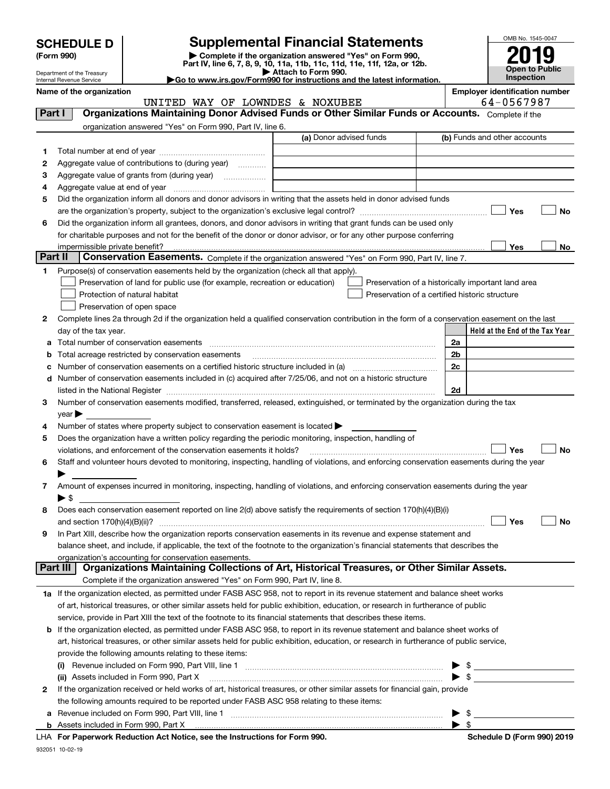| <b>SCHEDULE D</b> |  |
|-------------------|--|
|-------------------|--|

| (Form 990) |  |
|------------|--|
|------------|--|

## **SCHEDULE D Supplemental Financial Statements**

(Form 990)<br>
Pepartment of the Treasury<br>
Department of the Treasury<br>
Department of the Treasury<br>
Department of the Treasury<br> **Co to www.irs.gov/Form990 for instructions and the latest information.**<br> **Co to www.irs.gov/Form9** 



Department of the Treasury Internal Revenue Service

|  |  |  | $\triangleright$ Go to www.irs.gov/Form990 for instructions an |  |
|--|--|--|----------------------------------------------------------------|--|
|  |  |  |                                                                |  |

**Name of the organization Employer identification number**

|         | UNITED WAY OF LOWNDES & NOXUBEE                                                                                                                |                         | 64-0567987                                         |
|---------|------------------------------------------------------------------------------------------------------------------------------------------------|-------------------------|----------------------------------------------------|
| Part I  | Organizations Maintaining Donor Advised Funds or Other Similar Funds or Accounts. Complete if the                                              |                         |                                                    |
|         | organization answered "Yes" on Form 990, Part IV, line 6.                                                                                      |                         |                                                    |
|         |                                                                                                                                                | (a) Donor advised funds | (b) Funds and other accounts                       |
| 1.      |                                                                                                                                                |                         |                                                    |
| 2       | Aggregate value of contributions to (during year)                                                                                              |                         |                                                    |
| з       | Aggregate value of grants from (during year)                                                                                                   |                         |                                                    |
| 4       |                                                                                                                                                |                         |                                                    |
| 5       | Did the organization inform all donors and donor advisors in writing that the assets held in donor advised funds                               |                         |                                                    |
|         |                                                                                                                                                |                         | Yes<br>No                                          |
| 6       | Did the organization inform all grantees, donors, and donor advisors in writing that grant funds can be used only                              |                         |                                                    |
|         | for charitable purposes and not for the benefit of the donor or donor advisor, or for any other purpose conferring                             |                         |                                                    |
|         | impermissible private benefit?                                                                                                                 |                         | Yes<br>No                                          |
| Part II | Conservation Easements. Complete if the organization answered "Yes" on Form 990, Part IV, line 7.                                              |                         |                                                    |
| 1       | Purpose(s) of conservation easements held by the organization (check all that apply).                                                          |                         |                                                    |
|         | Preservation of land for public use (for example, recreation or education)                                                                     |                         | Preservation of a historically important land area |
|         | Protection of natural habitat                                                                                                                  |                         | Preservation of a certified historic structure     |
|         | Preservation of open space                                                                                                                     |                         |                                                    |
| 2       | Complete lines 2a through 2d if the organization held a qualified conservation contribution in the form of a conservation easement on the last |                         |                                                    |
|         | day of the tax year.                                                                                                                           |                         | Held at the End of the Tax Year                    |
| а       |                                                                                                                                                |                         | 2a                                                 |
| b       | Total acreage restricted by conservation easements                                                                                             |                         | 2b                                                 |
| с       | Number of conservation easements on a certified historic structure included in (a) manufacture included in (a)                                 |                         | 2c                                                 |
| d       | Number of conservation easements included in (c) acquired after 7/25/06, and not on a historic structure                                       |                         |                                                    |
|         |                                                                                                                                                |                         | 2d                                                 |
| З.      | Number of conservation easements modified, transferred, released, extinguished, or terminated by the organization during the tax               |                         |                                                    |
|         | year                                                                                                                                           |                         |                                                    |
| 4       | Number of states where property subject to conservation easement is located >                                                                  |                         |                                                    |
| 5       | Does the organization have a written policy regarding the periodic monitoring, inspection, handling of                                         |                         |                                                    |
|         | violations, and enforcement of the conservation easements it holds?                                                                            |                         | Yes<br><b>No</b>                                   |
| 6       | Staff and volunteer hours devoted to monitoring, inspecting, handling of violations, and enforcing conservation easements during the year      |                         |                                                    |
|         |                                                                                                                                                |                         |                                                    |
| 7       | Amount of expenses incurred in monitoring, inspecting, handling of violations, and enforcing conservation easements during the year            |                         |                                                    |
|         | $\blacktriangleright$ \$                                                                                                                       |                         |                                                    |
| 8       | Does each conservation easement reported on line 2(d) above satisfy the requirements of section 170(h)(4)(B)(i)                                |                         |                                                    |
|         |                                                                                                                                                |                         | Yes<br>No                                          |
| 9       | In Part XIII, describe how the organization reports conservation easements in its revenue and expense statement and                            |                         |                                                    |
|         | balance sheet, and include, if applicable, the text of the footnote to the organization's financial statements that describes the              |                         |                                                    |
|         | organization's accounting for conservation easements.                                                                                          |                         |                                                    |
|         | Organizations Maintaining Collections of Art, Historical Treasures, or Other Similar Assets.<br>Part III                                       |                         |                                                    |
|         | Complete if the organization answered "Yes" on Form 990, Part IV, line 8.                                                                      |                         |                                                    |
|         | 1a If the organization elected, as permitted under FASB ASC 958, not to report in its revenue statement and balance sheet works                |                         |                                                    |
|         | of art, historical treasures, or other similar assets held for public exhibition, education, or research in furtherance of public              |                         |                                                    |
|         | service, provide in Part XIII the text of the footnote to its financial statements that describes these items.                                 |                         |                                                    |
| b       | If the organization elected, as permitted under FASB ASC 958, to report in its revenue statement and balance sheet works of                    |                         |                                                    |
|         | art, historical treasures, or other similar assets held for public exhibition, education, or research in furtherance of public service,        |                         |                                                    |
|         | provide the following amounts relating to these items:                                                                                         |                         |                                                    |
|         |                                                                                                                                                |                         | \$                                                 |
|         | (ii) Assets included in Form 990, Part X                                                                                                       |                         | $\blacktriangleright$ \$                           |
| 2       | If the organization received or held works of art, historical treasures, or other similar assets for financial gain, provide                   |                         |                                                    |
|         | the following amounts required to be reported under FASB ASC 958 relating to these items:                                                      |                         |                                                    |
|         | a Revenue included on Form 990, Part VIII, line 1                                                                                              |                         | $\blacktriangleright$ \$                           |

932051 10-02-19

**For Paperwork Reduction Act Notice, see the Instructions for Form 990. Schedule D (Form 990) 2019** LHA

 $\blacktriangleright$  \$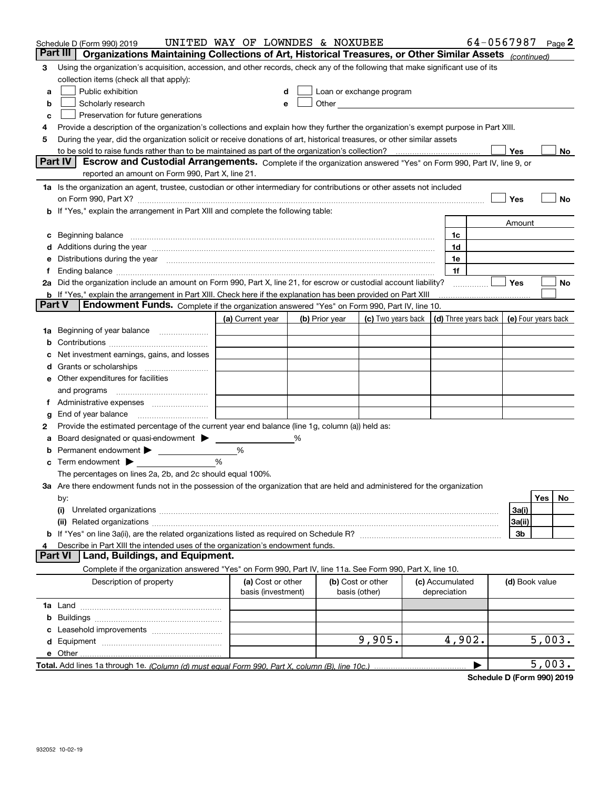|               | Schedule D (Form 990) 2019                                                                                                                                                                                                     | UNITED WAY OF LOWNDES & NOXUBEE         |                |                                                                                                                                                                                                                                      |                                 | 64-0567987 |                     |        | Page $2$ |
|---------------|--------------------------------------------------------------------------------------------------------------------------------------------------------------------------------------------------------------------------------|-----------------------------------------|----------------|--------------------------------------------------------------------------------------------------------------------------------------------------------------------------------------------------------------------------------------|---------------------------------|------------|---------------------|--------|----------|
|               | Part III<br>Organizations Maintaining Collections of Art, Historical Treasures, or Other Similar Assets (continued)                                                                                                            |                                         |                |                                                                                                                                                                                                                                      |                                 |            |                     |        |          |
| 3             | Using the organization's acquisition, accession, and other records, check any of the following that make significant use of its                                                                                                |                                         |                |                                                                                                                                                                                                                                      |                                 |            |                     |        |          |
|               | collection items (check all that apply):                                                                                                                                                                                       |                                         |                |                                                                                                                                                                                                                                      |                                 |            |                     |        |          |
| a             | Public exhibition                                                                                                                                                                                                              |                                         |                | Loan or exchange program                                                                                                                                                                                                             |                                 |            |                     |        |          |
| b             | Scholarly research                                                                                                                                                                                                             | e                                       |                | Other <u>with the contract of the contract of the contract of the contract of the contract of the contract of the contract of the contract of the contract of the contract of the contract of the contract of the contract of th</u> |                                 |            |                     |        |          |
| с             | Preservation for future generations                                                                                                                                                                                            |                                         |                |                                                                                                                                                                                                                                      |                                 |            |                     |        |          |
|               | Provide a description of the organization's collections and explain how they further the organization's exempt purpose in Part XIII.                                                                                           |                                         |                |                                                                                                                                                                                                                                      |                                 |            |                     |        |          |
| 5             | During the year, did the organization solicit or receive donations of art, historical treasures, or other similar assets                                                                                                       |                                         |                |                                                                                                                                                                                                                                      |                                 |            |                     |        |          |
|               | to be sold to raise funds rather than to be maintained as part of the organization's collection?                                                                                                                               |                                         |                |                                                                                                                                                                                                                                      |                                 |            | Yes                 |        | No       |
|               | <b>Part IV</b><br>Escrow and Custodial Arrangements. Complete if the organization answered "Yes" on Form 990, Part IV, line 9, or                                                                                              |                                         |                |                                                                                                                                                                                                                                      |                                 |            |                     |        |          |
|               | reported an amount on Form 990, Part X, line 21.                                                                                                                                                                               |                                         |                |                                                                                                                                                                                                                                      |                                 |            |                     |        |          |
|               | 1a Is the organization an agent, trustee, custodian or other intermediary for contributions or other assets not included                                                                                                       |                                         |                |                                                                                                                                                                                                                                      |                                 |            |                     |        |          |
|               | on Form 990, Part X? [11] matter contracts and contracts and contracts are contracted as a form 990, Part X?                                                                                                                   |                                         |                |                                                                                                                                                                                                                                      |                                 |            | Yes                 |        | No       |
|               | b If "Yes," explain the arrangement in Part XIII and complete the following table:                                                                                                                                             |                                         |                |                                                                                                                                                                                                                                      |                                 |            |                     |        |          |
|               |                                                                                                                                                                                                                                |                                         |                |                                                                                                                                                                                                                                      |                                 |            | Amount              |        |          |
|               |                                                                                                                                                                                                                                |                                         |                |                                                                                                                                                                                                                                      | 1c                              |            |                     |        |          |
|               | d Additions during the year measurements are all an according to the year measurement of the year measurement of the state of the state of the state of the state of the state of the state of the state of the state of the s |                                         |                |                                                                                                                                                                                                                                      | 1d                              |            |                     |        |          |
|               | e Distributions during the year manufactured and continuum and contract the year manufactured and contract the                                                                                                                 |                                         |                |                                                                                                                                                                                                                                      | 1e                              |            |                     |        |          |
|               |                                                                                                                                                                                                                                |                                         |                |                                                                                                                                                                                                                                      | 1f                              |            |                     |        |          |
|               | 2a Did the organization include an amount on Form 990, Part X, line 21, for escrow or custodial account liability?                                                                                                             |                                         |                |                                                                                                                                                                                                                                      |                                 |            | Yes                 |        | No       |
| <b>Part V</b> | <b>b</b> If "Yes," explain the arrangement in Part XIII. Check here if the explanation has been provided on Part XIII<br>Endowment Funds. Complete if the organization answered "Yes" on Form 990, Part IV, line 10.           |                                         |                |                                                                                                                                                                                                                                      |                                 |            |                     |        |          |
|               |                                                                                                                                                                                                                                |                                         |                |                                                                                                                                                                                                                                      | (d) Three years back            |            | (e) Four years back |        |          |
|               |                                                                                                                                                                                                                                | (a) Current year                        | (b) Prior year | (c) Two years back                                                                                                                                                                                                                   |                                 |            |                     |        |          |
| 1a            | Beginning of year balance                                                                                                                                                                                                      |                                         |                |                                                                                                                                                                                                                                      |                                 |            |                     |        |          |
|               |                                                                                                                                                                                                                                |                                         |                |                                                                                                                                                                                                                                      |                                 |            |                     |        |          |
|               | Net investment earnings, gains, and losses                                                                                                                                                                                     |                                         |                |                                                                                                                                                                                                                                      |                                 |            |                     |        |          |
|               | e Other expenditures for facilities                                                                                                                                                                                            |                                         |                |                                                                                                                                                                                                                                      |                                 |            |                     |        |          |
|               | and programs                                                                                                                                                                                                                   |                                         |                |                                                                                                                                                                                                                                      |                                 |            |                     |        |          |
| Ť.            |                                                                                                                                                                                                                                |                                         |                |                                                                                                                                                                                                                                      |                                 |            |                     |        |          |
| g             |                                                                                                                                                                                                                                |                                         |                |                                                                                                                                                                                                                                      |                                 |            |                     |        |          |
| 2             | Provide the estimated percentage of the current year end balance (line 1g, column (a)) held as:                                                                                                                                |                                         |                |                                                                                                                                                                                                                                      |                                 |            |                     |        |          |
|               | Board designated or quasi-endowment                                                                                                                                                                                            |                                         | %              |                                                                                                                                                                                                                                      |                                 |            |                     |        |          |
|               | Permanent endowment > <u>example</u>                                                                                                                                                                                           | %                                       |                |                                                                                                                                                                                                                                      |                                 |            |                     |        |          |
|               | Term endowment $\blacktriangleright$                                                                                                                                                                                           | %                                       |                |                                                                                                                                                                                                                                      |                                 |            |                     |        |          |
|               | The percentages on lines 2a, 2b, and 2c should equal 100%.                                                                                                                                                                     |                                         |                |                                                                                                                                                                                                                                      |                                 |            |                     |        |          |
|               | 3a Are there endowment funds not in the possession of the organization that are held and administered for the organization                                                                                                     |                                         |                |                                                                                                                                                                                                                                      |                                 |            |                     |        |          |
|               | by:                                                                                                                                                                                                                            |                                         |                |                                                                                                                                                                                                                                      |                                 |            |                     | Yes    | No       |
|               | (i)                                                                                                                                                                                                                            |                                         |                |                                                                                                                                                                                                                                      |                                 |            | 3a(i)               |        |          |
|               |                                                                                                                                                                                                                                |                                         |                |                                                                                                                                                                                                                                      |                                 |            | 3a(ii)              |        |          |
|               |                                                                                                                                                                                                                                |                                         |                |                                                                                                                                                                                                                                      |                                 |            | 3b                  |        |          |
| 4             | Describe in Part XIII the intended uses of the organization's endowment funds.                                                                                                                                                 |                                         |                |                                                                                                                                                                                                                                      |                                 |            |                     |        |          |
|               | Land, Buildings, and Equipment.<br><b>Part VI</b>                                                                                                                                                                              |                                         |                |                                                                                                                                                                                                                                      |                                 |            |                     |        |          |
|               | Complete if the organization answered "Yes" on Form 990, Part IV, line 11a. See Form 990, Part X, line 10.                                                                                                                     |                                         |                |                                                                                                                                                                                                                                      |                                 |            |                     |        |          |
|               | Description of property                                                                                                                                                                                                        | (a) Cost or other<br>basis (investment) |                | (b) Cost or other<br>basis (other)                                                                                                                                                                                                   | (c) Accumulated<br>depreciation |            | (d) Book value      |        |          |
|               |                                                                                                                                                                                                                                |                                         |                |                                                                                                                                                                                                                                      |                                 |            |                     |        |          |
|               |                                                                                                                                                                                                                                |                                         |                |                                                                                                                                                                                                                                      |                                 |            |                     |        |          |
|               |                                                                                                                                                                                                                                |                                         |                |                                                                                                                                                                                                                                      |                                 |            |                     |        |          |
|               |                                                                                                                                                                                                                                |                                         |                | 9,905.                                                                                                                                                                                                                               | 4,902.                          |            |                     | 5,003. |          |
|               | e Other                                                                                                                                                                                                                        |                                         |                |                                                                                                                                                                                                                                      |                                 |            |                     |        |          |
|               |                                                                                                                                                                                                                                |                                         |                |                                                                                                                                                                                                                                      |                                 |            |                     | 5,003. |          |

**Schedule D (Form 990) 2019**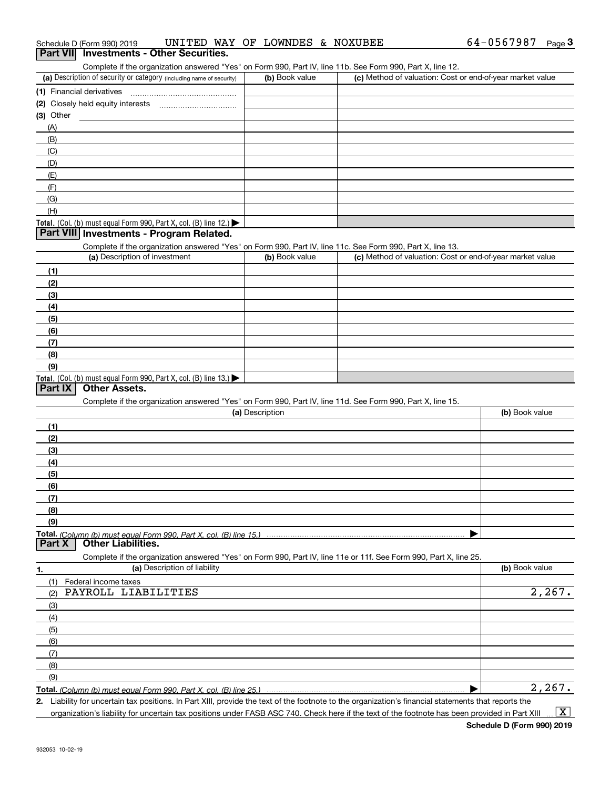| (2) Closely held equity interests                                                                                                                    |                 |                                                                                                                   |                |
|------------------------------------------------------------------------------------------------------------------------------------------------------|-----------------|-------------------------------------------------------------------------------------------------------------------|----------------|
| (3) Other                                                                                                                                            |                 |                                                                                                                   |                |
| (A)                                                                                                                                                  |                 |                                                                                                                   |                |
| (B)                                                                                                                                                  |                 |                                                                                                                   |                |
| (C)                                                                                                                                                  |                 |                                                                                                                   |                |
| (D)                                                                                                                                                  |                 |                                                                                                                   |                |
| (E)                                                                                                                                                  |                 |                                                                                                                   |                |
| (F)                                                                                                                                                  |                 |                                                                                                                   |                |
| (G)                                                                                                                                                  |                 |                                                                                                                   |                |
| (H)                                                                                                                                                  |                 |                                                                                                                   |                |
| Total. (Col. (b) must equal Form 990, Part X, col. (B) line 12.)                                                                                     |                 |                                                                                                                   |                |
| Part VIII Investments - Program Related.                                                                                                             |                 |                                                                                                                   |                |
|                                                                                                                                                      |                 |                                                                                                                   |                |
| Complete if the organization answered "Yes" on Form 990, Part IV, line 11c. See Form 990, Part X, line 13.<br>(a) Description of investment          | (b) Book value  | (c) Method of valuation: Cost or end-of-year market value                                                         |                |
|                                                                                                                                                      |                 |                                                                                                                   |                |
| (1)                                                                                                                                                  |                 |                                                                                                                   |                |
| (2)                                                                                                                                                  |                 |                                                                                                                   |                |
| (3)                                                                                                                                                  |                 |                                                                                                                   |                |
| (4)                                                                                                                                                  |                 |                                                                                                                   |                |
| (5)                                                                                                                                                  |                 |                                                                                                                   |                |
| (6)                                                                                                                                                  |                 |                                                                                                                   |                |
| (7)                                                                                                                                                  |                 |                                                                                                                   |                |
| (8)                                                                                                                                                  |                 |                                                                                                                   |                |
| (9)                                                                                                                                                  |                 |                                                                                                                   |                |
| Total. (Col. (b) must equal Form 990, Part X, col. (B) line 13.)                                                                                     |                 |                                                                                                                   |                |
| Part IX<br><b>Other Assets.</b>                                                                                                                      |                 |                                                                                                                   |                |
| Complete if the organization answered "Yes" on Form 990, Part IV, line 11d. See Form 990, Part X, line 15.                                           |                 |                                                                                                                   |                |
|                                                                                                                                                      | (a) Description |                                                                                                                   | (b) Book value |
| (1)                                                                                                                                                  |                 |                                                                                                                   |                |
| (2)                                                                                                                                                  |                 |                                                                                                                   |                |
| (3)                                                                                                                                                  |                 |                                                                                                                   |                |
| (4)                                                                                                                                                  |                 |                                                                                                                   |                |
| (5)                                                                                                                                                  |                 |                                                                                                                   |                |
| (6)                                                                                                                                                  |                 |                                                                                                                   |                |
| (7)                                                                                                                                                  |                 |                                                                                                                   |                |
| (8)                                                                                                                                                  |                 |                                                                                                                   |                |
| (9)                                                                                                                                                  |                 |                                                                                                                   |                |
|                                                                                                                                                      |                 |                                                                                                                   |                |
| Total. (Column (b) must equal Form 990, Part X, col. (B) line 15.) …………………………………………………<br><b>Part X   Other Liabilities.</b>                         |                 |                                                                                                                   |                |
|                                                                                                                                                      |                 | Complete if the organization answered "Yes" on Form 990, Part IV, line 11e or 11f. See Form 990, Part X, line 25. |                |
| (a) Description of liability                                                                                                                         |                 |                                                                                                                   | (b) Book value |
| 1.                                                                                                                                                   |                 |                                                                                                                   |                |
| (1)<br>Federal income taxes<br>PAYROLL LIABILITIES<br>(2)                                                                                            |                 |                                                                                                                   | 2,267.         |
|                                                                                                                                                      |                 |                                                                                                                   |                |
| (3)                                                                                                                                                  |                 |                                                                                                                   |                |
| (4)                                                                                                                                                  |                 |                                                                                                                   |                |
| (5)                                                                                                                                                  |                 |                                                                                                                   |                |
| (6)                                                                                                                                                  |                 |                                                                                                                   |                |
| (7)                                                                                                                                                  |                 |                                                                                                                   |                |
| (8)                                                                                                                                                  |                 |                                                                                                                   |                |
| (9)                                                                                                                                                  |                 |                                                                                                                   |                |
|                                                                                                                                                      |                 |                                                                                                                   | 2,267.         |
| 2. Liability for uncertain tax positions. In Part XIII, provide the text of the footnote to the organization's financial statements that reports the |                 |                                                                                                                   |                |

organization's liability for uncertain tax positions under FASB ASC 740. Check here if the text of the footnote has been provided in Part XIII

 $\vert$  X  $\vert$ 

# Schedule D (Form 990) 2019 Page **3Part VII Investments - Other Securities.** UNITED WAY OF LOWNDES & NOXUBEE

#### Complete if the organization answered "Yes" on Form 990, Part IV, line 11b. See Form 990, Part X, line 12.

| Complete if the organization answered Fest on Form 990, Part IV, line TTD. See Form 990, Part A, line TZ. |                |                                                           |  |  |
|-----------------------------------------------------------------------------------------------------------|----------------|-----------------------------------------------------------|--|--|
| (a) Description of security or category (including name of security)                                      | (b) Book value | (c) Method of valuation: Cost or end-of-year market value |  |  |
| (1) Financial derivatives                                                                                 |                |                                                           |  |  |
| (2) Closely held equity interests                                                                         |                |                                                           |  |  |
| $(3)$ Other                                                                                               |                |                                                           |  |  |
| (A)                                                                                                       |                |                                                           |  |  |
| (B)                                                                                                       |                |                                                           |  |  |
| (C)                                                                                                       |                |                                                           |  |  |
| (D)                                                                                                       |                |                                                           |  |  |
| (E)                                                                                                       |                |                                                           |  |  |
|                                                                                                           |                |                                                           |  |  |
| $\sim$                                                                                                    |                |                                                           |  |  |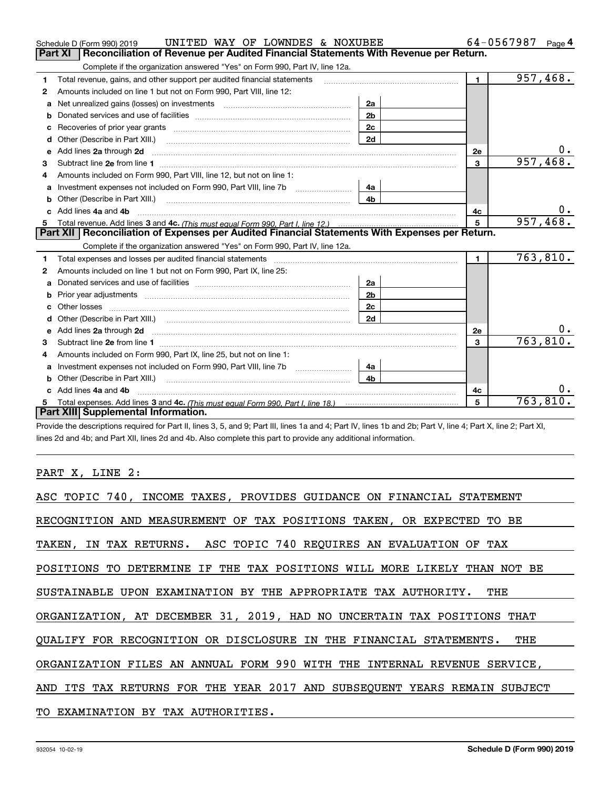|              | UNITED WAY OF LOWNDES & NOXUBEE<br>Schedule D (Form 990) 2019                                                                                                                                                                         |                |                | 64-0567987<br>Page 4    |
|--------------|---------------------------------------------------------------------------------------------------------------------------------------------------------------------------------------------------------------------------------------|----------------|----------------|-------------------------|
|              | <b>Part XI</b><br>Reconciliation of Revenue per Audited Financial Statements With Revenue per Return.                                                                                                                                 |                |                |                         |
|              | Complete if the organization answered "Yes" on Form 990, Part IV, line 12a.                                                                                                                                                           |                |                |                         |
| 1            | Total revenue, gains, and other support per audited financial statements                                                                                                                                                              |                | $\blacksquare$ | $\overline{957, 468}$ . |
| $\mathbf{2}$ | Amounts included on line 1 but not on Form 990, Part VIII, line 12:                                                                                                                                                                   |                |                |                         |
| a            | Net unrealized gains (losses) on investments [11] matter contracts and the unrealized gains (losses) on investments                                                                                                                   | 2a             |                |                         |
|              |                                                                                                                                                                                                                                       | 2 <sub>b</sub> |                |                         |
|              | Recoveries of prior year grants [11,111] Recoveries of prior year grants [11,111] Recoveries (12,111) [11] Recoveries (12,111) [11] Recoveries (12,111) [11] [11] Recoveries (12,111) [11] [11] $\frac{1}{2}$ [11] [11] $\frac{1}{2}$ | 2c             |                |                         |
| d            | Other (Describe in Part XIII.) <b>Construction Contract Construction</b> [                                                                                                                                                            | 2d             |                |                         |
| е            | Add lines 2a through 2d                                                                                                                                                                                                               |                | <b>2e</b>      |                         |
| 3            |                                                                                                                                                                                                                                       |                | $\mathbf{3}$   | 957, 468                |
| 4            | Amounts included on Form 990, Part VIII, line 12, but not on line 1:                                                                                                                                                                  |                |                |                         |
|              |                                                                                                                                                                                                                                       | 4a             |                |                         |
| b            |                                                                                                                                                                                                                                       | 4 <sub>h</sub> |                |                         |
| c.           | Add lines 4a and 4b                                                                                                                                                                                                                   |                | 4c             | υ.                      |
|              |                                                                                                                                                                                                                                       |                | $\overline{5}$ | 957,468.                |
|              |                                                                                                                                                                                                                                       |                |                |                         |
|              | Part XII   Reconciliation of Expenses per Audited Financial Statements With Expenses per Return.                                                                                                                                      |                |                |                         |
|              | Complete if the organization answered "Yes" on Form 990, Part IV, line 12a.                                                                                                                                                           |                |                |                         |
| 1            | Total expenses and losses per audited financial statements [11] [11] contain the control of the statements [11] [11] and the statements [11] and the statements [11] and the statements and the statements and the statements         |                | $\mathbf{1}$   | 763,810.                |
| 2            | Amounts included on line 1 but not on Form 990, Part IX, line 25:                                                                                                                                                                     |                |                |                         |
| a            |                                                                                                                                                                                                                                       | 2a             |                |                         |
|              | Prior year adjustments expressional contracts and prior year adjustments and the contract of the contract of the contract of the contract of the contract of the contract of the contract of the contract of the contract of t        | 2 <sub>b</sub> |                |                         |
| с            |                                                                                                                                                                                                                                       | 2c             |                |                         |
| d            |                                                                                                                                                                                                                                       | 2d             |                |                         |
| е            | Add lines 2a through 2d <b>contained a contained a contained a contained a</b> contained a contact the set of the set of the set of the set of the set of the set of the set of the set of the set of the set of the set of the set   |                | 2e             | 0.                      |
| 3            |                                                                                                                                                                                                                                       |                | 3              | 763,810.                |
| 4            | Amounts included on Form 990, Part IX, line 25, but not on line 1:                                                                                                                                                                    |                |                |                         |
| а            |                                                                                                                                                                                                                                       | 4a             |                |                         |
| b            |                                                                                                                                                                                                                                       | 4b             |                |                         |
|              | Add lines 4a and 4b                                                                                                                                                                                                                   |                | 4c             | 0.                      |
|              | Part XIII Supplemental Information.                                                                                                                                                                                                   |                | 5              | 763,810.                |

Provide the descriptions required for Part II, lines 3, 5, and 9; Part III, lines 1a and 4; Part IV, lines 1b and 2b; Part V, line 4; Part X, line 2; Part XI, lines 2d and 4b; and Part XII, lines 2d and 4b. Also complete this part to provide any additional information.

PART X, LINE 2:

| ASC TOPIC 740, INCOME TAXES, PROVIDES GUIDANCE ON FINANCIAL STATEMENT     |
|---------------------------------------------------------------------------|
| RECOGNITION AND MEASUREMENT OF TAX POSITIONS TAKEN, OR EXPECTED TO BE     |
| TAKEN, IN TAX RETURNS. ASC TOPIC 740 REQUIRES AN EVALUATION OF TAX        |
| POSITIONS TO DETERMINE IF THE TAX POSITIONS WILL MORE LIKELY THAN NOT BE  |
| SUSTAINABLE UPON EXAMINATION BY THE APPROPRIATE TAX AUTHORITY. THE        |
| ORGANIZATION, AT DECEMBER 31, 2019, HAD NO UNCERTAIN TAX POSITIONS THAT   |
| OUALIFY FOR RECOGNITION OR DISCLOSURE IN THE FINANCIAL STATEMENTS.<br>THE |
| ORGANIZATION FILES AN ANNUAL FORM 990 WITH THE INTERNAL REVENUE SERVICE,  |
| AND ITS TAX RETURNS FOR THE YEAR 2017 AND SUBSEQUENT YEARS REMAIN SUBJECT |
| TO EXAMINATION BY TAX AUTHORITIES.                                        |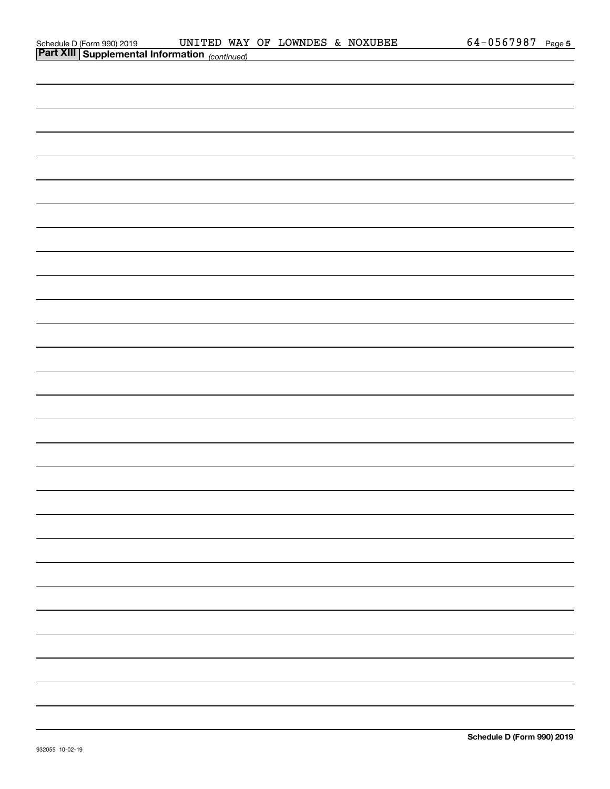| <b>Fare Am Supplemental Importation</b> (continued) |  |  |
|-----------------------------------------------------|--|--|
|                                                     |  |  |
|                                                     |  |  |
|                                                     |  |  |
|                                                     |  |  |
|                                                     |  |  |
|                                                     |  |  |
|                                                     |  |  |
|                                                     |  |  |
|                                                     |  |  |
|                                                     |  |  |
|                                                     |  |  |
|                                                     |  |  |
|                                                     |  |  |
|                                                     |  |  |
|                                                     |  |  |
|                                                     |  |  |
|                                                     |  |  |
|                                                     |  |  |
|                                                     |  |  |
|                                                     |  |  |
|                                                     |  |  |
|                                                     |  |  |
|                                                     |  |  |
|                                                     |  |  |
|                                                     |  |  |
|                                                     |  |  |
|                                                     |  |  |
|                                                     |  |  |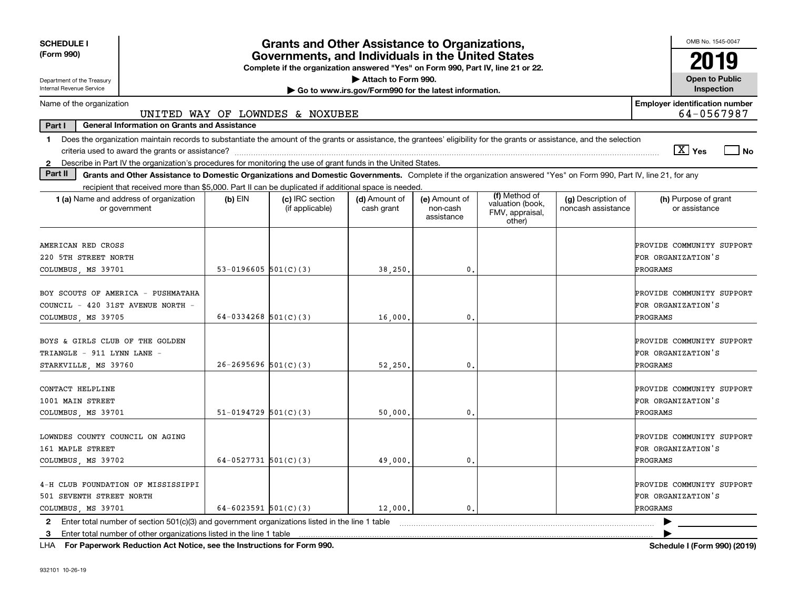| <b>SCHEDULE I</b>                                                                                                                                                                        |                                                                                                                                       | <b>Grants and Other Assistance to Organizations,</b> |                             |                                         |                                               |                                          | OMB No. 1545-0047                                                  |  |  |
|------------------------------------------------------------------------------------------------------------------------------------------------------------------------------------------|---------------------------------------------------------------------------------------------------------------------------------------|------------------------------------------------------|-----------------------------|-----------------------------------------|-----------------------------------------------|------------------------------------------|--------------------------------------------------------------------|--|--|
| (Form 990)                                                                                                                                                                               | Governments, and Individuals in the United States<br>Complete if the organization answered "Yes" on Form 990, Part IV, line 21 or 22. |                                                      |                             |                                         |                                               |                                          |                                                                    |  |  |
| Department of the Treasury                                                                                                                                                               | Attach to Form 990.                                                                                                                   |                                                      |                             |                                         |                                               |                                          |                                                                    |  |  |
| Internal Revenue Service<br>Go to www.irs.gov/Form990 for the latest information.                                                                                                        |                                                                                                                                       |                                                      |                             |                                         |                                               |                                          |                                                                    |  |  |
| <b>Employer identification number</b><br>Name of the organization<br>64-0567987<br>UNITED WAY OF LOWNDES & NOXUBEE                                                                       |                                                                                                                                       |                                                      |                             |                                         |                                               |                                          |                                                                    |  |  |
| Part I<br><b>General Information on Grants and Assistance</b>                                                                                                                            |                                                                                                                                       |                                                      |                             |                                         |                                               |                                          |                                                                    |  |  |
| Does the organization maintain records to substantiate the amount of the grants or assistance, the grantees' eligibility for the grants or assistance, and the selection<br>$\mathbf{1}$ |                                                                                                                                       |                                                      |                             |                                         |                                               |                                          |                                                                    |  |  |
|                                                                                                                                                                                          |                                                                                                                                       |                                                      |                             |                                         |                                               |                                          | $\sqrt{X}$ Yes<br>l No                                             |  |  |
| Describe in Part IV the organization's procedures for monitoring the use of grant funds in the United States.<br>$\mathbf{2}$                                                            |                                                                                                                                       |                                                      |                             |                                         |                                               |                                          |                                                                    |  |  |
| Part II<br>Grants and Other Assistance to Domestic Organizations and Domestic Governments. Complete if the organization answered "Yes" on Form 990, Part IV, line 21, for any            |                                                                                                                                       |                                                      |                             |                                         |                                               |                                          |                                                                    |  |  |
| recipient that received more than \$5,000. Part II can be duplicated if additional space is needed.                                                                                      |                                                                                                                                       |                                                      |                             |                                         | (f) Method of                                 |                                          |                                                                    |  |  |
| 1 (a) Name and address of organization<br>or government                                                                                                                                  | $(b)$ EIN                                                                                                                             | (c) IRC section<br>(if applicable)                   | (d) Amount of<br>cash grant | (e) Amount of<br>non-cash<br>assistance | valuation (book,<br>FMV, appraisal,<br>other) | (g) Description of<br>noncash assistance | (h) Purpose of grant<br>or assistance                              |  |  |
| AMERICAN RED CROSS<br>220 5TH STREET NORTH                                                                                                                                               |                                                                                                                                       |                                                      |                             |                                         |                                               |                                          | PROVIDE COMMUNITY SUPPORT<br>FOR ORGANIZATION'S                    |  |  |
| COLUMBUS, MS 39701                                                                                                                                                                       | 53-0196605 $501(C)(3)$                                                                                                                |                                                      | 38,250.                     | 0.                                      |                                               |                                          | <b>PROGRAMS</b>                                                    |  |  |
| BOY SCOUTS OF AMERICA - PUSHMATAHA<br>COUNCIL - 420 31ST AVENUE NORTH -<br>COLUMBUS, MS 39705                                                                                            | 64-0334268 $501(C)(3)$                                                                                                                |                                                      | 16,000.                     | $\mathbf{0}$ .                          |                                               |                                          | PROVIDE COMMUNITY SUPPORT<br>FOR ORGANIZATION'S<br>PROGRAMS        |  |  |
| BOYS & GIRLS CLUB OF THE GOLDEN<br>TRIANGLE - 911 LYNN LANE -<br>STARKVILLE, MS 39760                                                                                                    | $26 - 2695696$ $501(C)(3)$                                                                                                            |                                                      | 52,250.                     | 0.                                      |                                               |                                          | PROVIDE COMMUNITY SUPPORT<br>FOR ORGANIZATION'S<br>PROGRAMS        |  |  |
| CONTACT HELPLINE<br>1001 MAIN STREET<br>COLUMBUS, MS 39701                                                                                                                               | $51-0194729$ $501(C)(3)$                                                                                                              |                                                      | 50,000                      | $\mathbf{0}$ .                          |                                               |                                          | PROVIDE COMMUNITY SUPPORT<br>FOR ORGANIZATION'S<br>PROGRAMS        |  |  |
| LOWNDES COUNTY COUNCIL ON AGING<br>161 MAPLE STREET<br>COLUMBUS, MS 39702                                                                                                                | 64-0527731 $501(C)(3)$                                                                                                                |                                                      | 49,000.                     | 0.                                      |                                               |                                          | PROVIDE COMMUNITY SUPPORT<br>FOR ORGANIZATION'S<br><b>PROGRAMS</b> |  |  |
| 4-H CLUB FOUNDATION OF MISSISSIPPI<br>501 SEVENTH STREET NORTH<br>COLUMBUS, MS 39701                                                                                                     | 64-6023591 $501(C)(3)$                                                                                                                |                                                      | 12,000.                     | $\mathbf{0}$ .                          |                                               |                                          | PROVIDE COMMUNITY SUPPORT<br>FOR ORGANIZATION'S<br>PROGRAMS        |  |  |
| 2 Enter total number of section 501(c)(3) and government organizations listed in the line 1 table                                                                                        |                                                                                                                                       |                                                      |                             |                                         |                                               |                                          |                                                                    |  |  |
| Enter total number of other organizations listed in the line 1 table<br>3                                                                                                                |                                                                                                                                       |                                                      |                             |                                         |                                               |                                          |                                                                    |  |  |

**For Paperwork Reduction Act Notice, see the Instructions for Form 990. Schedule I (Form 990) (2019)** LHA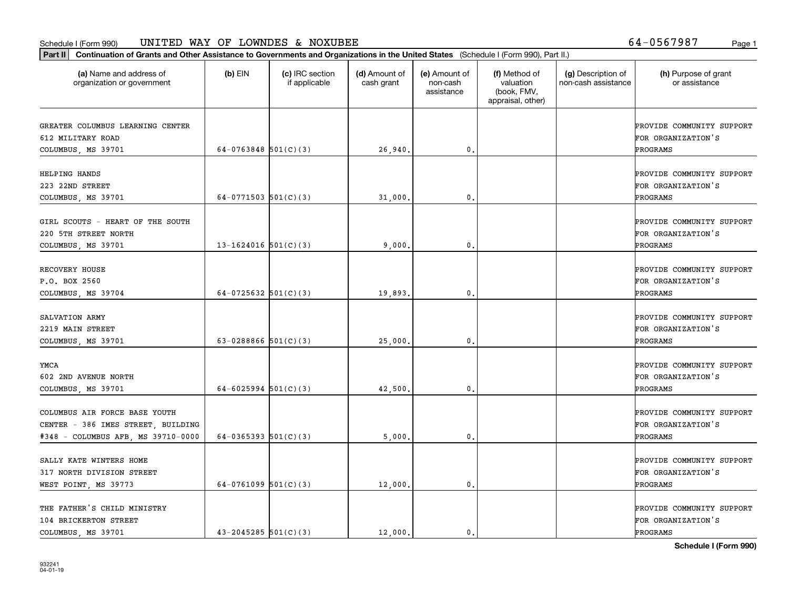#### Schedule I (Form 990) Page 1 UNITED WAY OF LOWNDES & NOXUBEE 64-0567987

**Part II Continuation of Grants and Other Assistance to Governments and Organizations in the United States**  (Schedule I (Form 990), Part II.)

| (a) Name and address of<br>organization or government                                                     | $(b)$ EIN                | (c) IRC section<br>if applicable | (d) Amount of<br>cash grant | (e) Amount of<br>non-cash<br>assistance | (f) Method of<br>valuation<br>(book, FMV,<br>appraisal, other) | (g) Description of<br>non-cash assistance | (h) Purpose of grant<br>or assistance                       |
|-----------------------------------------------------------------------------------------------------------|--------------------------|----------------------------------|-----------------------------|-----------------------------------------|----------------------------------------------------------------|-------------------------------------------|-------------------------------------------------------------|
| GREATER COLUMBUS LEARNING CENTER<br>612 MILITARY ROAD<br>COLUMBUS, MS 39701                               | 64-0763848 $501(C)(3)$   |                                  | 26,940.                     | 0.                                      |                                                                |                                           | PROVIDE COMMUNITY SUPPORT<br>FOR ORGANIZATION'S<br>PROGRAMS |
| HELPING HANDS<br>223 22ND STREET<br>COLUMBUS, MS 39701                                                    | 64-0771503 $501(C)(3)$   |                                  | 31,000.                     | $\mathbf{0}$                            |                                                                |                                           | PROVIDE COMMUNITY SUPPORT<br>FOR ORGANIZATION'S<br>PROGRAMS |
| GIRL SCOUTS - HEART OF THE SOUTH<br>220 5TH STREET NORTH<br>COLUMBUS, MS 39701                            | $13 - 1624016$ 501(C)(3) |                                  | 9,000.                      | 0.                                      |                                                                |                                           | PROVIDE COMMUNITY SUPPORT<br>FOR ORGANIZATION'S<br>PROGRAMS |
| RECOVERY HOUSE<br>P.O. BOX 2560<br>COLUMBUS, MS 39704                                                     | 64-0725632 $ 501(C)(3) $ |                                  | 19,893.                     | 0.                                      |                                                                |                                           | PROVIDE COMMUNITY SUPPORT<br>FOR ORGANIZATION'S<br>PROGRAMS |
| SALVATION ARMY<br>2219 MAIN STREET<br>COLUMBUS, MS 39701                                                  | 63-0288866 $501(C)(3)$   |                                  | 25,000.                     | 0.                                      |                                                                |                                           | PROVIDE COMMUNITY SUPPORT<br>FOR ORGANIZATION'S<br>PROGRAMS |
| YMCA<br>602 2ND AVENUE NORTH<br>COLUMBUS, MS 39701                                                        | 64-6025994 $501(C)(3)$   |                                  | 42,500                      | 0.                                      |                                                                |                                           | PROVIDE COMMUNITY SUPPORT<br>FOR ORGANIZATION'S<br>PROGRAMS |
| COLUMBUS AIR FORCE BASE YOUTH<br>CENTER - 386 IMES STREET, BUILDING<br>#348 - COLUMBUS AFB, MS 39710-0000 | 64-0365393 $501(C)(3)$   |                                  | 5,000.                      | 0.                                      |                                                                |                                           | PROVIDE COMMUNITY SUPPORT<br>FOR ORGANIZATION'S<br>PROGRAMS |
| SALLY KATE WINTERS HOME<br>317 NORTH DIVISION STREET<br>WEST POINT, MS 39773                              | 64-0761099 $501(C)(3)$   |                                  | 12,000.                     | 0.                                      |                                                                |                                           | PROVIDE COMMUNITY SUPPORT<br>FOR ORGANIZATION'S<br>PROGRAMS |
| THE FATHER'S CHILD MINISTRY<br>104 BRICKERTON STREET<br>COLUMBUS, MS 39701                                | $43 - 2045285$ 501(C)(3) |                                  | 12,000.                     | 0.                                      |                                                                |                                           | PROVIDE COMMUNITY SUPPORT<br>FOR ORGANIZATION'S<br>PROGRAMS |

⊤

**Schedule I (Form 990)**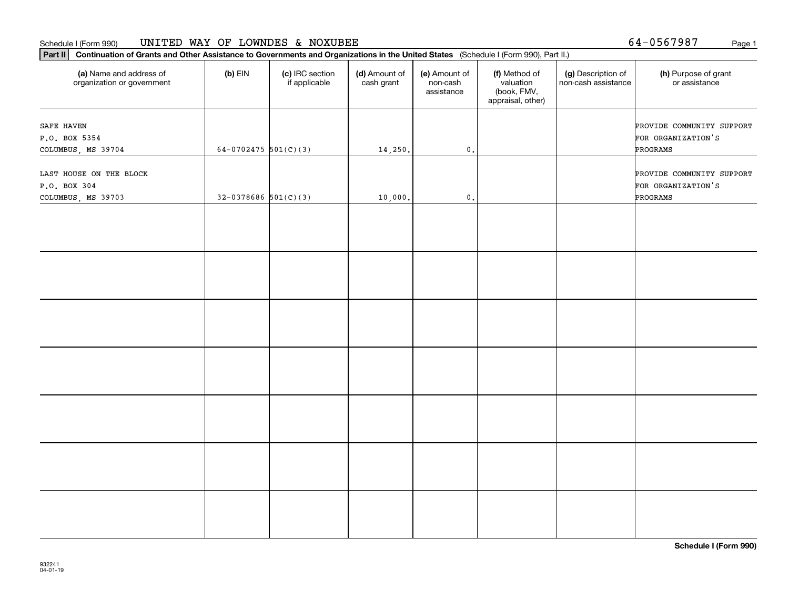#### Schedule I (Form 990) Page 1 UNITED WAY OF LOWNDES & NOXUBEE

**Part II Continuation of Grants and Other Assistance to Governments and Organizations in the United States**  (Schedule I (Form 990), Part II.)

| (a) Name and address of<br>organization or government         | $(b)$ EIN                | (c) IRC section<br>if applicable | (d) Amount of<br>cash grant | (e) Amount of<br>non-cash<br>assistance | (f) Method of<br>valuation<br>(book, FMV,<br>appraisal, other) | (g) Description of<br>non-cash assistance | (h) Purpose of grant<br>or assistance                       |
|---------------------------------------------------------------|--------------------------|----------------------------------|-----------------------------|-----------------------------------------|----------------------------------------------------------------|-------------------------------------------|-------------------------------------------------------------|
| SAFE HAVEN<br>P.O. BOX 5354<br>COLUMBUS, MS 39704             | 64-0702475 $501(C)(3)$   |                                  | 14,250.                     | $\mathfrak o$ .                         |                                                                |                                           | PROVIDE COMMUNITY SUPPORT<br>FOR ORGANIZATION'S<br>PROGRAMS |
| LAST HOUSE ON THE BLOCK<br>P.O. BOX 304<br>COLUMBUS, MS 39703 | $32-0378686$ $501(C)(3)$ |                                  | 10,000.                     | $\mathbf 0$ .                           |                                                                |                                           | PROVIDE COMMUNITY SUPPORT<br>FOR ORGANIZATION'S<br>PROGRAMS |
|                                                               |                          |                                  |                             |                                         |                                                                |                                           |                                                             |
|                                                               |                          |                                  |                             |                                         |                                                                |                                           |                                                             |
|                                                               |                          |                                  |                             |                                         |                                                                |                                           |                                                             |
|                                                               |                          |                                  |                             |                                         |                                                                |                                           |                                                             |
|                                                               |                          |                                  |                             |                                         |                                                                |                                           |                                                             |
|                                                               |                          |                                  |                             |                                         |                                                                |                                           |                                                             |
|                                                               |                          |                                  |                             |                                         |                                                                |                                           |                                                             |

**Schedule I (Form 990)**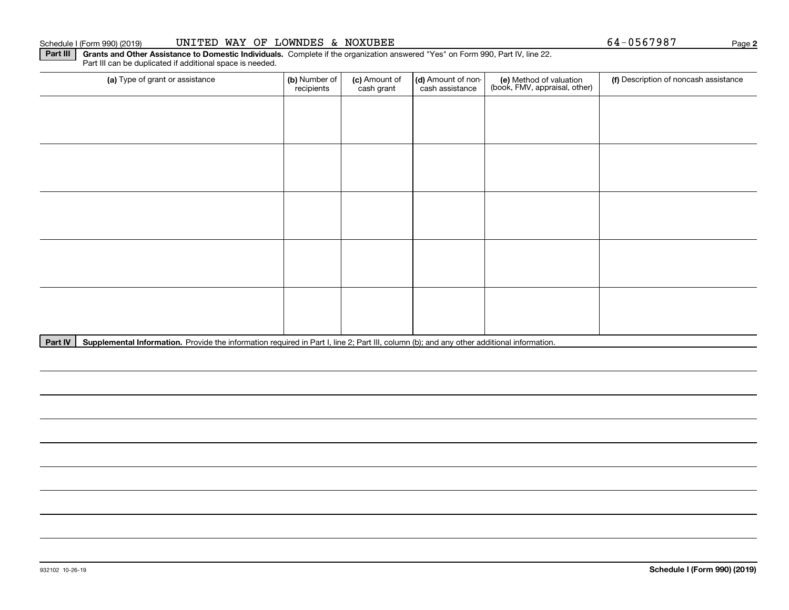932102 10-26-19

### Schedule I (Form 990) (2019) **UNITED WAY OF LOWNDES & NOXUBEE** Page

Part IV | Supplemental Information. Provide the information required in Part I, line 2; Part III, column (b); and any other additional information.

(a) Type of grant or assistance **(b)** Number of **(c)** Amount of **(d)** Amount of non-**(e)** Method of valuation (f)<br>cash are continuous cash crant cash assistance (book, FMV, appraisal, other) (a) Type of grant or assistance  $\vert$  (b) Number of recipients(c) Amount of cash grant (d) Amount of noncash assistance (f) Description of noncash assistance

**Part III** | Grants and Other Assistance to Domestic Individuals. Complete if the organization answered "Yes" on Form 990, Part IV, line 22.

Part III can be duplicated if additional space is needed.

**2**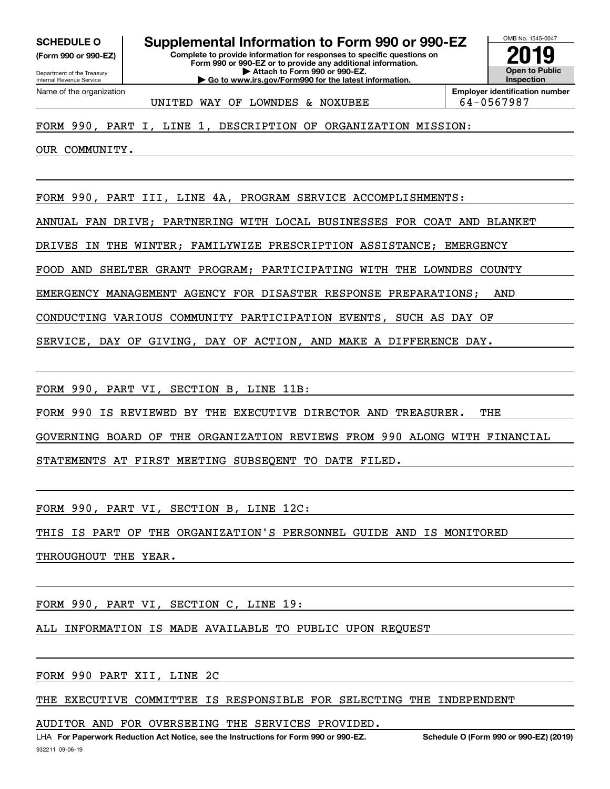**(Form 990 or 990-EZ)**

Department of the Treasury Internal Revenue Service Name of the organization

**Complete to provide information for responses to specific questions on Form 990 or 990-EZ or to provide any additional information. | Attach to Form 990 or 990-EZ. | Go to www.irs.gov/Form990 for the latest information. SCHEDULE O Supplemental Information to Form 990 or 990-EZ**



UNITED WAY OF LOWNDES & NOXUBEE  $\vert$  64-0567987

FORM 990, PART I, LINE 1, DESCRIPTION OF ORGANIZATION MISSION:

OUR COMMUNITY.

FORM 990, PART III, LINE 4A, PROGRAM SERVICE ACCOMPLISHMENTS:

ANNUAL FAN DRIVE; PARTNERING WITH LOCAL BUSINESSES FOR COAT AND BLANKET

DRIVES IN THE WINTER; FAMILYWIZE PRESCRIPTION ASSISTANCE; EMERGENCY

FOOD AND SHELTER GRANT PROGRAM; PARTICIPATING WITH THE LOWNDES COUNTY

EMERGENCY MANAGEMENT AGENCY FOR DISASTER RESPONSE PREPARATIONS; AND

CONDUCTING VARIOUS COMMUNITY PARTICIPATION EVENTS, SUCH AS DAY OF

SERVICE, DAY OF GIVING, DAY OF ACTION, AND MAKE A DIFFERENCE DAY.

FORM 990, PART VI, SECTION B, LINE 11B:

FORM 990 IS REVIEWED BY THE EXECUTIVE DIRECTOR AND TREASURER. THE

GOVERNING BOARD OF THE ORGANIZATION REVIEWS FROM 990 ALONG WITH FINANCIAL

STATEMENTS AT FIRST MEETING SUBSEQENT TO DATE FILED.

FORM 990, PART VI, SECTION B, LINE 12C:

THIS IS PART OF THE ORGANIZATION'S PERSONNEL GUIDE AND IS MONITORED THROUGHOUT THE YEAR.

FORM 990, PART VI, SECTION C, LINE 19:

ALL INFORMATION IS MADE AVAILABLE TO PUBLIC UPON REQUEST

FORM 990 PART XII, LINE 2C

THE EXECUTIVE COMMITTEE IS RESPONSIBLE FOR SELECTING THE INDEPENDENT

AUDITOR AND FOR OVERSEEING THE SERVICES PROVIDED.